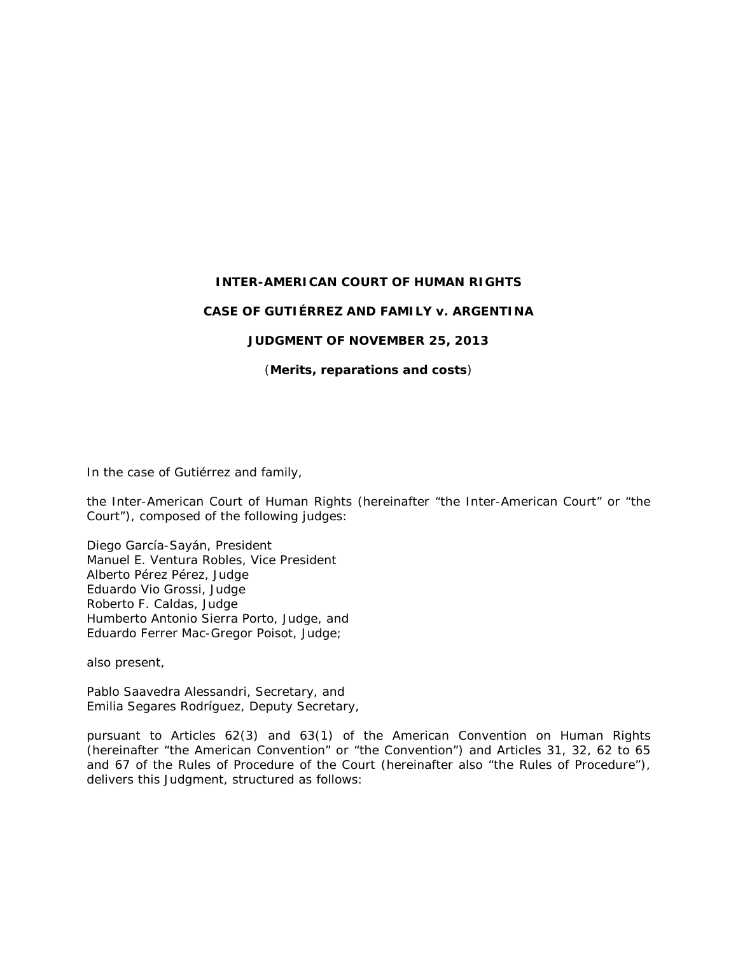### **INTER-AMERICAN COURT OF HUMAN RIGHTS**

#### **CASE OF GUTIÉRREZ AND FAMILY** *v.* **ARGENTINA**

#### **JUDGMENT OF NOVEMBER 25, 2013**

(*Merits, reparations and costs*)

In the case of *Gutiérrez and family*,

the Inter-American Court of Human Rights (hereinafter "the Inter-American Court" or "the Court"), composed of the following judges:

Diego García-Sayán, President Manuel E. Ventura Robles, Vice President Alberto Pérez Pérez, Judge Eduardo Vio Grossi, Judge Roberto F. Caldas, Judge Humberto Antonio Sierra Porto, Judge, and Eduardo Ferrer Mac-Gregor Poisot, Judge;

also present,

Pablo Saavedra Alessandri, Secretary, and Emilia Segares Rodríguez, Deputy Secretary,

pursuant to Articles 62(3) and 63(1) of the American Convention on Human Rights (hereinafter "the American Convention" or "the Convention") and Articles 31, 32, 62 to 65 and 67 of the Rules of Procedure of the Court (hereinafter also "the Rules of Procedure"), delivers this Judgment, structured as follows: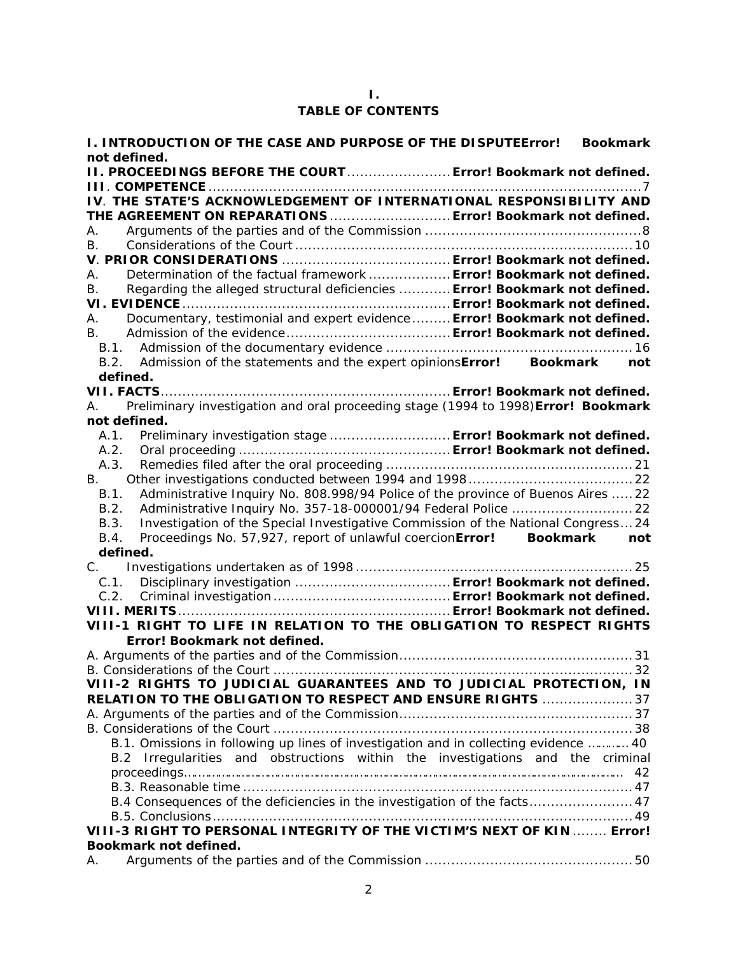## **I. TABLE OF CONTENTS**

| I. INTRODUCTION OF THE CASE AND PURPOSE OF THE DISPUTEError! Bookmark<br>not defined.    |                        |
|------------------------------------------------------------------------------------------|------------------------|
| II. PROCEEDINGS BEFORE THE COURT Error! Bookmark not defined.                            |                        |
|                                                                                          |                        |
| IV. THE STATE'S ACKNOWLEDGEMENT OF INTERNATIONAL RESPONSIBILITY AND                      |                        |
| THE AGREEMENT ON REPARATIONS  Error! Bookmark not defined.                               |                        |
| А.                                                                                       |                        |
| В.                                                                                       |                        |
|                                                                                          |                        |
| Determination of the factual framework  Error! Bookmark not defined.<br>А.               |                        |
| Regarding the alleged structural deficiencies  Error! Bookmark not defined.<br>В.        |                        |
|                                                                                          |                        |
| Documentary, testimonial and expert evidence Error! Bookmark not defined.<br>А.          |                        |
| В.                                                                                       |                        |
|                                                                                          |                        |
| Admission of the statements and the expert opinionsError! Bookmark<br>B.2.               | not                    |
| defined.                                                                                 |                        |
|                                                                                          |                        |
| Preliminary investigation and oral proceeding stage (1994 to 1998) Error! Bookmark<br>A. |                        |
| not defined.                                                                             |                        |
| A.1. Preliminary investigation stage  Error! Bookmark not defined.                       |                        |
| A.2.                                                                                     |                        |
| A.3.                                                                                     |                        |
| B.                                                                                       |                        |
| Administrative Inquiry No. 808.998/94 Police of the province of Buenos Aires  22<br>B.1. |                        |
| B.2.                                                                                     |                        |
| Investigation of the Special Investigative Commission of the National Congress24<br>B.3. |                        |
| Proceedings No. 57,927, report of unlawful coercionError!<br>B.4.                        | <b>Bookmark</b><br>not |
| defined.                                                                                 |                        |
| $C_{\cdot}$                                                                              |                        |
| C. 1.                                                                                    |                        |
| C.2.                                                                                     |                        |
|                                                                                          |                        |
| VIII-1 RIGHT TO LIFE IN RELATION TO THE OBLIGATION TO RESPECT RIGHTS                     |                        |
| Error! Bookmark not defined.                                                             |                        |
|                                                                                          |                        |
|                                                                                          |                        |
| VIII-2 RIGHTS TO JUDICIAL GUARANTEES AND TO JUDICIAL PROTECTION, IN                      |                        |
| RELATION TO THE OBLIGATION TO RESPECT AND ENSURE RIGHTS  37                              |                        |
|                                                                                          |                        |
|                                                                                          |                        |
| B.1. Omissions in following up lines of investigation and in collecting evidence  40     |                        |
| B.2 Irregularities and obstructions within the investigations and the criminal           |                        |
|                                                                                          | 42                     |
|                                                                                          |                        |
| B.4 Consequences of the deficiencies in the investigation of the facts 47                |                        |
|                                                                                          |                        |
| VIII-3 RIGHT TO PERSONAL INTEGRITY OF THE VICTIM'S NEXT OF KIN  Error!                   |                        |
|                                                                                          |                        |
| Bookmark not defined.                                                                    |                        |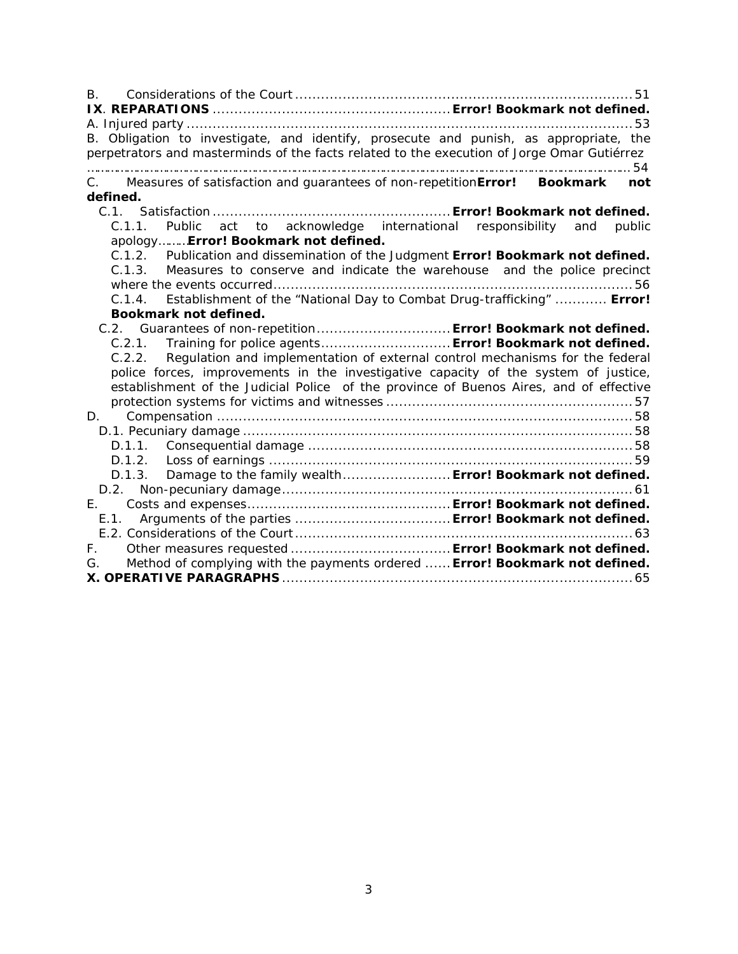| B.                                                                                                                                                                                  |  |
|-------------------------------------------------------------------------------------------------------------------------------------------------------------------------------------|--|
|                                                                                                                                                                                     |  |
| B. Obligation to investigate, and identify, prosecute and punish, as appropriate, the<br>perpetrators and masterminds of the facts related to the execution of Jorge Omar Gutiérrez |  |
| C. Measures of satisfaction and guarantees of non-repetitionError! Bookmark not                                                                                                     |  |
| defined.                                                                                                                                                                            |  |
| C.1.1. Public act to acknowledge international responsibility and public                                                                                                            |  |
| apologyError! Bookmark not defined.                                                                                                                                                 |  |
| C.1.2. Publication and dissemination of the Judgment Error! Bookmark not defined.                                                                                                   |  |
| C.1.3. Measures to conserve and indicate the warehouse and the police precinct                                                                                                      |  |
|                                                                                                                                                                                     |  |
| Establishment of the "National Day to Combat Drug-trafficking"  Error!<br>C.1.4.                                                                                                    |  |
| Bookmark not defined.                                                                                                                                                               |  |
| C.2. Guarantees of non-repetition Error! Bookmark not defined.                                                                                                                      |  |
| C.2.1. Training for police agents Error! Bookmark not defined.                                                                                                                      |  |
| C.2.2. Regulation and implementation of external control mechanisms for the federal                                                                                                 |  |
| police forces, improvements in the investigative capacity of the system of justice,                                                                                                 |  |
| establishment of the Judicial Police of the province of Buenos Aires, and of effective                                                                                              |  |
|                                                                                                                                                                                     |  |
| D.                                                                                                                                                                                  |  |
|                                                                                                                                                                                     |  |
|                                                                                                                                                                                     |  |
|                                                                                                                                                                                     |  |
| D.1.3. Damage to the family wealth Error! Bookmark not defined.                                                                                                                     |  |
|                                                                                                                                                                                     |  |
|                                                                                                                                                                                     |  |
| E.1                                                                                                                                                                                 |  |
|                                                                                                                                                                                     |  |
|                                                                                                                                                                                     |  |
| Method of complying with the payments ordered  Error! Bookmark not defined.<br>G.                                                                                                   |  |
|                                                                                                                                                                                     |  |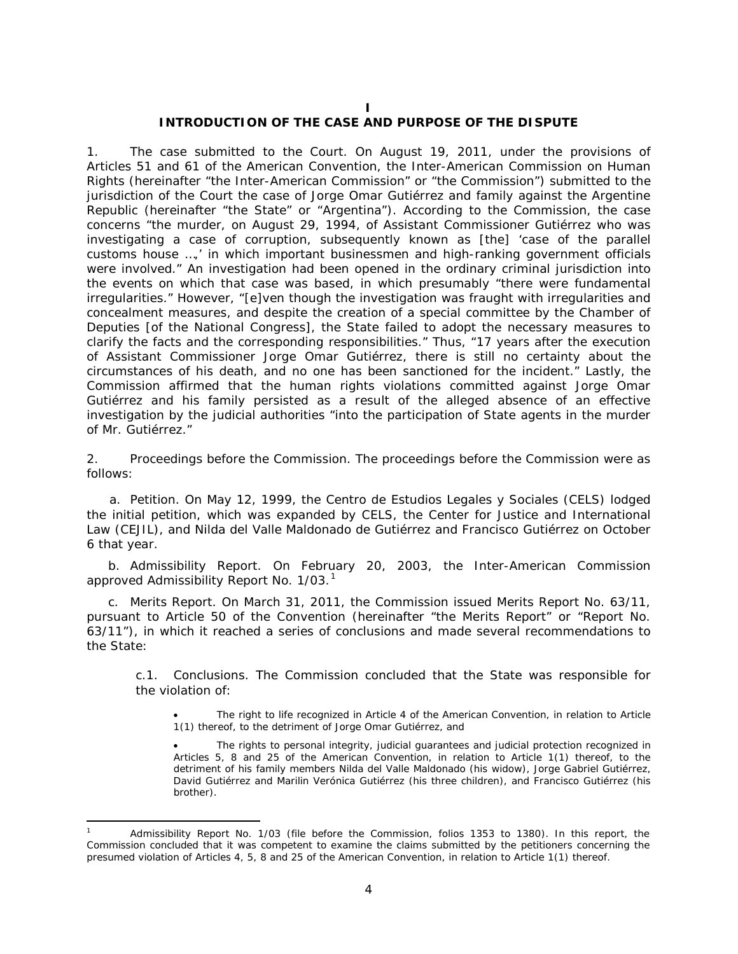#### **I**

#### **INTRODUCTION OF THE CASE AND PURPOSE OF THE DISPUTE**

1. *The case submitted to the Court.* On August 19, 2011, under the provisions of Articles 51 and 61 of the American Convention, the Inter-American Commission on Human Rights (hereinafter "the Inter-American Commission" or "the Commission") submitted to the jurisdiction of the Court the case of *Jorge Omar Gutiérrez and family against the Argentine Republic* (hereinafter "the State" or "Argentina"). According to the Commission, the case concerns "the murder, on August 29, 1994, of Assistant Commissioner Gutiérrez who was investigating a case of corruption, subsequently known as [the] 'case of the parallel customs house …,' in which important businessmen and high-ranking government officials were involved." An investigation had been opened in the ordinary criminal jurisdiction into the events on which that case was based, in which presumably "there were fundamental irregularities." However, "[e]ven though the investigation was fraught with irregularities and concealment measures, and despite the creation of a special committee by the Chamber of Deputies [of the National Congress], the State failed to adopt the necessary measures to clarify the facts and the corresponding responsibilities." Thus, "17 years after the execution of Assistant Commissioner Jorge Omar Gutiérrez, there is still no certainty about the circumstances of his death, and no one has been sanctioned for the incident." Lastly, the Commission affirmed that the human rights violations committed against Jorge Omar Gutiérrez and his family persisted as a result of the alleged absence of an effective investigation by the judicial authorities "into the participation of State agents in the murder of Mr. Gutiérrez."

2. *Proceedings before the Commission.* The proceedings before the Commission were as follows:

a. *Petition.* On May 12, 1999, the *Centro de Estudios Legales y Sociales (CELS)* lodged the initial petition, which was expanded by CELS, the Center for Justice and International Law (CEJIL), and Nilda del Valle Maldonado de Gutiérrez and Francisco Gutiérrez on October 6 that year.

b. *Admissibility Report*. On February 20, 2003, the Inter-American Commission approved Admissibility Report No. [1](#page-3-0)/03.<sup>1</sup>

c. *Merits Report*. On March 31, 2011, the Commission issued Merits Report No. 63/11, pursuant to Article 50 of the Convention (hereinafter "the Merits Report" or "Report No. 63/11"), in which it reached a series of conclusions and made several recommendations to the State:

*c.1. Conclusions.* The Commission concluded that the State was responsible for the violation of:

• The right to life recognized in Article 4 of the American Convention, in relation to Article 1(1) thereof, to the detriment of Jorge Omar Gutiérrez, and

• The rights to personal integrity, judicial guarantees and judicial protection recognized in Articles 5, 8 and 25 of the American Convention, in relation to Article 1(1) thereof, to the detriment of his family members Nilda del Valle Maldonado (his widow), Jorge Gabriel Gutiérrez, David Gutiérrez and Marilin Verónica Gutiérrez (his three children), and Francisco Gutiérrez (his brother).

<span id="page-3-0"></span>Admissibility Report No. 1/03 (file before the Commission, folios 1353 to 1380). In this report, the Commission concluded that it was competent to examine the claims submitted by the petitioners concerning the presumed violation of Articles 4, 5, 8 and 25 of the American Convention, in relation to Article 1(1) thereof.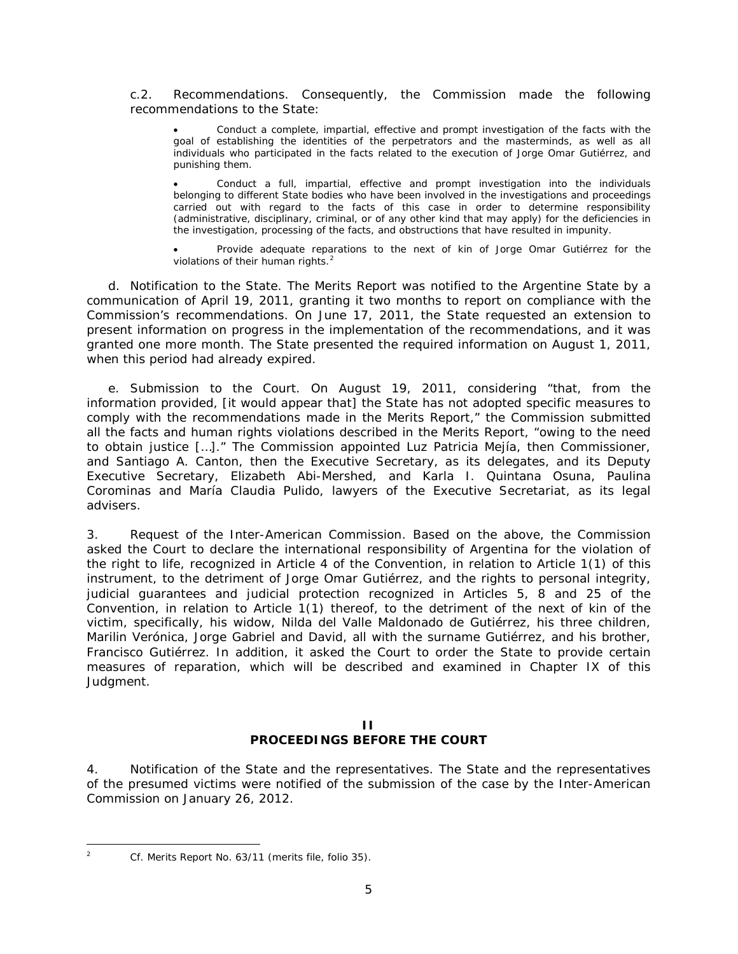*c.2. Recommendations.* Consequently, the Commission made the following recommendations to the State:

• Conduct a complete, impartial, effective and prompt investigation of the facts with the goal of establishing the identities of the perpetrators and the masterminds, as well as all individuals who participated in the facts related to the execution of Jorge Omar Gutiérrez, and punishing them.

• Conduct a full, impartial, effective and prompt investigation into the individuals belonging to different State bodies who have been involved in the investigations and proceedings carried out with regard to the facts of this case in order to determine responsibility (administrative, disciplinary, criminal, or of any other kind that may apply) for the deficiencies in the investigation, processing of the facts, and obstructions that have resulted in impunity.

Provide adequate reparations to the next of kin of Jorge Omar Gutiérrez for the violations of their human rights.<sup>[2](#page-4-0)</sup>

d. *Notification to the State.* The Merits Report was notified to the Argentine State by a communication of April 19, 2011, granting it two months to report on compliance with the Commission's recommendations. On June 17, 2011, the State requested an extension to present information on progress in the implementation of the recommendations, and it was granted one more month. The State presented the required information on August 1, 2011, when this period had already expired.

e. *Submission to the Court.* On August 19, 2011, considering "that, from the information provided, [it would appear that] the State has not adopted specific measures to comply with the recommendations made in the Merits Report," the Commission submitted all the facts and human rights violations described in the Merits Report, "owing to the need to obtain justice […]." The Commission appointed Luz Patricia Mejía, then Commissioner, and Santiago A. Canton, then the Executive Secretary, as its delegates, and its Deputy Executive Secretary, Elizabeth Abi-Mershed, and Karla I. Quintana Osuna, Paulina Corominas and María Claudia Pulido, lawyers of the Executive Secretariat, as its legal advisers.

3. *Request of the Inter-American Commission.* Based on the above, the Commission asked the Court to declare the international responsibility of Argentina for the violation of the right to life, recognized in Article 4 of the Convention, in relation to Article 1(1) of this instrument, to the detriment of Jorge Omar Gutiérrez, and the rights to personal integrity, judicial guarantees and judicial protection recognized in Articles 5, 8 and 25 of the Convention, in relation to Article 1(1) thereof, to the detriment of the next of kin of the victim, specifically, his widow, Nilda del Valle Maldonado de Gutiérrez, his three children, Marilin Verónica, Jorge Gabriel and David, all with the surname Gutiérrez, and his brother, Francisco Gutiérrez. In addition, it asked the Court to order the State to provide certain measures of reparation, which will be described and examined in Chapter IX of this Judgment.

#### **II PROCEEDINGS BEFORE THE COURT**

4. *Notification of the State and the representatives.* The State and the representatives of the presumed victims were notified of the submission of the case by the Inter-American Commission on January 26, 2012.

<span id="page-4-0"></span>

 <sup>2</sup> *Cf.* Merits Report No. 63/11 (merits file, folio 35).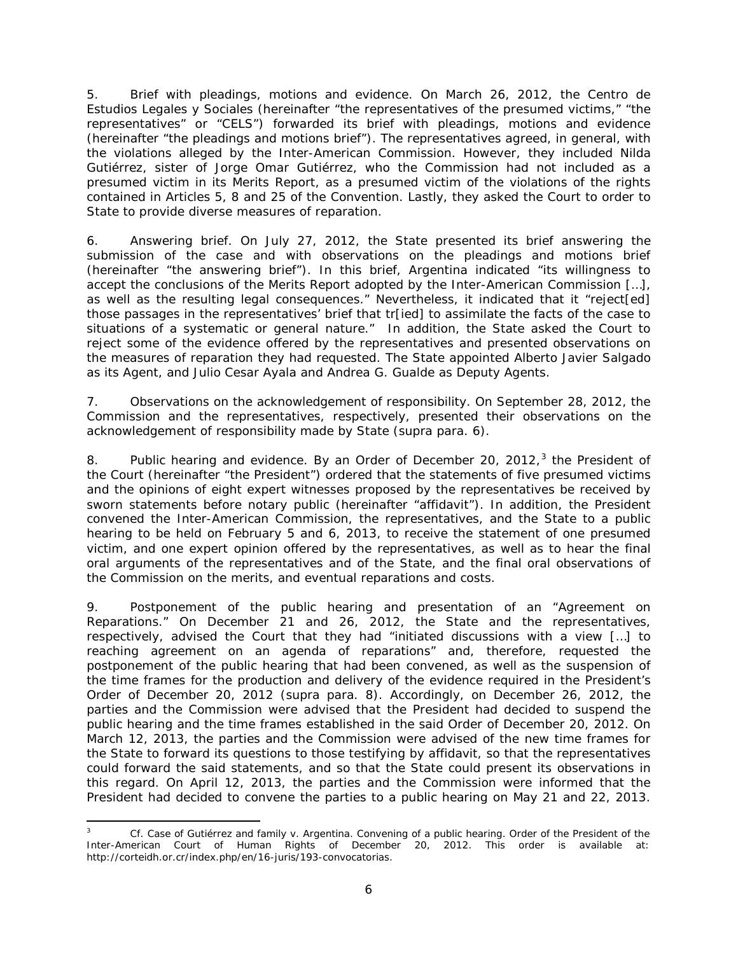5. *Brief with pleadings, motions and evidence.* On March 26, 2012, the *Centro de Estudios Legales y Sociales* (hereinafter "the representatives of the presumed victims," "the representatives" or "CELS") forwarded its brief with pleadings, motions and evidence (hereinafter "the pleadings and motions brief"). The representatives agreed, in general, with the violations alleged by the Inter-American Commission. However, they included Nilda Gutiérrez, sister of Jorge Omar Gutiérrez, who the Commission had not included as a presumed victim in its Merits Report, as a presumed victim of the violations of the rights contained in Articles 5, 8 and 25 of the Convention. Lastly, they asked the Court to order to State to provide diverse measures of reparation.

6. *Answering brief.* On July 27, 2012, the State presented its brief answering the submission of the case and with observations on the pleadings and motions brief (hereinafter "the answering brief"). In this brief, Argentina indicated "its willingness to accept the conclusions of the Merits Report adopted by the Inter-American Commission […], as well as the resulting legal consequences." Nevertheless, it indicated that it "reject[ed] those passages in the representatives' brief that tr[ied] to assimilate the facts of the case to situations of a systematic or general nature." In addition, the State asked the Court to reject some of the evidence offered by the representatives and presented observations on the measures of reparation they had requested. The State appointed Alberto Javier Salgado as its Agent, and Julio Cesar Ayala and Andrea G. Gualde as Deputy Agents.

7. *Observations on the acknowledgement of responsibility.* On September 28, 2012, the Commission and the representatives, respectively, presented their observations on the acknowledgement of responsibility made by State (*supra* para. 6).

8. *Public hearing and evidence.* By an Order of December 20, 2012, [3](#page-5-0) the President of the Court (hereinafter "the President") ordered that the statements of five presumed victims and the opinions of eight expert witnesses proposed by the representatives be received by sworn statements before notary public (hereinafter "affidavit"). In addition, the President convened the Inter-American Commission, the representatives, and the State to a public hearing to be held on February 5 and 6, 2013, to receive the statement of one presumed victim, and one expert opinion offered by the representatives, as well as to hear the final oral arguments of the representatives and of the State, and the final oral observations of the Commission on the merits, and eventual reparations and costs.

9. *Postponement of the public hearing and presentation of an "Agreement on Reparations."* On December 21 and 26, 2012, the State and the representatives, respectively, advised the Court that they had "initiated discussions with a view […] to reaching agreement on an agenda of reparations" and, therefore, requested the postponement of the public hearing that had been convened, as well as the suspension of the time frames for the production and delivery of the evidence required in the President's Order of December 20, 2012 (*supra* para. 8). Accordingly, on December 26, 2012, the parties and the Commission were advised that the President had decided to suspend the public hearing and the time frames established in the said Order of December 20, 2012. On March 12, 2013, the parties and the Commission were advised of the new time frames for the State to forward its questions to those testifying by affidavit, so that the representatives could forward the said statements, and so that the State could present its observations in this regard. On April 12, 2013, the parties and the Commission were informed that the President had decided to convene the parties to a public hearing on May 21 and 22, 2013.

<span id="page-5-0"></span> <sup>3</sup> *Cf. Case of Gutiérrez and family v. Argentina.* Convening of a public hearing. Order of the President of the Inter-American Court of Human Rights of December 20, 2012. This order is available at: http://corteidh.or.cr/index.php/en/16-juris/193-convocatorias.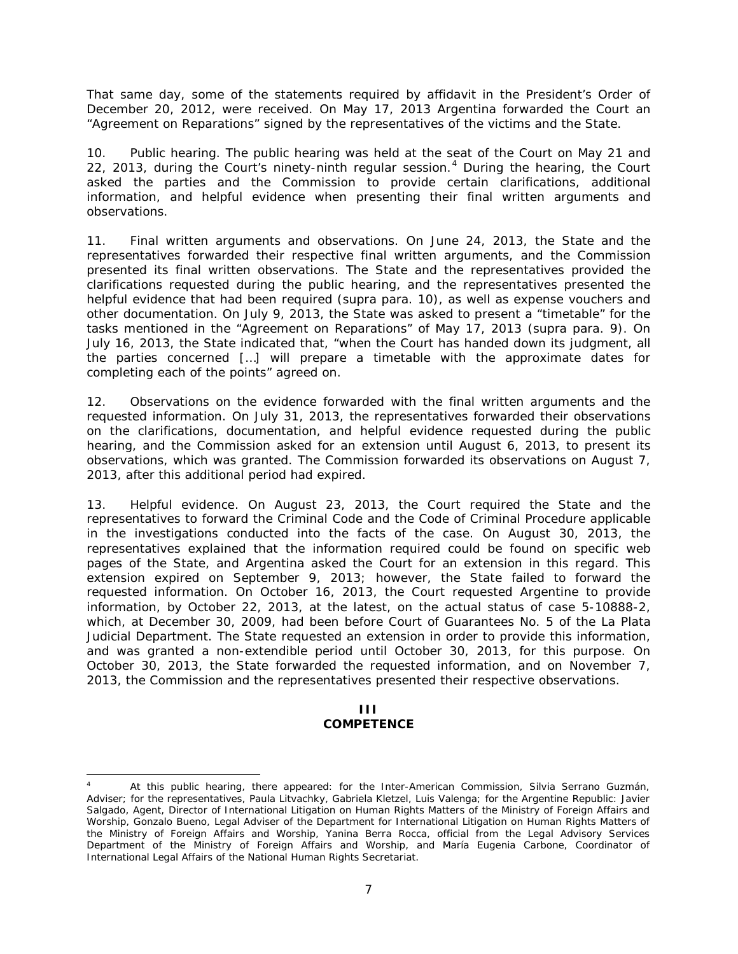That same day, some of the statements required by affidavit in the President's Order of December 20, 2012, were received. On May 17, 2013 Argentina forwarded the Court an "Agreement on Reparations" signed by the representatives of the victims and the State.

10. *Public hearing.* The public hearing was held at the seat of the Court on May 21 and 22, 2013, during the Court's ninety-ninth regular session.<sup>[4](#page-6-0)</sup> During the hearing, the Court asked the parties and the Commission to provide certain clarifications, additional information, and helpful evidence when presenting their final written arguments and observations.

11. *Final written arguments and observations.* On June 24, 2013, the State and the representatives forwarded their respective final written arguments, and the Commission presented its final written observations. The State and the representatives provided the clarifications requested during the public hearing, and the representatives presented the helpful evidence that had been required (*supra* para. 10), as well as expense vouchers and other documentation. On July 9, 2013, the State was asked to present a "timetable" for the tasks mentioned in the "Agreement on Reparations" of May 17, 2013 (*supra* para. 9). On July 16, 2013, the State indicated that, "when the Court has handed down its judgment, all the parties concerned […] will prepare a timetable with the approximate dates for completing each of the points" agreed on.

12. O*bservations on the evidence forwarded with the final written arguments and the requested information.* On July 31, 2013, the representatives forwarded their observations on the clarifications, documentation, and helpful evidence requested during the public hearing, and the Commission asked for an extension until August 6, 2013, to present its observations, which was granted. The Commission forwarded its observations on August 7, 2013, after this additional period had expired.

13. *Helpful evidence.* On August 23, 2013, the Court required the State and the representatives to forward the Criminal Code and the Code of Criminal Procedure applicable in the investigations conducted into the facts of the case. On August 30, 2013, the representatives explained that the information required could be found on specific web pages of the State, and Argentina asked the Court for an extension in this regard. This extension expired on September 9, 2013; however, the State failed to forward the requested information. On October 16, 2013, the Court requested Argentine to provide information, by October 22, 2013, at the latest, on the actual status of case 5-10888-2, which, at December 30, 2009, had been before Court of Guarantees No. 5 of the La Plata Judicial Department. The State requested an extension in order to provide this information, and was granted a non-extendible period until October 30, 2013, for this purpose. On October 30, 2013, the State forwarded the requested information, and on November 7, 2013, the Commission and the representatives presented their respective observations.

#### **III COMPETENCE**

<span id="page-6-0"></span>At this public hearing, there appeared: for the Inter-American Commission, Silvia Serrano Guzmán, Adviser; for the representatives, Paula Litvachky, Gabriela Kletzel, Luis Valenga; for the Argentine Republic: Javier Salgado, Agent, Director of International Litigation on Human Rights Matters of the Ministry of Foreign Affairs and Worship, Gonzalo Bueno, Legal Adviser of the Department for International Litigation on Human Rights Matters of the Ministry of Foreign Affairs and Worship, Yanina Berra Rocca, official from the Legal Advisory Services Department of the Ministry of Foreign Affairs and Worship, and María Eugenia Carbone, Coordinator of International Legal Affairs of the National Human Rights Secretariat.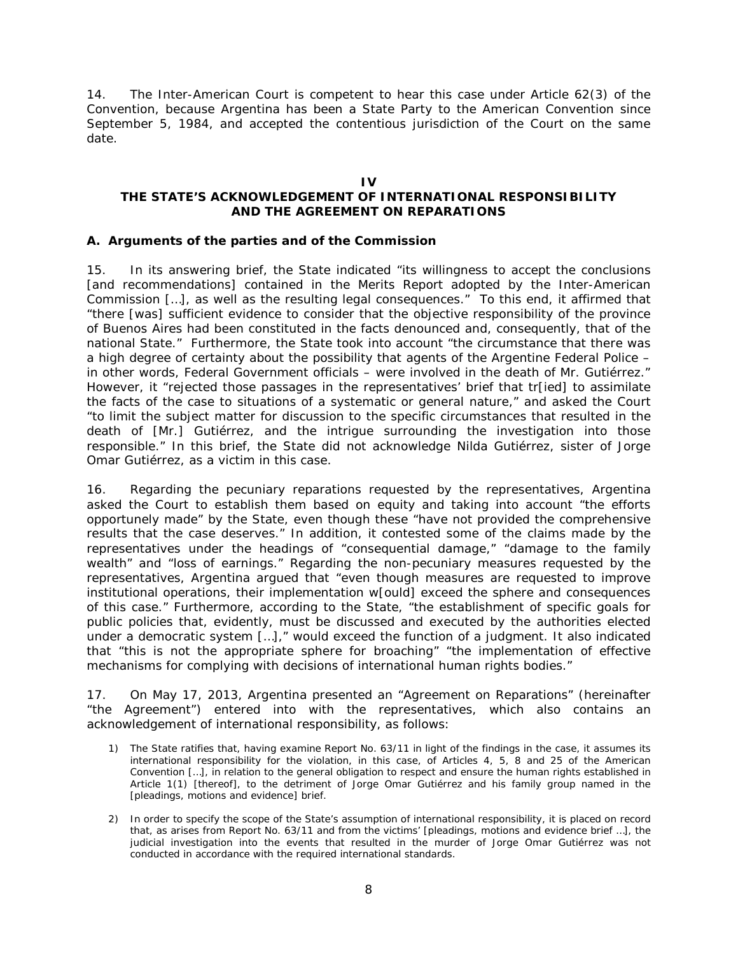14. The Inter-American Court is competent to hear this case under Article 62(3) of the Convention, because Argentina has been a State Party to the American Convention since September 5, 1984, and accepted the contentious jurisdiction of the Court on the same date.

#### **IV**

### **THE STATE'S ACKNOWLEDGEMENT OF INTERNATIONAL RESPONSIBILITY AND THE AGREEMENT ON REPARATIONS**

#### <span id="page-7-0"></span>*A. Arguments of the parties and of the Commission*

15. In its answering brief, the State indicated "its willingness to accept the conclusions [and recommendations] contained in the Merits Report adopted by the Inter-American Commission […], as well as the resulting legal consequences." To this end, it affirmed that "there [was] sufficient evidence to consider that the objective responsibility of the province of Buenos Aires had been constituted in the facts denounced and, consequently, that of the national State." Furthermore, the State took into account "the circumstance that there was a high degree of certainty about the possibility that agents of the Argentine Federal Police – in other words, Federal Government officials – were involved in the death of Mr. Gutiérrez." However, it "rejected those passages in the representatives' brief that tr[ied] to assimilate the facts of the case to situations of a systematic or general nature," and asked the Court "to limit the subject matter for discussion to the specific circumstances that resulted in the death of [Mr.] Gutiérrez, and the intrigue surrounding the investigation into those responsible." In this brief, the State did not acknowledge Nilda Gutiérrez, sister of Jorge Omar Gutiérrez, as a victim in this case.

16. Regarding the pecuniary reparations requested by the representatives, Argentina asked the Court to establish them based on equity and taking into account "the efforts opportunely made" by the State, even though these "have not provided the comprehensive results that the case deserves." In addition, it contested some of the claims made by the representatives under the headings of "consequential damage," "damage to the family wealth" and "loss of earnings." Regarding the non-pecuniary measures requested by the representatives, Argentina argued that "even though measures are requested to improve institutional operations, their implementation w[ould] exceed the sphere and consequences of this case." Furthermore, according to the State, "the establishment of specific goals for public policies that, evidently, must be discussed and executed by the authorities elected under a democratic system […]," would exceed the function of a judgment. It also indicated that "this is not the appropriate sphere for broaching" "the implementation of effective mechanisms for complying with decisions of international human rights bodies."

17. On May 17, 2013, Argentina presented an "Agreement on Reparations" (hereinafter "the Agreement") entered into with the representatives, which also contains an acknowledgement of international responsibility, as follows:

- 1) The State ratifies that, having examine Report No. 63/11 in light of the findings in the case, it assumes its international responsibility for the violation, in this case, of Articles 4, 5, 8 and 25 of the American Convention […], in relation to the general obligation to respect and ensure the human rights established in Article 1(1) [thereof], to the detriment of Jorge Omar Gutiérrez and his family group named in the [pleadings, motions and evidence] brief.
- 2) In order to specify the scope of the State's assumption of international responsibility, it is placed on record that, as arises from Report No. 63/11 and from the victims' [pleadings, motions and evidence brief …], the judicial investigation into the events that resulted in the murder of Jorge Omar Gutiérrez was not conducted in accordance with the required international standards.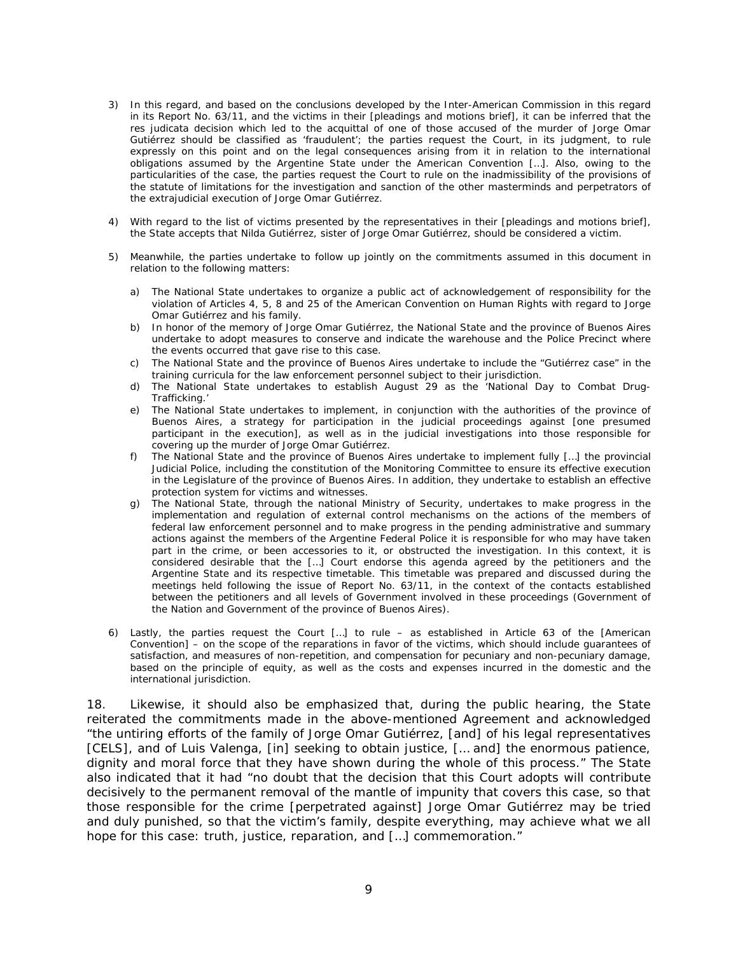- 3) In this regard, and based on the conclusions developed by the Inter-American Commission in this regard in its Report No. 63/11, and the victims in their [pleadings and motions brief], it can be inferred that the *res judicata* decision which led to the acquittal of one of those accused of the murder of Jorge Omar Gutiérrez should be classified as 'fraudulent'; the parties request the Court, in its judgment, to rule expressly on this point and on the legal consequences arising from it in relation to the international obligations assumed by the Argentine State under the American Convention […]. Also, owing to the particularities of the case, the parties request the Court to rule on the inadmissibility of the provisions of the statute of limitations for the investigation and sanction of the other masterminds and perpetrators of the extrajudicial execution of Jorge Omar Gutiérrez.
- 4) With regard to the list of victims presented by the representatives in their [pleadings and motions brief], the State accepts that Nilda Gutiérrez, sister of Jorge Omar Gutiérrez, should be considered a victim.
- 5) Meanwhile, the parties undertake to follow up jointly on the commitments assumed in this document in relation to the following matters:
	- a) The National State undertakes to organize a public act of acknowledgement of responsibility for the violation of Articles 4, 5, 8 and 25 of the American Convention on Human Rights with regard to Jorge Omar Gutiérrez and his family.
	- b) In honor of the memory of Jorge Omar Gutiérrez, the National State and the province of Buenos Aires undertake to adopt measures to conserve and indicate the warehouse and the Police Precinct where the events occurred that gave rise to this case.
	- c) The National State and the province of Buenos Aires undertake to include the "Gutiérrez case" in the training curricula for the law enforcement personnel subject to their jurisdiction.
	- d) The National State undertakes to establish August 29 as the 'National Day to Combat Drug-Trafficking.'
	- e) The National State undertakes to implement, in conjunction with the authorities of the province of Buenos Aires, a strategy for participation in the judicial proceedings against [one presumed participant in the execution], as well as in the judicial investigations into those responsible for covering up the murder of Jorge Omar Gutiérrez.
	- f) The National State and the province of Buenos Aires undertake to implement fully […] the provincial Judicial Police, including the constitution of the Monitoring Committee to ensure its effective execution in the Legislature of the province of Buenos Aires. In addition, they undertake to establish an effective protection system for victims and witnesses.
	- g) The National State, through the national Ministry of Security, undertakes to make progress in the implementation and regulation of external control mechanisms on the actions of the members of federal law enforcement personnel and to make progress in the pending administrative and summary actions against the members of the Argentine Federal Police it is responsible for who may have taken part in the crime, or been accessories to it, or obstructed the investigation. In this context, it is considered desirable that the […] Court endorse this agenda agreed by the petitioners and the Argentine State and its respective timetable. This timetable was prepared and discussed during the meetings held following the issue of Report No. 63/11, in the context of the contacts established between the petitioners and all levels of Government involved in these proceedings (Government of the Nation and Government of the province of Buenos Aires).
- 6) Lastly, the parties request the Court […] to rule as established in Article 63 of the [American Convention] – on the scope of the reparations in favor of the victims, which should include guarantees of satisfaction, and measures of non-repetition, and compensation for pecuniary and non-pecuniary damage, based on the principle of equity, as well as the costs and expenses incurred in the domestic and the international jurisdiction.

18. Likewise, it should also be emphasized that, during the public hearing, the State reiterated the commitments made in the above-mentioned Agreement and acknowledged "the untiring efforts of the family of Jorge Omar Gutiérrez, [and] of his legal representatives [CELS], and of Luis Valenga, [in] seeking to obtain justice, [… and] the enormous patience, dignity and moral force that they have shown during the whole of this process." The State also indicated that it had "no doubt that the decision that this Court adopts will contribute decisively to the permanent removal of the mantle of impunity that covers this case, so that those responsible for the crime [perpetrated against] Jorge Omar Gutiérrez may be tried and duly punished, so that the victim's family, despite everything, may achieve what we all hope for this case: truth, justice, reparation, and […] commemoration."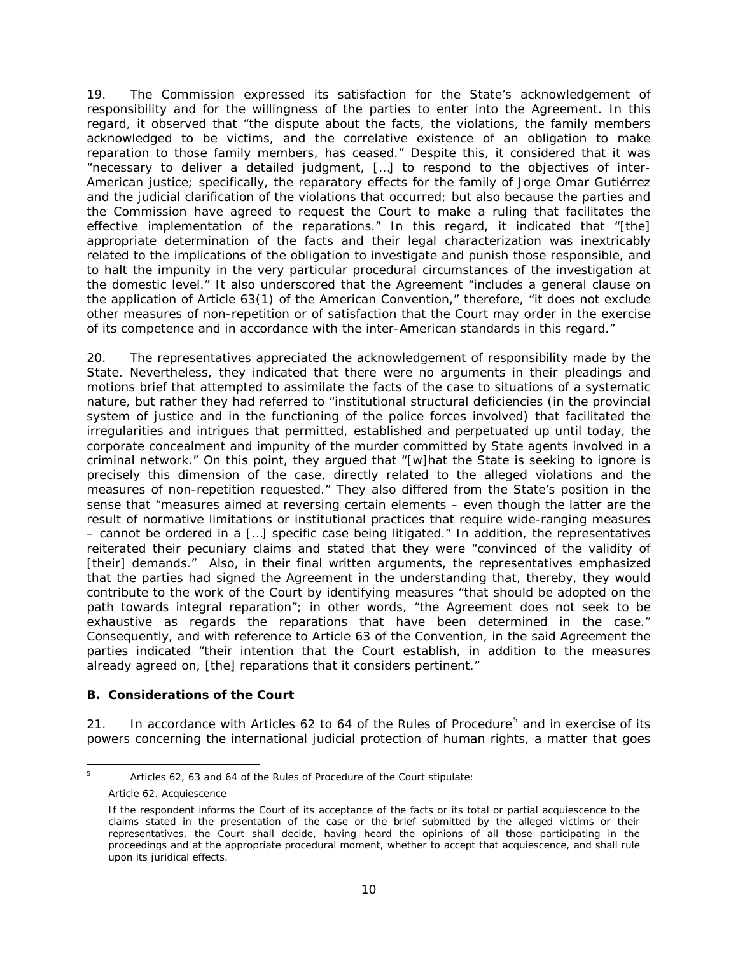19. The Commission expressed its satisfaction for the State's acknowledgement of responsibility and for the willingness of the parties to enter into the Agreement. In this regard, it observed that "the dispute about the facts, the violations, the family members acknowledged to be victims, and the correlative existence of an obligation to make reparation to those family members, has ceased." Despite this, it considered that it was "necessary to deliver a detailed judgment, […] to respond to the objectives of inter-American justice; specifically, the reparatory effects for the family of Jorge Omar Gutiérrez and the judicial clarification of the violations that occurred; but also because the parties and the Commission have agreed to request the Court to make a ruling that facilitates the effective implementation of the reparations." In this regard, it indicated that "[the] appropriate determination of the facts and their legal characterization was inextricably related to the implications of the obligation to investigate and punish those responsible, and to halt the impunity in the very particular procedural circumstances of the investigation at the domestic level." It also underscored that the Agreement "includes a general clause on the application of Article 63(1) of the American Convention," therefore, "it does not exclude other measures of non-repetition or of satisfaction that the Court may order in the exercise of its competence and in accordance with the inter-American standards in this regard."

20. The representatives appreciated the acknowledgement of responsibility made by the State. Nevertheless, they indicated that there were no arguments in their pleadings and motions brief that attempted to assimilate the facts of the case to situations of a systematic nature, but rather they had referred to "institutional structural deficiencies (in the provincial system of justice and in the functioning of the police forces involved) that facilitated the irregularities and intrigues that permitted, established and perpetuated up until today, the corporate concealment and impunity of the murder committed by State agents involved in a criminal network." On this point, they argued that "[w]hat the State is seeking to ignore is precisely this dimension of the case, directly related to the alleged violations and the measures of non-repetition requested." They also differed from the State's position in the sense that "measures aimed at reversing certain elements – even though the latter are the result of normative limitations or institutional practices that require wide-ranging measures – cannot be ordered in a […] specific case being litigated." In addition, the representatives reiterated their pecuniary claims and stated that they were "convinced of the validity of [their] demands." Also, in their final written arguments, the representatives emphasized that the parties had signed the Agreement in the understanding that, thereby, they would contribute to the work of the Court by identifying measures "that should be adopted on the path towards integral reparation"; in other words, "the Agreement does not seek to be exhaustive as regards the reparations that have been determined in the case." Consequently, and with reference to Article 63 of the Convention, in the said Agreement the parties indicated "their intention that the Court establish, in addition to the measures already agreed on, [the] reparations that it considers pertinent."

#### <span id="page-9-0"></span>*B. Considerations of the Court*

21. In accordance with Articles 62 to 64 of the Rules of Procedure<sup>[5](#page-9-1)</sup> and in exercise of its powers concerning the international judicial protection of human rights, a matter that goes

<span id="page-9-1"></span><sup>&</sup>lt;sup>5</sup> Articles 62, 63 and 64 of the Rules of Procedure of the Court stipulate:

Article 62. Acquiescence

If the respondent informs the Court of its acceptance of the facts or its total or partial acquiescence to the claims stated in the presentation of the case or the brief submitted by the alleged victims or their representatives, the Court shall decide, having heard the opinions of all those participating in the proceedings and at the appropriate procedural moment, whether to accept that acquiescence, and shall rule upon its juridical effects.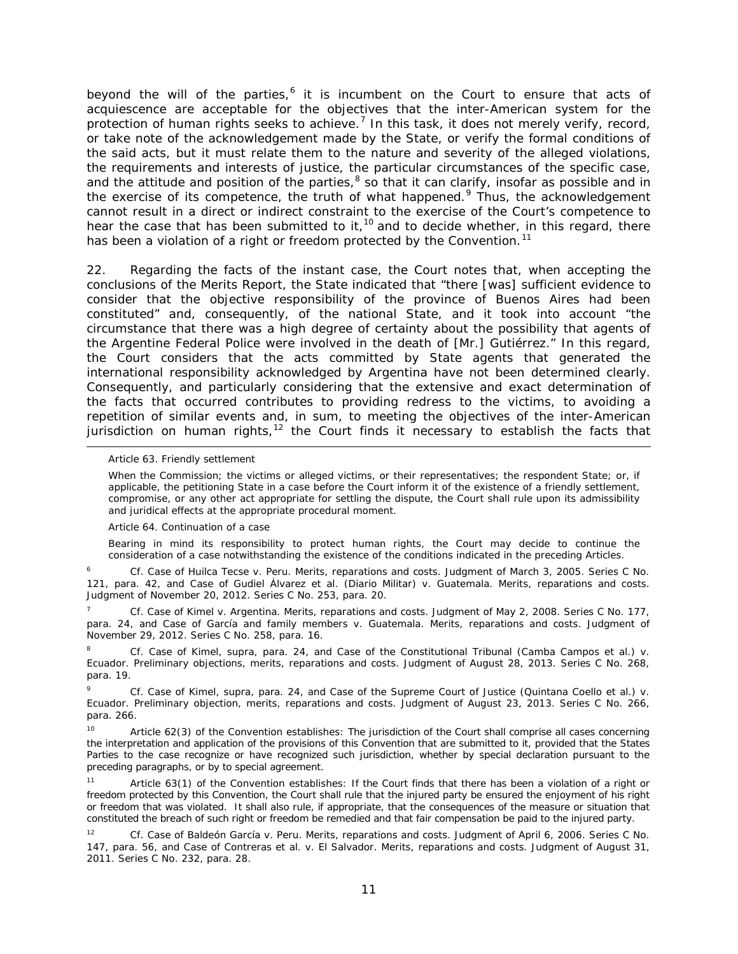beyond the will of the parties, $6$  it is incumbent on the Court to ensure that acts of acquiescence are acceptable for the objectives that the inter-American system for the protection of human rights seeks to achieve.<sup>[7](#page-10-1)</sup> In this task, it does not merely verify, record, or take note of the acknowledgement made by the State, or verify the formal conditions of the said acts, but it must relate them to the nature and severity of the alleged violations, the requirements and interests of justice, the particular circumstances of the specific case, and the attitude and position of the parties, $8$  so that it can clarify, insofar as possible and in the exercise of its competence, the truth of what happened.<sup>[9](#page-10-3)</sup> Thus, the acknowledgement cannot result in a direct or indirect constraint to the exercise of the Court's competence to hear the case that has been submitted to it,<sup>[10](#page-10-4)</sup> and to decide whether, in this regard, there has been a violation of a right or freedom protected by the Convention.<sup>[11](#page-10-5)</sup>

22. Regarding the facts of the instant case, the Court notes that, when accepting the conclusions of the Merits Report, the State indicated that "there [was] sufficient evidence to consider that the objective responsibility of the province of Buenos Aires had been constituted" and, consequently, of the national State, and it took into account "the circumstance that there was a high degree of certainty about the possibility that agents of the Argentine Federal Police were involved in the death of [Mr.] Gutiérrez." In this regard, the Court considers that the acts committed by State agents that generated the international responsibility acknowledged by Argentina have not been determined clearly. Consequently, and particularly considering that the extensive and exact determination of the facts that occurred contributes to providing redress to the victims, to avoiding a repetition of similar events and, in sum, to meeting the objectives of the inter-American jurisdiction on human rights,<sup>[12](#page-10-6)</sup> the Court finds it necessary to establish the facts that

Article 63. Friendly settlement

l

When the Commission; the victims or alleged victims, or their representatives; the respondent State; or, if applicable, the petitioning State in a case before the Court inform it of the existence of a friendly settlement, compromise, or any other act appropriate for settling the dispute, the Court shall rule upon its admissibility and juridical effects at the appropriate procedural moment.

Article 64. Continuation of a case

Bearing in mind its responsibility to protect human rights, the Court may decide to continue the consideration of a case notwithstanding the existence of the conditions indicated in the preceding Articles.

<span id="page-10-0"></span><sup>6</sup> *Cf. Case of Huilca Tecse v. Peru. Merits, reparations and costs.* Judgment of March 3, 2005. Series C No. 121, para. 42, and *Case of Gudiel Álvarez et al. (Diario Militar) v. Guatemala. Merits, reparations and costs*. Judgment of November 20, 2012. Series C No. 253, para. 20.

<span id="page-10-1"></span><sup>7</sup> *Cf. Case of Kimel v. Argentina. Merits, reparations and costs*. Judgment of May 2, 2008. Series C No. 177, para. 24, and *Case of García and family members v. Guatemala. Merits, reparations and costs*. Judgment of November 29, 2012. Series C No. 258, para. 16.

<span id="page-10-2"></span><sup>8</sup> *Cf. Case of Kimel, supra,* para. 24, and *Case of the Constitutional Tribunal (Camba Campos et al.) v. Ecuador. Preliminary objections, merits, reparations and costs*. Judgment of August 28, 2013. Series C No. 268, para. 19.

<span id="page-10-3"></span><sup>9</sup> *Cf. Case of Kimel, supra*, para. 24, and *Case of the Supreme Court of Justice (Quintana Coello et al.) v. Ecuador. Preliminary objection, merits, reparations and costs*. Judgment of August 23, 2013. Series C No. 266, para. 266.

<span id="page-10-4"></span>Article 62(3) of the Convention establishes: The jurisdiction of the Court shall comprise all cases concerning the interpretation and application of the provisions of this Convention that are submitted to it, provided that the States Parties to the case recognize or have recognized such jurisdiction, whether by special declaration pursuant to the preceding paragraphs, or by to special agreement.

<span id="page-10-5"></span>11 Article 63(1) of the Convention establishes: If the Court finds that there has been a violation of a right or freedom protected by this Convention, the Court shall rule that the injured party be ensured the enjoyment of his right or freedom that was violated. It shall also rule, if appropriate, that the consequences of the measure or situation that constituted the breach of such right or freedom be remedied and that fair compensation be paid to the injured party.

<span id="page-10-6"></span><sup>12</sup> *Cf. Case of Baldeón García v. Peru. Merits, reparations and costs.* Judgment of April 6, 2006. Series C No. 147, para. 56*, and Case of Contreras et al. v. El Salvador. Merits, reparations and costs*. Judgment of August 31, 2011. Series C No. 232, para. 28.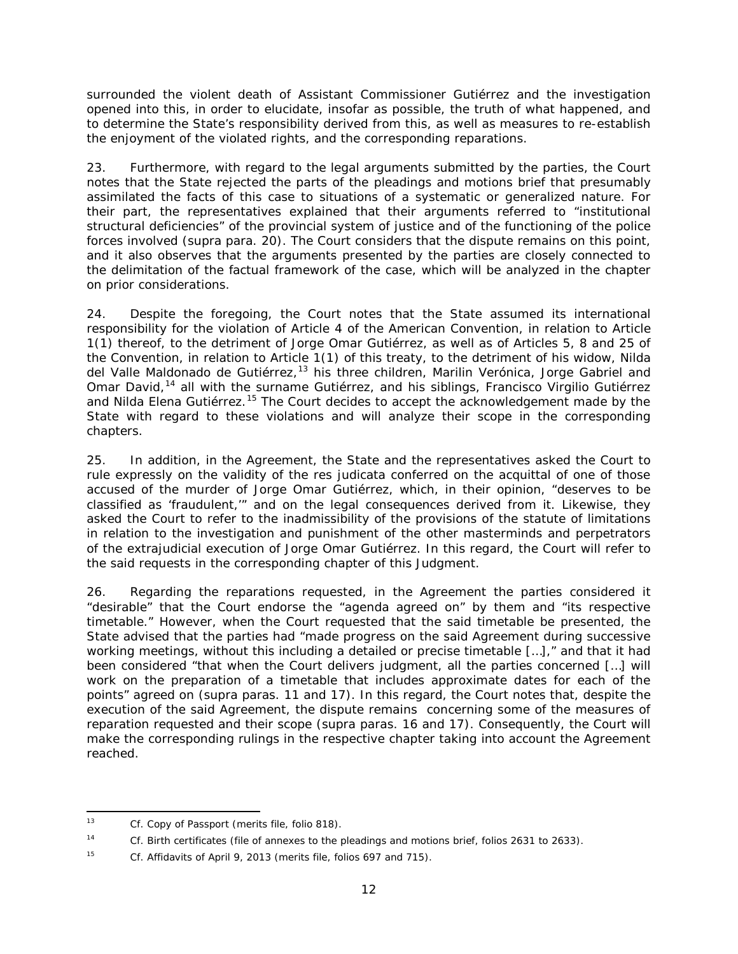surrounded the violent death of Assistant Commissioner Gutiérrez and the investigation opened into this, in order to elucidate, insofar as possible, the truth of what happened, and to determine the State's responsibility derived from this, as well as measures to re-establish the enjoyment of the violated rights, and the corresponding reparations.

23. Furthermore, with regard to the legal arguments submitted by the parties, the Court notes that the State rejected the parts of the pleadings and motions brief that presumably assimilated the facts of this case to situations of a systematic or generalized nature. For their part, the representatives explained that their arguments referred to "institutional structural deficiencies" of the provincial system of justice and of the functioning of the police forces involved (*supra* para. 20). The Court considers that the dispute remains on this point, and it also observes that the arguments presented by the parties are closely connected to the delimitation of the factual framework of the case, which will be analyzed in the chapter on prior considerations.

24. Despite the foregoing, the Court notes that the State assumed its international responsibility for the violation of Article 4 of the American Convention, in relation to Article 1(1) thereof, to the detriment of Jorge Omar Gutiérrez, as well as of Articles 5, 8 and 25 of the Convention, in relation to Article 1(1) of this treaty, to the detriment of his widow, Nilda del Valle Maldonado de Gutiérrez,<sup>[13](#page-11-0)</sup> his three children, Marilin Verónica, Jorge Gabriel and Omar David,<sup>[14](#page-11-1)</sup> all with the surname Gutiérrez, and his siblings, Francisco Virgilio Gutiérrez and Nilda Elena Gutiérrez.<sup>[15](#page-11-2)</sup> The Court decides to accept the acknowledgement made by the State with regard to these violations and will analyze their scope in the corresponding chapters.

25. In addition, in the Agreement, the State and the representatives asked the Court to rule expressly on the validity of the *res judicata* conferred on the acquittal of one of those accused of the murder of Jorge Omar Gutiérrez, which, in their opinion, "deserves to be classified as 'fraudulent,'" and on the legal consequences derived from it. Likewise, they asked the Court to refer to the inadmissibility of the provisions of the statute of limitations in relation to the investigation and punishment of the other masterminds and perpetrators of the extrajudicial execution of Jorge Omar Gutiérrez. In this regard, the Court will refer to the said requests in the corresponding chapter of this Judgment.

26. Regarding the reparations requested, in the Agreement the parties considered it "desirable" that the Court endorse the "agenda agreed on" by them and "its respective timetable." However, when the Court requested that the said timetable be presented, the State advised that the parties had "made progress on the said Agreement during successive working meetings, without this including a detailed or precise timetable […]," and that it had been considered "that when the Court delivers judgment, all the parties concerned […] will work on the preparation of a timetable that includes approximate dates for each of the points" agreed on (*supra* paras. 11 and 17). In this regard, the Court notes that, despite the execution of the said Agreement, the dispute remains concerning some of the measures of reparation requested and their scope (*supra* paras. 16 and 17). Consequently, the Court will make the corresponding rulings in the respective chapter taking into account the Agreement reached.

<span id="page-11-0"></span> <sup>13</sup> *Cf.* Copy of Passport (merits file, folio 818).

<span id="page-11-1"></span><sup>14</sup> *Cf.* Birth certificates (file of annexes to the pleadings and motions brief, folios 2631 to 2633).

<span id="page-11-2"></span><sup>15</sup> *Cf.* Affidavits of April 9, 2013 (merits file, folios 697 and 715).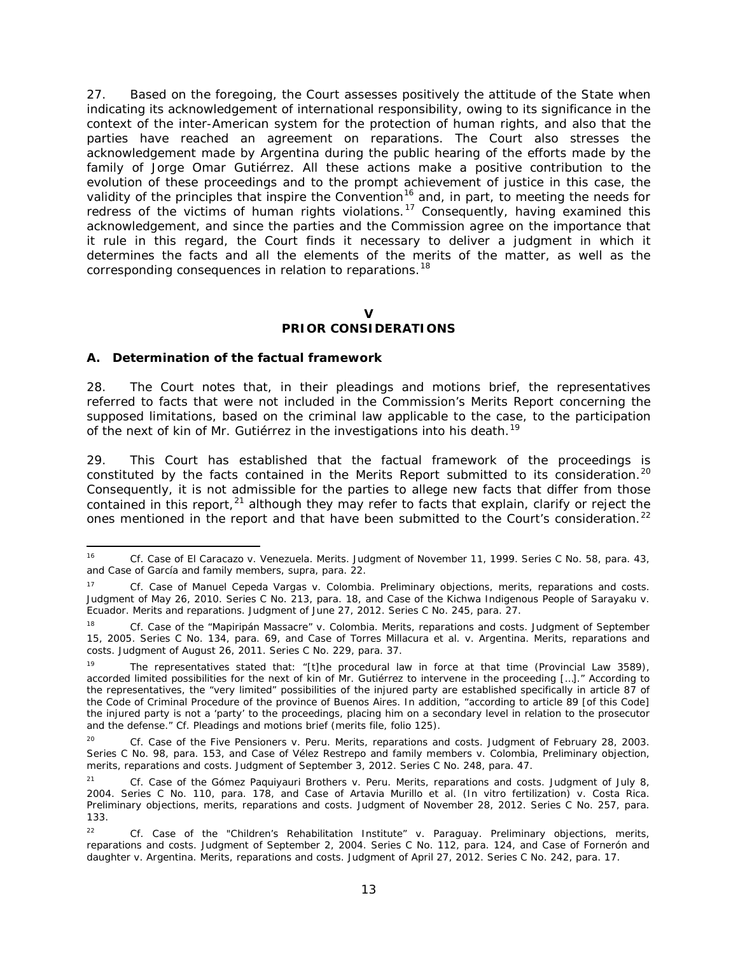27. Based on the foregoing, the Court assesses positively the attitude of the State when indicating its acknowledgement of international responsibility, owing to its significance in the context of the inter-American system for the protection of human rights, and also that the parties have reached an agreement on reparations. The Court also stresses the acknowledgement made by Argentina during the public hearing of the efforts made by the family of Jorge Omar Gutiérrez. All these actions make a positive contribution to the evolution of these proceedings and to the prompt achievement of justice in this case, the validity of the principles that inspire the Convention<sup>[16](#page-12-0)</sup> and, in part, to meeting the needs for redress of the victims of human rights violations.<sup>[17](#page-12-1)</sup> Consequently, having examined this acknowledgement, and since the parties and the Commission agree on the importance that it rule in this regard, the Court finds it necessary to deliver a judgment in which it determines the facts and all the elements of the merits of the matter, as well as the corresponding consequences in relation to reparations.<sup>[18](#page-12-2)</sup>

# **V**

# **PRIOR CONSIDERATIONS**

### *A. Determination of the factual framework*

28. The Court notes that, in their pleadings and motions brief, the representatives referred to facts that were not included in the Commission's Merits Report concerning the supposed limitations, based on the criminal law applicable to the case, to the participation of the next of kin of Mr. Gutiérrez in the investigations into his death.<sup>[19](#page-12-3)</sup>

29. This Court has established that the factual framework of the proceedings is constituted by the facts contained in the Merits Report submitted to its consideration.<sup>[20](#page-12-4)</sup> Consequently, it is not admissible for the parties to allege new facts that differ from those contained in this report,  $21$  although they may refer to facts that explain, clarify or reject the ones mentioned in the report and that have been submitted to the Court's consideration.<sup>[22](#page-12-6)</sup>

<span id="page-12-0"></span> <sup>16</sup> *Cf. Case of El Caracazo v. Venezuela. Merits.* Judgment of November 11, 1999. Series C No. 58, para. 43, and *Case of García and family members, supra,* para. 22.

<span id="page-12-1"></span><sup>17</sup> *Cf. Case of Manuel Cepeda Vargas v. Colombia. Preliminary objections, merits, reparations and costs.* Judgment of May 26, 2010. Series C No. 213, para. 18, and *Case of the Kichwa Indigenous People of Sarayaku v. Ecuador. Merits and reparations*. Judgment of June 27, 2012. Series C No. 245, para. 27.

<span id="page-12-2"></span><sup>18</sup> *Cf. Case of the "Mapiripán Massacre" v. Colombia. Merits, reparations and costs.* Judgment of September 15, 2005. Series C No. 134, para. 69, and *Case of Torres Millacura et al. v. Argentina. Merits, reparations and costs*. Judgment of August 26, 2011. Series C No. 229, para. 37.

<span id="page-12-3"></span><sup>&</sup>lt;sup>19</sup> The representatives stated that: "[t]he procedural law in force at that time (Provincial Law 3589), accorded limited possibilities for the next of kin of Mr. Gutiérrez to intervene in the proceeding […]." According to the representatives, the "very limited" possibilities of the injured party are established specifically in article 87 of the Code of Criminal Procedure of the province of Buenos Aires. In addition, "according to article 89 [of this Code] the injured party is not a 'party' to the proceedings, placing him on a secondary level in relation to the prosecutor and the defense." *Cf.* Pleadings and motions brief (merits file, folio 125).

<span id="page-12-4"></span><sup>20</sup> *Cf. Case of the Five Pensioners v. Peru. Merits, reparations and costs*. Judgment of February 28, 2003. Series C No. 98, para. 153, and *Case of Vélez Restrepo and family members v. Colombia, Preliminary objection, merits, reparations and costs*. Judgment of September 3, 2012. Series C No. 248, para. 47.

<span id="page-12-5"></span><sup>21</sup> *Cf. Case of the Gómez Paquiyauri Brothers v. Peru. Merits, reparations and costs.* Judgment of July 8, 2004. Series C No. 110, para. 178, and *Case of Artavia Murillo et al. (In vitro fertilization) v. Costa Rica. Preliminary objections, merits, reparations and costs*. Judgment of November 28, 2012. Series C No. 257, para. 133.

<span id="page-12-6"></span><sup>22</sup> *Cf. Case of the "Children's Rehabilitation Institute" v. Paraguay. Preliminary objections, merits, reparations and costs*. Judgment of September 2, 2004. Series C No. 112, para. 124, and *Case of Fornerón and daughter v. Argentina. Merits, reparations and costs*. Judgment of April 27, 2012. Series C No. 242, para. 17.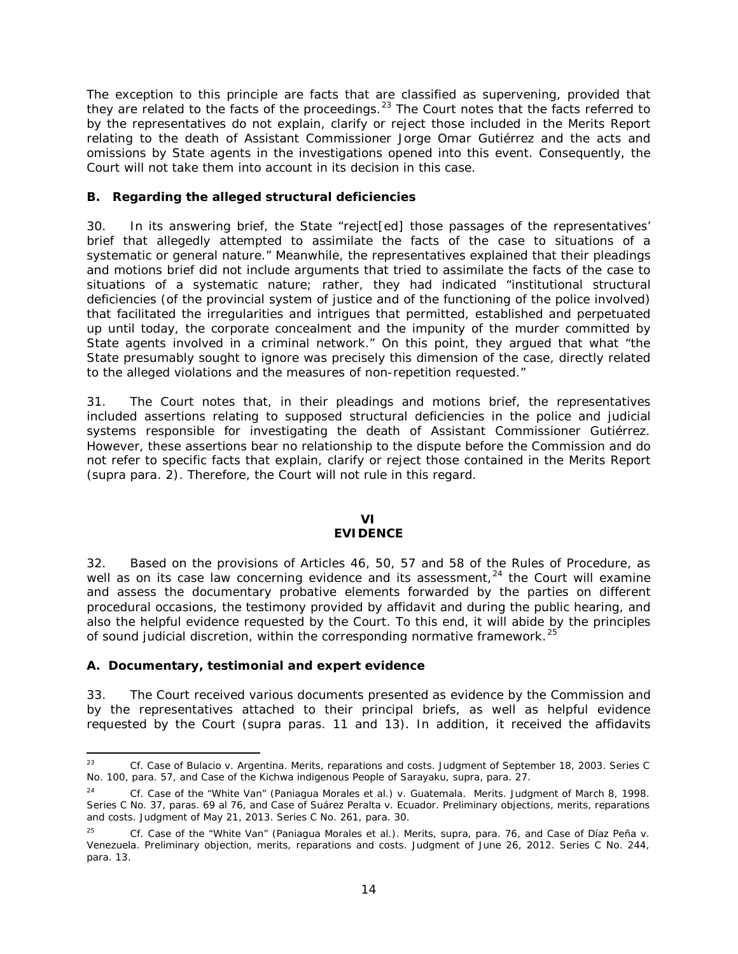The exception to this principle are facts that are classified as supervening, provided that they are related to the facts of the proceedings.<sup>[23](#page-13-0)</sup> The Court notes that the facts referred to by the representatives do not explain, clarify or reject those included in the Merits Report relating to the death of Assistant Commissioner Jorge Omar Gutiérrez and the acts and omissions by State agents in the investigations opened into this event. Consequently, the Court will not take them into account in its decision in this case.

#### *B. Regarding the alleged structural deficiencies*

30. In its answering brief, the State "reject[ed] those passages of the representatives' brief that allegedly attempted to assimilate the facts of the case to situations of a systematic or general nature." Meanwhile, the representatives explained that their pleadings and motions brief did not include arguments that tried to assimilate the facts of the case to situations of a systematic nature; rather, they had indicated "institutional structural deficiencies (of the provincial system of justice and of the functioning of the police involved) that facilitated the irregularities and intrigues that permitted, established and perpetuated up until today, the corporate concealment and the impunity of the murder committed by State agents involved in a criminal network." On this point, they argued that what "the State presumably sought to ignore was precisely this dimension of the case, directly related to the alleged violations and the measures of non-repetition requested."

31. The Court notes that, in their pleadings and motions brief, the representatives included assertions relating to supposed structural deficiencies in the police and judicial systems responsible for investigating the death of Assistant Commissioner Gutiérrez. However, these assertions bear no relationship to the dispute before the Commission and do not refer to specific facts that explain, clarify or reject those contained in the Merits Report (*supra* para. 2). Therefore, the Court will not rule in this regard.

#### **VI EVIDENCE**

32. Based on the provisions of Articles 46, 50, 57 and 58 of the Rules of Procedure, as well as on its case law concerning evidence and its assessment,<sup>[24](#page-13-1)</sup> the Court will examine and assess the documentary probative elements forwarded by the parties on different procedural occasions, the testimony provided by affidavit and during the public hearing, and also the helpful evidence requested by the Court. To this end, it will abide by the principles of sound judicial discretion, within the corresponding normative framework.<sup>[25](#page-13-2)</sup>

## *A. Documentary, testimonial and expert evidence*

33. The Court received various documents presented as evidence by the Commission and by the representatives attached to their principal briefs, as well as helpful evidence requested by the Court (*supra* paras. 11 and 13). In addition, it received the affidavits

<span id="page-13-0"></span> <sup>23</sup> *Cf. Case of Bulacio v. Argentina. Merits, reparations and costs.* Judgment of September 18, 2003. Series C No. 100, para. 57, and *Case of the Kichwa indigenous People of Sarayaku, supra*, para. 27.

<span id="page-13-1"></span><sup>24</sup> *Cf. Case of the "White Van" (Paniagua Morales et al.) v. Guatemala. Merits.* Judgment of March 8, 1998. Series C No. 37, paras. 69 al 76, and *Case of Suárez Peralta v. Ecuador. Preliminary objections, merits, reparations and costs.* Judgment of May 21, 2013. Series C No. 261, para. 30.

<span id="page-13-2"></span><sup>25</sup> *Cf. Case of the "White Van" (Paniagua Morales et al.). Merits, supra*, para. 76, and *Case of Díaz Peña v. Venezuela. Preliminary objection, merits, reparations and costs.* Judgment of June 26, 2012. Series C No. 244, para. 13.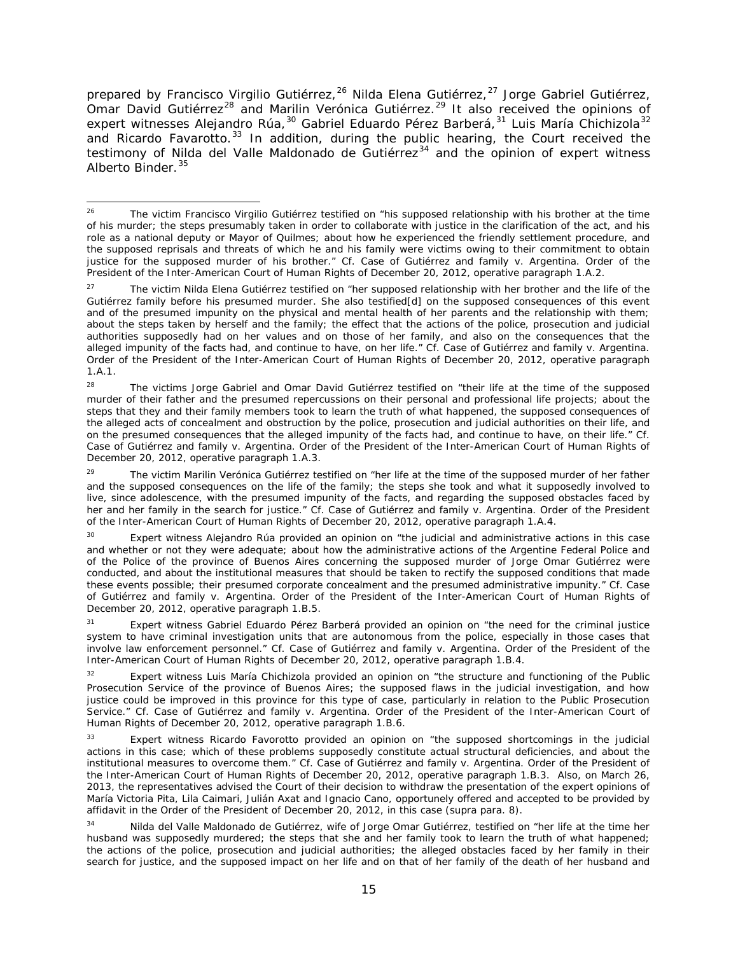prepared by Francisco Virgilio Gutiérrez,<sup>[26](#page-14-0)</sup> Nilda Elena Gutiérrez,<sup>[27](#page-14-1)</sup> Jorge Gabriel Gutiérrez, Omar David Gutiérrez<sup>[28](#page-14-2)</sup> and Marilin Verónica Gutiérrez.<sup>[29](#page-14-3)</sup> It also received the opinions of expert witnesses Alejandro Rúa,<sup>[30](#page-14-4)</sup> Gabriel Eduardo Pérez Barberá,<sup>[31](#page-14-5)</sup> Luis María Chichizola<sup>[32](#page-14-6)</sup> and Ricardo Favarotto.<sup>[33](#page-14-7)</sup> In addition, during the public hearing, the Court received the testimony of Nilda del Valle Maldonado de Gutiérrez<sup>[34](#page-14-8)</sup> and the opinion of expert witness Alberto Binder. <sup>[35](#page-14-9)</sup>

<span id="page-14-0"></span><sup>&</sup>lt;sup>26</sup> The victim Francisco Virgilio Gutiérrez testified on "his supposed relationship with his brother at the time of his murder; the steps presumably taken in order to collaborate with justice in the clarification of the act, and his role as a national deputy or Mayor of Quilmes; about how he experienced the friendly settlement procedure, and the supposed reprisals and threats of which he and his family were victims owing to their commitment to obtain justice for the supposed murder of his brother." *Cf. Case of Gutiérrez and family v. Argentina.* Order of the President of the Inter-American Court of Human Rights of December 20, 2012, operative paragraph 1.A.2.

<span id="page-14-1"></span><sup>&</sup>lt;sup>27</sup> The victim Nilda Elena Gutiérrez testified on "her supposed relationship with her brother and the life of the Gutiérrez family before his presumed murder. She also testified[d] on the supposed consequences of this event and of the presumed impunity on the physical and mental health of her parents and the relationship with them; about the steps taken by herself and the family; the effect that the actions of the police, prosecution and judicial authorities supposedly had on her values and on those of her family, and also on the consequences that the alleged impunity of the facts had, and continue to have, on her life." *Cf. Case of Gutiérrez and family v. Argentina.*  Order of the President of the Inter-American Court of Human Rights of December 20, 2012, operative paragraph 1.A.1.

<span id="page-14-2"></span><sup>&</sup>lt;sup>28</sup> The victims Jorge Gabriel and Omar David Gutiérrez testified on "their life at the time of the supposed murder of their father and the presumed repercussions on their personal and professional life projects; about the steps that they and their family members took to learn the truth of what happened, the supposed consequences of the alleged acts of concealment and obstruction by the police, prosecution and judicial authorities on their life, and on the presumed consequences that the alleged impunity of the facts had, and continue to have, on their life." *Cf. Case of Gutiérrez and family v. Argentina.* Order of the President of the Inter-American Court of Human Rights of December 20, 2012, operative paragraph 1.A.3.

<span id="page-14-3"></span><sup>&</sup>lt;sup>29</sup> The victim Marilin Verónica Gutiérrez testified on "her life at the time of the supposed murder of her father and the supposed consequences on the life of the family; the steps she took and what it supposedly involved to live, since adolescence, with the presumed impunity of the facts, and regarding the supposed obstacles faced by her and her family in the search for justice." *Cf. Case of Gutiérrez and family v. Argentina.* Order of the President of the Inter-American Court of Human Rights of December 20, 2012, operative paragraph 1.A.4.

<span id="page-14-4"></span>Expert witness Alejandro Rúa provided an opinion on "the judicial and administrative actions in this case and whether or not they were adequate; about how the administrative actions of the Argentine Federal Police and of the Police of the province of Buenos Aires concerning the supposed murder of Jorge Omar Gutiérrez were conducted, and about the institutional measures that should be taken to rectify the supposed conditions that made these events possible; their presumed corporate concealment and the presumed administrative impunity." *Cf. Case of Gutiérrez and family v. Argentina.* Order of the President of the Inter-American Court of Human Rights of December 20, 2012, operative paragraph 1.B.5.

<span id="page-14-9"></span><span id="page-14-5"></span><sup>&</sup>lt;sup>31</sup> Expert witness Gabriel Eduardo Pérez Barberá provided an opinion on "the need for the criminal justice system to have criminal investigation units that are autonomous from the police, especially in those cases that involve law enforcement personnel." *Cf. Case of Gutiérrez and family v. Argentina.* Order of the President of the Inter-American Court of Human Rights of December 20, 2012, operative paragraph 1.B.4.

<span id="page-14-6"></span><sup>&</sup>lt;sup>32</sup> Expert witness Luis María Chichizola provided an opinion on "the structure and functioning of the Public Prosecution Service of the province of Buenos Aires; the supposed flaws in the judicial investigation, and how justice could be improved in this province for this type of case, particularly in relation to the Public Prosecution Service." *Cf. Case of Gutiérrez and family v. Argentina.* Order of the President of the Inter-American Court of Human Rights of December 20, 2012, operative paragraph 1.B.6.

<span id="page-14-7"></span>Expert witness Ricardo Favorotto provided an opinion on "the supposed shortcomings in the judicial actions in this case; which of these problems supposedly constitute actual structural deficiencies, and about the institutional measures to overcome them." *Cf. Case of Gutiérrez and family v. Argentina.* Order of the President of the Inter-American Court of Human Rights of December 20, 2012, operative paragraph 1.B.3.Also, on March 26, 2013, the representatives advised the Court of their decision to withdraw the presentation of the expert opinions of María Victoria Pita, Lila Caimari, Julián Axat and Ignacio Cano, opportunely offered and accepted to be provided by affidavit in the Order of the President of December 20, 2012, in this case (*supra* para. 8).

<span id="page-14-8"></span><sup>34</sup> Nilda del Valle Maldonado de Gutiérrez, wife of Jorge Omar Gutiérrez, testified on "her life at the time her husband was supposedly murdered; the steps that she and her family took to learn the truth of what happened; the actions of the police, prosecution and judicial authorities; the alleged obstacles faced by her family in their search for justice, and the supposed impact on her life and on that of her family of the death of her husband and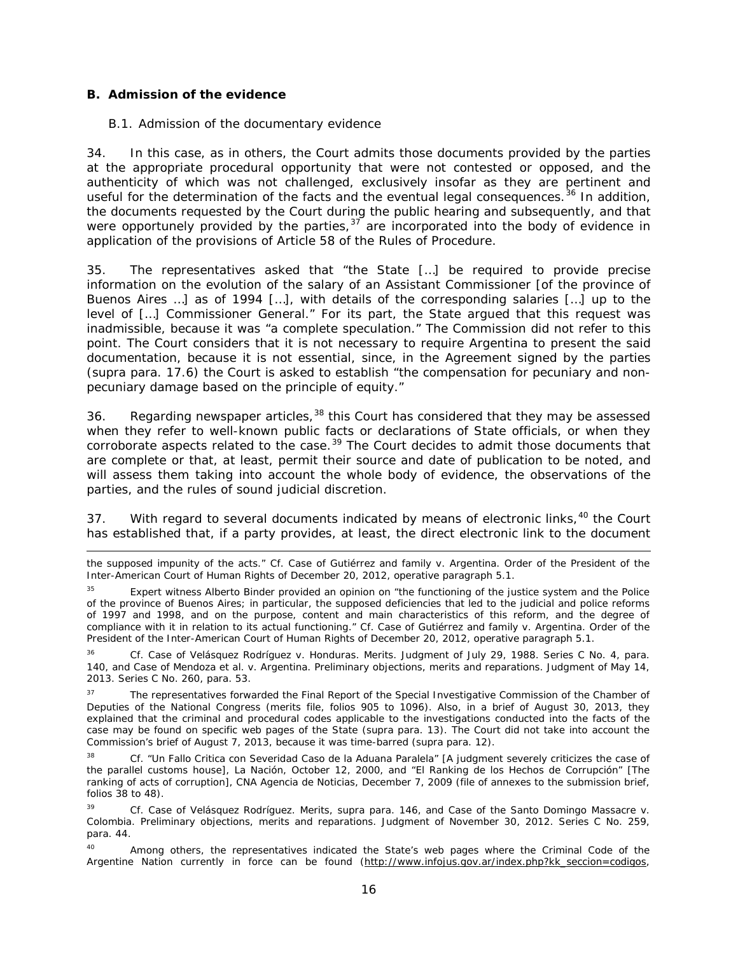#### *B. Admission of the evidence*

i,

#### <span id="page-15-0"></span>*B.1. Admission of the documentary evidence*

34. In this case, as in others, the Court admits those documents provided by the parties at the appropriate procedural opportunity that were not contested or opposed, and the authenticity of which was not challenged, exclusively insofar as they are pertinent and useful for the determination of the facts and the eventual legal consequences.<sup>[36](#page-15-1)</sup> In addition, the documents requested by the Court during the public hearing and subsequently, and that were opportunely provided by the parties,  $37$  are incorporated into the body of evidence in application of the provisions of Article 58 of the Rules of Procedure.

35. The representatives asked that "the State […] be required to provide precise information on the evolution of the salary of an Assistant Commissioner [of the province of Buenos Aires …] as of 1994 […], with details of the corresponding salaries […] up to the level of […] Commissioner General." For its part, the State argued that this request was inadmissible, because it was "a complete speculation." The Commission did not refer to this point. The Court considers that it is not necessary to require Argentina to present the said documentation, because it is not essential, since, in the Agreement signed by the parties (*supra* para. 17.6) the Court is asked to establish "the compensation for pecuniary and nonpecuniary damage based on the principle of equity."

36. Regarding newspaper articles,<sup>[38](#page-15-3)</sup> this Court has considered that they may be assessed when they refer to well-known public facts or declarations of State officials, or when they corroborate aspects related to the case.<sup>[39](#page-15-4)</sup> The Court decides to admit those documents that are complete or that, at least, permit their source and date of publication to be noted, and will assess them taking into account the whole body of evidence, the observations of the parties, and the rules of sound judicial discretion.

37. With regard to several documents indicated by means of electronic links,<sup>[40](#page-15-5)</sup> the Court has established that, if a party provides, at least, the direct electronic link to the document

the supposed impunity of the acts." *Cf. Case of Gutiérrez and family v. Argentina.* Order of the President of the Inter-American Court of Human Rights of December 20, 2012, operative paragraph 5.1.

<sup>&</sup>lt;sup>35</sup> Expert witness Alberto Binder provided an opinion on "the functioning of the justice system and the Police of the province of Buenos Aires; in particular, the supposed deficiencies that led to the judicial and police reforms of 1997 and 1998, and on the purpose, content and main characteristics of this reform, and the degree of compliance with it in relation to its actual functioning." *Cf. Case of Gutiérrez and family v. Argentina*. Order of the President of the Inter-American Court of Human Rights of December 20, 2012, operative paragraph 5.1.

<span id="page-15-1"></span><sup>36</sup> *Cf. Case of Velásquez Rodríguez v. Honduras. Merits*. Judgment of July 29, 1988. Series C No. 4, para. 140, and *Case of Mendoza et al. v. Argentina*. *Preliminary objections, merits and reparations.* Judgment of May 14, 2013. Series C No. 260, para. 53.

<span id="page-15-2"></span><sup>&</sup>lt;sup>37</sup> The representatives forwarded the Final Report of the Special Investigative Commission of the Chamber of Deputies of the National Congress (merits file, folios 905 to 1096). Also, in a brief of August 30, 2013, they explained that the criminal and procedural codes applicable to the investigations conducted into the facts of the case may be found on specific web pages of the State (*supra* para. 13). The Court did not take into account the Commission's brief of August 7, 2013, because it was time-barred (*supra* para. 12).

<span id="page-15-3"></span><sup>38</sup> *Cf.* "*Un Fallo Critica con Severidad Caso de la Aduana Paralela*" [A judgment severely criticizes the case of the parallel customs house], La Nación, October 12, 2000, and "*El Ranking de los Hechos de Corrupción*" [The ranking of acts of corruption], CNA Agencia de Noticias, December 7, 2009 (file of annexes to the submission brief, folios 38 to 48).

<span id="page-15-4"></span><sup>39</sup> *Cf. Case of Velásquez Rodríguez. Merits*, *supra* para. 146, and *Case of the Santo Domingo Massacre v. Colombia. Preliminary objections, merits and reparations.* Judgment of November 30, 2012. Series C No. 259, para. 44.

<span id="page-15-5"></span><sup>&</sup>lt;sup>40</sup> Among others, the representatives indicated the State's web pages where the Criminal Code of the Argentine Nation currently in force can be found [\(http://www.infojus.gov.ar/index.php?kk\\_seccion=codigos,](http://www.infojus.gov.ar/index.php?kk_seccion=codigos)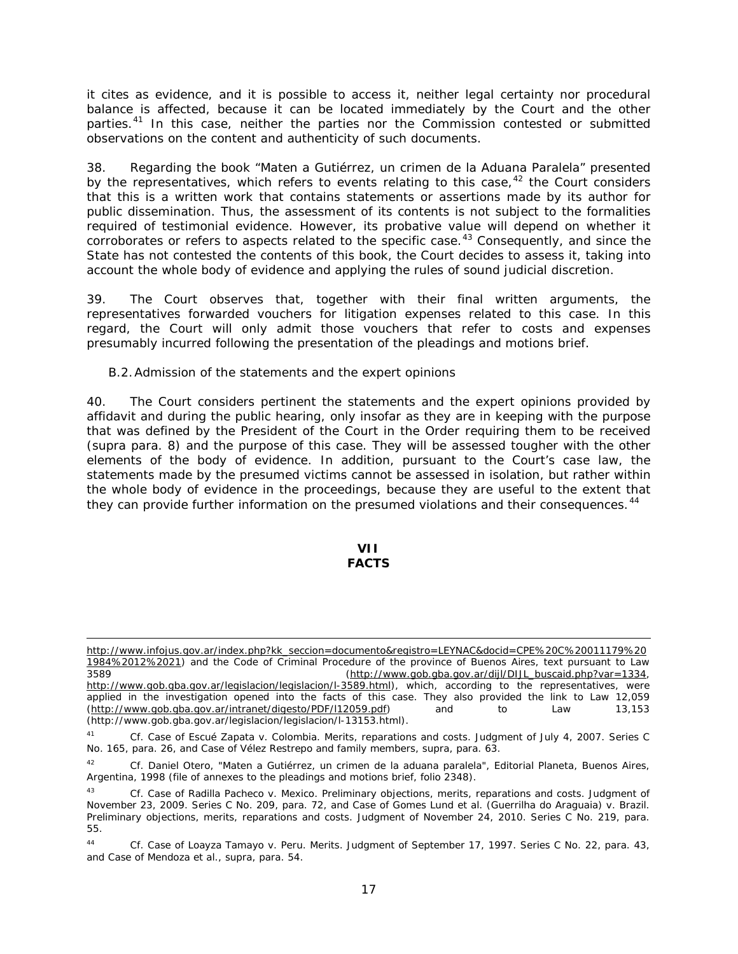it cites as evidence, and it is possible to access it, neither legal certainty nor procedural balance is affected, because it can be located immediately by the Court and the other parties.<sup>[41](#page-16-0)</sup> In this case, neither the parties nor the Commission contested or submitted observations on the content and authenticity of such documents.

38. Regarding the book "*Maten a Gutiérrez, un crimen de la Aduana Paralela*" presented by the representatives, which refers to events relating to this case,  $42$  the Court considers that this is a written work that contains statements or assertions made by its author for public dissemination. Thus, the assessment of its contents is not subject to the formalities required of testimonial evidence. However, its probative value will depend on whether it corroborates or refers to aspects related to the specific case.<sup>[43](#page-16-2)</sup> Consequently, and since the State has not contested the contents of this book, the Court decides to assess it, taking into account the whole body of evidence and applying the rules of sound judicial discretion.

39. The Court observes that, together with their final written arguments, the representatives forwarded vouchers for litigation expenses related to this case. In this regard, the Court will only admit those vouchers that refer to costs and expenses presumably incurred following the presentation of the pleadings and motions brief.

#### *B.2.Admission of the statements and the expert opinions*

i,

40. The Court considers pertinent the statements and the expert opinions provided by affidavit and during the public hearing, only insofar as they are in keeping with the purpose that was defined by the President of the Court in the Order requiring them to be received (*supra* para. 8) and the purpose of this case. They will be assessed tougher with the other elements of the body of evidence. In addition, pursuant to the Court's case law, the statements made by the presumed victims cannot be assessed in isolation, but rather within the whole body of evidence in the proceedings, because they are useful to the extent that they can provide further information on the presumed violations and their consequences.<sup>[44](#page-16-3)</sup>

#### **VII FACTS**

[http://www.infojus.gov.ar/index.php?kk\\_seccion=documento&registro=LEYNAC&docid=CPE%20C%20011179%20](http://www.infojus.gov.ar/index.php?kk_seccion=documento®istro=LEYNAC&docid=CPE%20C%20011179%201984%2012%2021) [1984%2012%2021\)](http://www.infojus.gov.ar/index.php?kk_seccion=documento®istro=LEYNAC&docid=CPE%20C%20011179%201984%2012%2021) and the Code of Criminal Procedure of the province of Buenos Aires, text pursuant to Law 3589 [\(http://www.gob.gba.gov.ar/dijl/DIJL\\_buscaid.php?var=1334,](http://www.gob.gba.gov.ar/dijl/DIJL_buscaid.php?var=1334) [http://www.gob.gba.gov.ar/legislacion/legislacion/l-3589.html\)](http://www.gob.gba.gov.ar/legislacion/legislacion/l-3589.html), which, according to the representatives, were applied in the investigation opened into the facts of this case. They also provided the link to Law 12,059 [\(http://www.gob.gba.gov.ar/intranet/digesto/PDF/l12059.pdf\)](http://www.gob.gba.gov.ar/intranet/digesto/PDF/l12059.pdf) and to Law 13,153 (http://www.gob.gba.gov.ar/legislacion/legislacion/l-13153.html).

<span id="page-16-0"></span><sup>41</sup> *Cf. Case of Escué Zapata v. Colombia. Merits, reparations and costs*. Judgment of July 4, 2007. Series C No. 165, para. 26, and *Case of Vélez Restrepo and family members, supra,* para. 63.

<span id="page-16-1"></span><sup>42</sup> *Cf.* Daniel Otero, *"Maten a Gutiérrez, un crimen de la aduana paralela*", Editorial Planeta, Buenos Aires, Argentina, 1998 (file of annexes to the pleadings and motions brief, folio 2348).

<span id="page-16-2"></span><sup>43</sup> *Cf. Case of Radilla Pacheco v. Mexico. Preliminary objections, merits, reparations and costs.* Judgment of November 23, 2009. Series C No. 209, para. 72, and *Case of Gomes Lund et al. (Guerrilha do Araguaia) v. Brazil. Preliminary objections, merits, reparations and costs*. Judgment of November 24, 2010. Series C No. 219, para. 55.

<span id="page-16-3"></span><sup>44</sup> *Cf. Case of Loayza Tamayo v. Peru. Merits.* Judgment of September 17, 1997. Series C No. 22, para. 43, and *Case of Mendoza et al.*, *supra*, para. 54.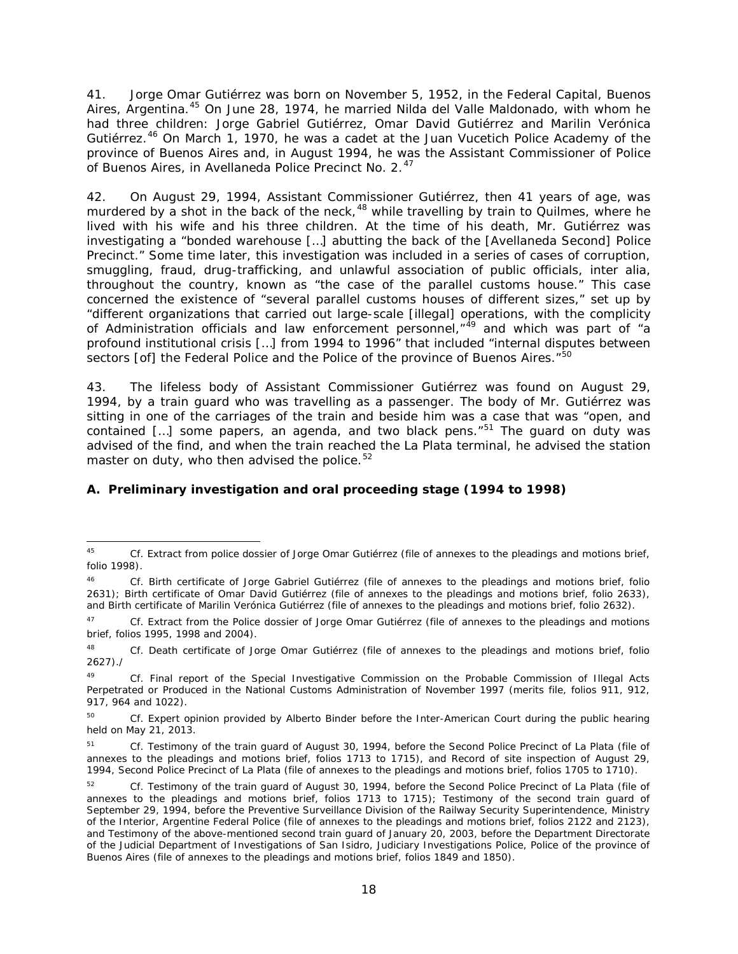41. Jorge Omar Gutiérrez was born on November 5, 1952, in the Federal Capital, Buenos Aires, Argentina.<sup>[45](#page-17-0)</sup> On June 28, 1974, he married Nilda del Valle Maldonado, with whom he had three children: Jorge Gabriel Gutiérrez, Omar David Gutiérrez and Marilin Verónica Gutiérrez.<sup>[46](#page-17-1)</sup> On March 1, 1970, he was a cadet at the Juan Vucetich Police Academy of the province of Buenos Aires and, in August 1994, he was the Assistant Commissioner of Police of Buenos Aires, in Avellaneda Police Precinct No. 2.<sup>[47](#page-17-2)</sup>

42. On August 29, 1994, Assistant Commissioner Gutiérrez, then 41 years of age, was murdered by a shot in the back of the neck,  $48$  while travelling by train to Quilmes, where he lived with his wife and his three children. At the time of his death, Mr. Gutiérrez was investigating a "bonded warehouse […] abutting the back of the [Avellaneda Second] Police Precinct." Some time later, this investigation was included in a series of cases of corruption, smuggling, fraud, drug-trafficking, and unlawful association of public officials, *inter alia*, throughout the country, known as "the case of the parallel customs house." This case concerned the existence of "several parallel customs houses of different sizes," set up by "different organizations that carried out large-scale [illegal] operations, with the complicity of Administration officials and law enforcement personnel,"<sup>[49](#page-17-4)</sup> and which was part of "a profound institutional crisis […] from 1994 to 1996" that included "internal disputes between sectors [of] the Federal Police and the Police of the province of Buenos Aires."<sup>[50](#page-17-5)</sup>

43. The lifeless body of Assistant Commissioner Gutiérrez was found on August 29, 1994, by a train guard who was travelling as a passenger. The body of Mr. Gutiérrez was sitting in one of the carriages of the train and beside him was a case that was "open, and contained  $[...]$  some papers, an agenda, and two black pens." $51$  The guard on duty was advised of the find, and when the train reached the La Plata terminal, he advised the station master on duty, who then advised the police.<sup>[52](#page-17-7)</sup>

#### *A. Preliminary investigation and oral proceeding stage (1994 to 1998)*

<span id="page-17-0"></span> <sup>45</sup> *Cf.* Extract from police dossier of Jorge Omar Gutiérrez (file of annexes to the pleadings and motions brief, folio 1998).

<span id="page-17-1"></span><sup>46</sup> *Cf.* Birth certificate of Jorge Gabriel Gutiérrez (file of annexes to the pleadings and motions brief, folio 2631); Birth certificate of Omar David Gutiérrez (file of annexes to the pleadings and motions brief, folio 2633), and Birth certificate of Marilin Verónica Gutiérrez (file of annexes to the pleadings and motions brief, folio 2632).

<span id="page-17-2"></span><sup>47</sup> *Cf.* Extract from the Police dossier of Jorge Omar Gutiérrez (file of annexes to the pleadings and motions brief, folios 1995, 1998 and 2004).

<span id="page-17-3"></span><sup>48</sup> *Cf.* Death certificate of Jorge Omar Gutiérrez (file of annexes to the pleadings and motions brief, folio 2627)./

<span id="page-17-4"></span><sup>49</sup> *Cf.* Final report of the Special Investigative Commission on the Probable Commission of Illegal Acts Perpetrated or Produced in the National Customs Administration of November 1997 (merits file, folios 911, 912, 917, 964 and 1022).

<span id="page-17-5"></span><sup>&</sup>lt;sup>50</sup> *Cf.* Expert opinion provided by Alberto Binder before the Inter-American Court during the public hearing held on May 21, 2013.

<span id="page-17-6"></span><sup>51</sup> *Cf.* Testimony of the train guard of August 30, 1994, before the Second Police Precinct of La Plata (file of annexes to the pleadings and motions brief, folios 1713 to 1715), and Record of site inspection of August 29, 1994, Second Police Precinct of La Plata (file of annexes to the pleadings and motions brief, folios 1705 to 1710).

<span id="page-17-7"></span><sup>52</sup> *Cf.* Testimony of the train guard of August 30, 1994, before the Second Police Precinct of La Plata (file of annexes to the pleadings and motions brief, folios 1713 to 1715); Testimony of the second train guard of September 29, 1994, before the Preventive Surveillance Division of the Railway Security Superintendence, Ministry of the Interior, Argentine Federal Police (file of annexes to the pleadings and motions brief, folios 2122 and 2123), and Testimony of the above-mentioned second train guard of January 20, 2003, before the Department Directorate of the Judicial Department of Investigations of San Isidro, Judiciary Investigations Police, Police of the province of Buenos Aires (file of annexes to the pleadings and motions brief, folios 1849 and 1850).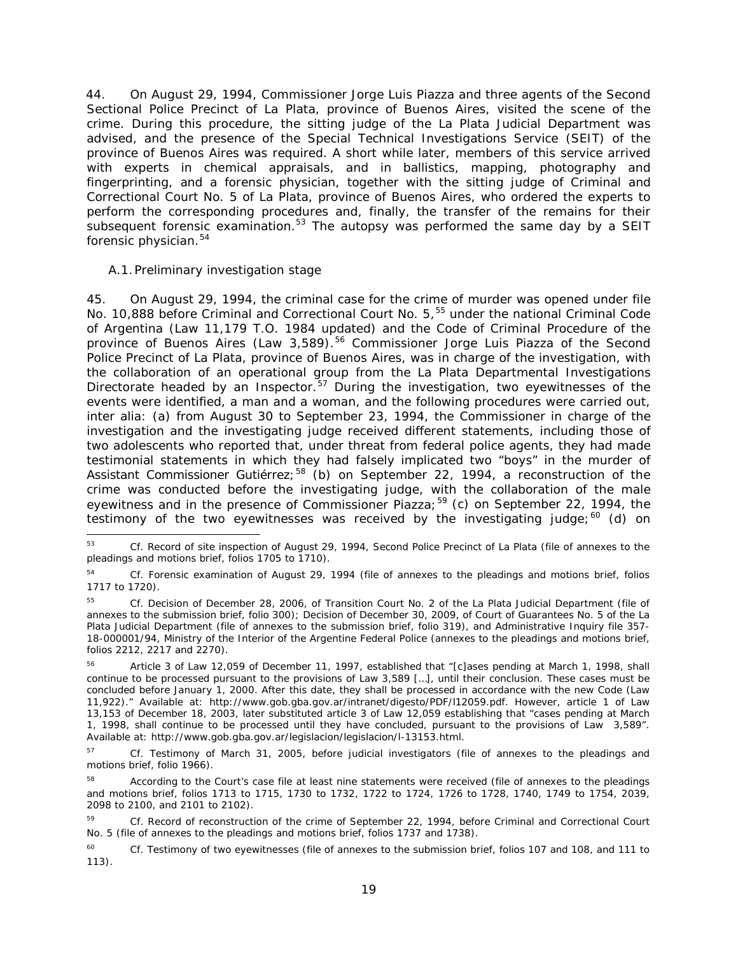44. On August 29, 1994, Commissioner Jorge Luis Piazza and three agents of the Second Sectional Police Precinct of La Plata, province of Buenos Aires, visited the scene of the crime. During this procedure, the sitting judge of the La Plata Judicial Department was advised, and the presence of the Special Technical Investigations Service (SEIT) of the province of Buenos Aires was required. A short while later, members of this service arrived with experts in chemical appraisals, and in ballistics, mapping, photography and fingerprinting, and a forensic physician, together with the sitting judge of Criminal and Correctional Court No. 5 of La Plata, province of Buenos Aires, who ordered the experts to perform the corresponding procedures and, finally, the transfer of the remains for their subsequent forensic examination.<sup>[53](#page-18-0)</sup> The autopsy was performed the same day by a SEIT forensic physician.<sup>[54](#page-18-1)</sup>

#### *A.1.Preliminary investigation stage*

45. On August 29, 1994, the criminal case for the crime of murder was opened under file No. 10,888 before Criminal and Correctional Court No. 5,<sup>[55](#page-18-2)</sup> under the national Criminal Code of Argentina (Law 11,179 T.O. 1984 updated) and the Code of Criminal Procedure of the province of Buenos Aires (Law 3,589).<sup>[56](#page-18-3)</sup> Commissioner Jorge Luis Piazza of the Second Police Precinct of La Plata, province of Buenos Aires, was in charge of the investigation, with the collaboration of an operational group from the La Plata Departmental Investigations Directorate headed by an Inspector.<sup>[57](#page-18-4)</sup> During the investigation, two eyewitnesses of the events were identified, a man and a woman, and the following procedures were carried out, *inter alia*: (a) from August 30 to September 23, 1994, the Commissioner in charge of the investigation and the investigating judge received different statements, including those of two adolescents who reported that, under threat from federal police agents, they had made testimonial statements in which they had falsely implicated two "boys" in the murder of Assistant Commissioner Gutiérrez;<sup>[58](#page-18-5)</sup> (b) on September 22, 1994, a reconstruction of the crime was conducted before the investigating judge, with the collaboration of the male eyewitness and in the presence of Commissioner Piazza;  $59$  (c) on September 22, 1994, the testimony of the two eyewitnesses was received by the investigating judge; $^{60}$  $^{60}$  $^{60}$  (d) on

<span id="page-18-0"></span> <sup>53</sup> *Cf.* Record of site inspection of August 29, 1994, Second Police Precinct of La Plata (file of annexes to the pleadings and motions brief, folios 1705 to 1710).

<span id="page-18-1"></span><sup>54</sup> *Cf.* Forensic examination of August 29, 1994 (file of annexes to the pleadings and motions brief, folios 1717 to 1720).

<span id="page-18-2"></span><sup>55</sup> *Cf.* Decision of December 28, 2006, of Transition Court No. 2 of the La Plata Judicial Department (file of annexes to the submission brief, folio 300); Decision of December 30, 2009, of Court of Guarantees No. 5 of the La Plata Judicial Department (file of annexes to the submission brief, folio 319)*,* and Administrative Inquiry file 357- 18-000001/94, Ministry of the Interior of the Argentine Federal Police (annexes to the pleadings and motions brief, folios 2212, 2217 and 2270).

<span id="page-18-3"></span><sup>56</sup> Article 3 of Law 12,059 of December 11, 1997, established that "[c]ases pending at March 1, 1998, shall continue to be processed pursuant to the provisions of Law 3,589 […], until their conclusion. These cases must be concluded before January 1, 2000. After this date, they shall be processed in accordance with the new Code (Law 11,922)." Available at: http://www.gob.gba.gov.ar/intranet/digesto/PDF/l12059.pdf. However, article 1 of Law 13,153 of December 18, 2003, later substituted article 3 of Law 12,059 establishing that "cases pending at March 1, 1998, shall continue to be processed until they have concluded, pursuant to the provisions of Law 3,589". Available at: http://www.gob.gba.gov.ar/legislacion/legislacion/l-13153.html.

<span id="page-18-4"></span><sup>57</sup> *Cf.* Testimony of March 31, 2005, before judicial investigators (file of annexes to the pleadings and motions brief, folio 1966).

<span id="page-18-5"></span>According to the Court's case file at least nine statements were received (file of annexes to the pleadings and motions brief, folios 1713 to 1715, 1730 to 1732, 1722 to 1724, 1726 to 1728, 1740, 1749 to 1754, 2039, 2098 to 2100, and 2101 to 2102).

<span id="page-18-6"></span><sup>59</sup> *Cf.* Record of reconstruction of the crime of September 22, 1994, before Criminal and Correctional Court No. 5 (file of annexes to the pleadings and motions brief, folios 1737 and 1738).

<span id="page-18-7"></span><sup>&</sup>lt;sup>60</sup> *Cf.* Testimony of two eyewitnesses (file of annexes to the submission brief, folios 107 and 108, and 111 to 113).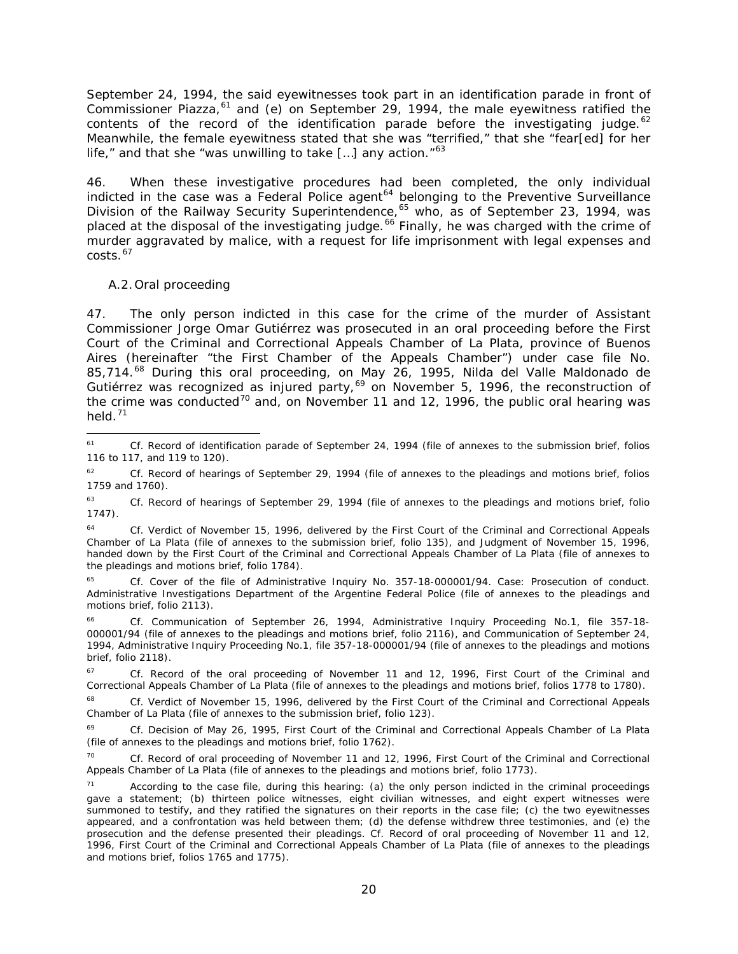September 24, 1994, the said eyewitnesses took part in an identification parade in front of Commissioner Piazza,<sup>[61](#page-19-0)</sup> and (e) on September 29, 1994, the male eyewitness ratified the contents of the record of the identification parade before the investigating judge. $62$ Meanwhile, the female eyewitness stated that she was "terrified," that she "fear[ed] for her life," and that she "was unwilling to take [...] any action. $"^{63}$  $"^{63}$  $"^{63}$ 

46. When these investigative procedures had been completed, the only individual indicted in the case was a Federal Police agent<sup>[64](#page-19-3)</sup> belonging to the Preventive Surveillance Division of the Railway Security Superintendence,<sup>[65](#page-19-4)</sup> who, as of September 23, 1994, was placed at the disposal of the investigating judge.<sup>[66](#page-19-5)</sup> Finally, he was charged with the crime of murder aggravated by malice, with a request for life imprisonment with legal expenses and  $costs.<sup>67</sup>$  $costs.<sup>67</sup>$  $costs.<sup>67</sup>$ 

#### *A.2.Oral proceeding*

47. The only person indicted in this case for the crime of the murder of Assistant Commissioner Jorge Omar Gutiérrez was prosecuted in an oral proceeding before the First Court of the Criminal and Correctional Appeals Chamber of La Plata, province of Buenos Aires (hereinafter "the First Chamber of the Appeals Chamber") under case file No. 85,714.<sup>[68](#page-19-7)</sup> During this oral proceeding, on May 26, 1995, Nilda del Valle Maldonado de Gutiérrez was recognized as injured party,<sup>[69](#page-19-8)</sup> on November 5, 1996, the reconstruction of the crime was conducted<sup>[70](#page-19-9)</sup> and, on November 11 and 12, 1996, the public oral hearing was held.[71](#page-19-10)

<span id="page-19-0"></span> <sup>61</sup> *Cf.* Record of identification parade of September 24, 1994 (file of annexes to the submission brief, folios 116 to 117, and 119 to 120).

<span id="page-19-1"></span><sup>62</sup> *Cf.* Record of hearings of September 29, 1994 (file of annexes to the pleadings and motions brief, folios 1759 and 1760).

<span id="page-19-2"></span><sup>63</sup> *Cf.* Record of hearings of September 29, 1994 (file of annexes to the pleadings and motions brief, folio 1747).

<span id="page-19-3"></span><sup>64</sup> *Cf.* Verdict of November 15, 1996, delivered by the First Court of the Criminal and Correctional Appeals Chamber of La Plata (file of annexes to the submission brief, folio 135), and Judgment of November 15, 1996, handed down by the First Court of the Criminal and Correctional Appeals Chamber of La Plata (file of annexes to the pleadings and motions brief, folio 1784).

<span id="page-19-4"></span><sup>65</sup> *Cf.* Cover of the file of Administrative Inquiry No. 357-18-000001/94. Case: Prosecution of conduct. Administrative Investigations Department of the Argentine Federal Police (file of annexes to the pleadings and motions brief, folio 2113).

<span id="page-19-5"></span><sup>66</sup> *Cf.* Communication of September 26, 1994, Administrative Inquiry Proceeding No.1, file 357-18- 000001/94 (file of annexes to the pleadings and motions brief, folio 2116), and Communication of September 24, 1994, Administrative Inquiry Proceeding No.1, file 357-18-000001/94 (file of annexes to the pleadings and motions brief, folio 2118).

<span id="page-19-6"></span><sup>&</sup>lt;sup>67</sup> *Cf.* Record of the oral proceeding of November 11 and 12, 1996, First Court of the Criminal and Correctional Appeals Chamber of La Plata (file of annexes to the pleadings and motions brief, folios 1778 to 1780).

<span id="page-19-7"></span>Cf. Verdict of November 15, 1996, delivered by the First Court of the Criminal and Correctional Appeals Chamber of La Plata (file of annexes to the submission brief, folio 123).

<span id="page-19-8"></span><sup>69</sup> *Cf.* Decision of May 26, 1995, First Court of the Criminal and Correctional Appeals Chamber of La Plata (file of annexes to the pleadings and motions brief, folio 1762).

<span id="page-19-9"></span>Cf. Record of oral proceeding of November 11 and 12, 1996, First Court of the Criminal and Correctional Appeals Chamber of La Plata (file of annexes to the pleadings and motions brief, folio 1773).

<span id="page-19-10"></span><sup>&</sup>lt;sup>71</sup> According to the case file, during this hearing: (a) the only person indicted in the criminal proceedings gave a statement; (b) thirteen police witnesses, eight civilian witnesses, and eight expert witnesses were summoned to testify, and they ratified the signatures on their reports in the case file; (c) the two eyewitnesses appeared, and a confrontation was held between them; (d) the defense withdrew three testimonies, and (e) the prosecution and the defense presented their pleadings. *Cf.* Record of oral proceeding of November 11 and 12, 1996, First Court of the Criminal and Correctional Appeals Chamber of La Plata (file of annexes to the pleadings and motions brief, folios 1765 and 1775).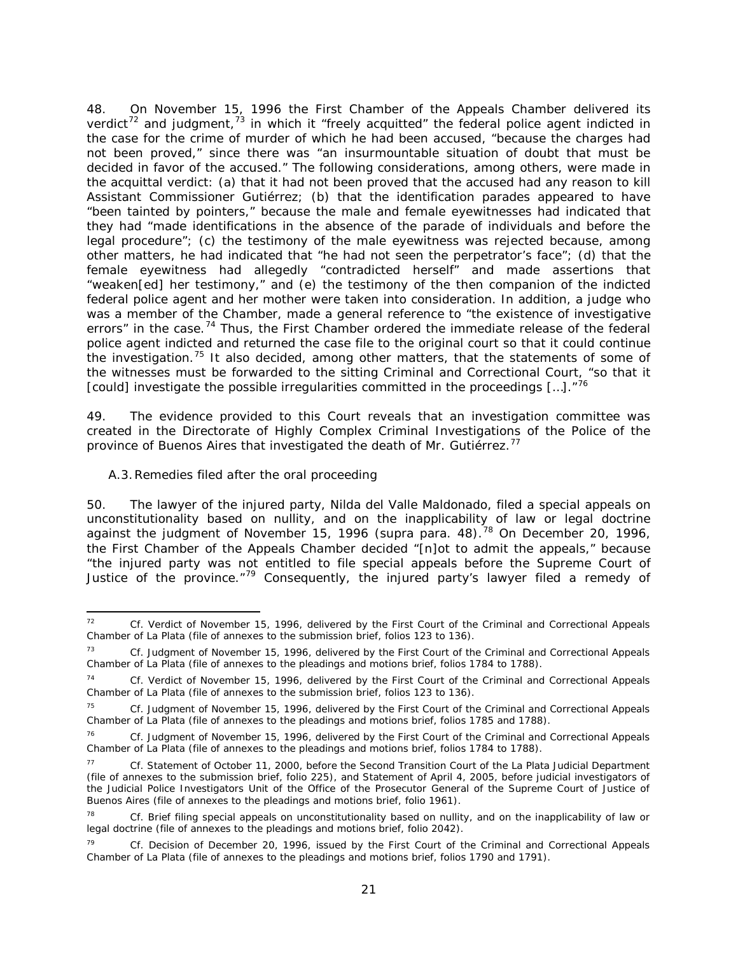48. On November 15, 1996 the First Chamber of the Appeals Chamber delivered its verdict<sup>[72](#page-20-1)</sup> and judgment,<sup>[73](#page-20-2)</sup> in which it "freely acquitted" the federal police agent indicted in the case for the crime of murder of which he had been accused, "because the charges had not been proved," since there was "an insurmountable situation of doubt that must be decided in favor of the accused." The following considerations, among others, were made in the acquittal verdict: (a) that it had not been proved that the accused had any reason to kill Assistant Commissioner Gutiérrez; (b) that the identification parades appeared to have "been tainted by pointers," because the male and female eyewitnesses had indicated that they had "made identifications in the absence of the parade of individuals and before the legal procedure"; (c) the testimony of the male eyewitness was rejected because, among other matters, he had indicated that "he had not seen the perpetrator's face"; (d) that the female eyewitness had allegedly "contradicted herself" and made assertions that "weaken[ed] her testimony," and (e) the testimony of the then companion of the indicted federal police agent and her mother were taken into consideration. In addition, a judge who was a member of the Chamber, made a general reference to "the existence of investigative errors" in the case.<sup>[74](#page-20-3)</sup> Thus, the First Chamber ordered the immediate release of the federal police agent indicted and returned the case file to the original court so that it could continue the investigation.<sup>[75](#page-20-4)</sup> It also decided, among other matters, that the statements of some of the witnesses must be forwarded to the sitting Criminal and Correctional Court, "so that it [could] investigate the possible irregularities committed in the proceedings [...]."<sup>[76](#page-20-5)</sup>

49. The evidence provided to this Court reveals that an investigation committee was created in the Directorate of Highly Complex Criminal Investigations of the Police of the province of Buenos Aires that investigated the death of Mr. Gutiérrez.<sup>[77](#page-20-6)</sup>

#### <span id="page-20-0"></span>*A.3.Remedies filed after the oral proceeding*

50. The lawyer of the injured party, Nilda del Valle Maldonado, filed a special appeals on unconstitutionality based on nullity, and on the inapplicability of law or legal doctrine against the judgment of November 15, 1996 (*supra* para. 48).[78](#page-20-7) On December 20, 1996, the First Chamber of the Appeals Chamber decided "[n]ot to admit the appeals," because "the injured party was not entitled to file special appeals before the Supreme Court of Justice of the province."<sup>[79](#page-20-8)</sup> Consequently, the injured party's lawyer filed a remedy of

<span id="page-20-1"></span> <sup>72</sup> *Cf.* Verdict of November 15, 1996, delivered by the First Court of the Criminal and Correctional Appeals Chamber of La Plata (file of annexes to the submission brief, folios 123 to 136).

<span id="page-20-2"></span><sup>73</sup> *Cf.* Judgment of November 15, 1996, delivered by the First Court of the Criminal and Correctional Appeals Chamber of La Plata (file of annexes to the pleadings and motions brief, folios 1784 to 1788).

<span id="page-20-3"></span><sup>74</sup> *Cf.* Verdict of November 15, 1996, delivered by the First Court of the Criminal and Correctional Appeals Chamber of La Plata (file of annexes to the submission brief, folios 123 to 136).

<span id="page-20-4"></span><sup>75</sup> *Cf.* Judgment of November 15, 1996, delivered by the First Court of the Criminal and Correctional Appeals Chamber of La Plata (file of annexes to the pleadings and motions brief, folios 1785 and 1788).

<span id="page-20-5"></span><sup>76</sup> *Cf.* Judgment of November 15, 1996, delivered by the First Court of the Criminal and Correctional Appeals Chamber of La Plata (file of annexes to the pleadings and motions brief, folios 1784 to 1788).

<span id="page-20-6"></span><sup>77</sup> *Cf.* Statement of October 11, 2000, before the Second Transition Court of the La Plata Judicial Department (file of annexes to the submission brief, folio 225), and Statement of April 4, 2005, before judicial investigators of the Judicial Police Investigators Unit of the Office of the Prosecutor General of the Supreme Court of Justice of Buenos Aires (file of annexes to the pleadings and motions brief, folio 1961).

<span id="page-20-7"></span><sup>78</sup> *Cf.* Brief filing special appeals on unconstitutionality based on nullity, and on the inapplicability of law or legal doctrine (file of annexes to the pleadings and motions brief, folio 2042).

<span id="page-20-8"></span><sup>79</sup> *Cf.* Decision of December 20, 1996, issued by the First Court of the Criminal and Correctional Appeals Chamber of La Plata (file of annexes to the pleadings and motions brief, folios 1790 and 1791).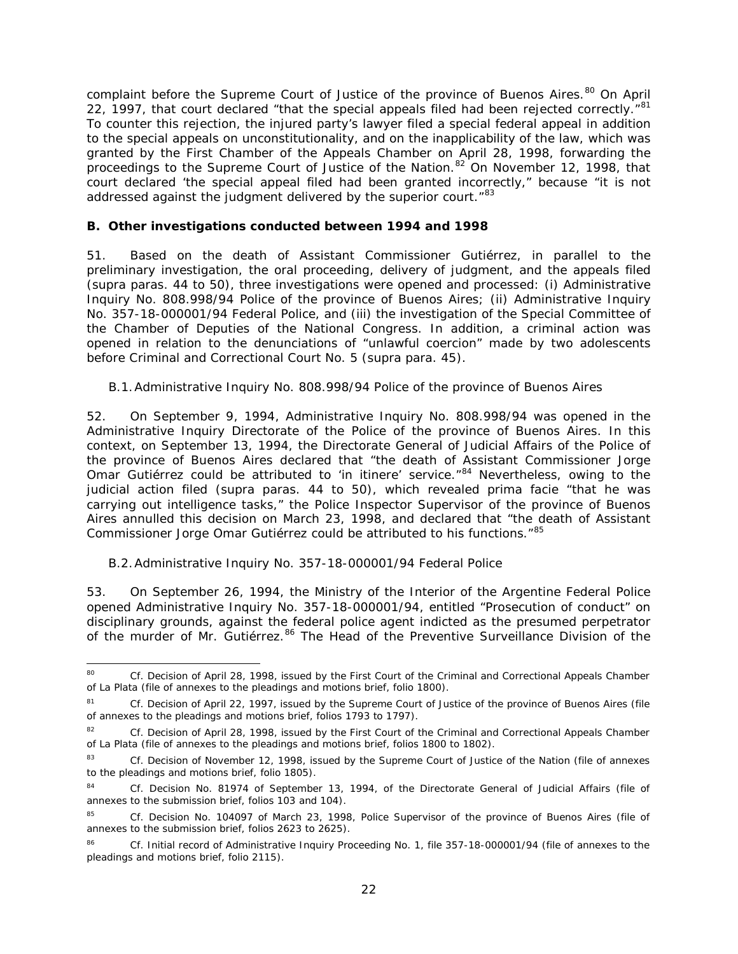complaint before the Supreme Court of Justice of the province of Buenos Aires.<sup>[80](#page-21-3)</sup> On April 22, 1997, that court declared "that the special appeals filed had been rejected correctly."<sup>[81](#page-21-4)</sup> To counter this rejection, the injured party's lawyer filed a special federal appeal in addition to the special appeals on unconstitutionality, and on the inapplicability of the law, which was granted by the First Chamber of the Appeals Chamber on April 28, 1998, forwarding the proceedings to the Supreme Court of Justice of the Nation.<sup>[82](#page-21-5)</sup> On November 12, 1998, that court declared 'the special appeal filed had been granted incorrectly," because "it is not addressed against the judgment delivered by the superior court."<sup>[83](#page-21-6)</sup>

#### <span id="page-21-0"></span>*B. Other investigations conducted between 1994 and 1998*

51. Based on the death of Assistant Commissioner Gutiérrez, in parallel to the preliminary investigation, the oral proceeding, delivery of judgment, and the appeals filed (*supra* paras. 44 to 50), three investigations were opened and processed: (i) Administrative Inquiry No. 808.998/94 Police of the province of Buenos Aires; (ii) Administrative Inquiry No. 357-18-000001/94 Federal Police, and (iii) the investigation of the Special Committee of the Chamber of Deputies of the National Congress. In addition, a criminal action was opened in relation to the denunciations of "unlawful coercion" made by two adolescents before Criminal and Correctional Court No. 5 (*supra* para. 45).

### <span id="page-21-1"></span>*B.1.Administrative Inquiry No. 808.998/94 Police of the province of Buenos Aires*

52. On September 9, 1994, Administrative Inquiry No. 808.998/94 was opened in the Administrative Inquiry Directorate of the Police of the province of Buenos Aires. In this context, on September 13, 1994, the Directorate General of Judicial Affairs of the Police of the province of Buenos Aires declared that "the death of Assistant Commissioner Jorge Omar Gutiérrez could be attributed to '*in itinere'* service."[84](#page-21-7) Nevertheless, owing to the judicial action filed (*supra* paras. 44 to 50), which revealed *prima facie* "that he was carrying out intelligence tasks," the Police Inspector Supervisor of the province of Buenos Aires annulled this decision on March 23, 1998, and declared that "the death of Assistant Commissioner Jorge Omar Gutiérrez could be attributed to his functions."[85](#page-21-8)

#### <span id="page-21-2"></span>*B.2.Administrative Inquiry No. 357-18-000001/94 Federal Police*

53. On September 26, 1994, the Ministry of the Interior of the Argentine Federal Police opened Administrative Inquiry No. 357-18-000001/94, entitled "Prosecution of conduct" on disciplinary grounds, against the federal police agent indicted as the presumed perpetrator of the murder of Mr. Gutiérrez.<sup>[86](#page-21-9)</sup> The Head of the Preventive Surveillance Division of the

<span id="page-21-3"></span><sup>80</sup> *Cf.* Decision of April 28, 1998, issued by the First Court of the Criminal and Correctional Appeals Chamber of La Plata (file of annexes to the pleadings and motions brief, folio 1800).

<span id="page-21-4"></span><sup>&</sup>lt;sup>81</sup> *Cf.* Decision of April 22, 1997, issued by the Supreme Court of Justice of the province of Buenos Aires (file of annexes to the pleadings and motions brief, folios 1793 to 1797).

<span id="page-21-5"></span><sup>82</sup> *Cf.* Decision of April 28, 1998, issued by the First Court of the Criminal and Correctional Appeals Chamber of La Plata (file of annexes to the pleadings and motions brief, folios 1800 to 1802).

<span id="page-21-6"></span><sup>83</sup> *Cf.* Decision of November 12, 1998, issued by the Supreme Court of Justice of the Nation (file of annexes to the pleadings and motions brief, folio 1805).

<span id="page-21-7"></span><sup>84</sup> *Cf.* Decision No. 81974 of September 13, 1994, of the Directorate General of Judicial Affairs (file of annexes to the submission brief, folios 103 and 104).

<span id="page-21-8"></span><sup>85</sup> *Cf.* Decision No. 104097 of March 23, 1998, Police Supervisor of the province of Buenos Aires (file of annexes to the submission brief, folios 2623 to 2625).

<span id="page-21-9"></span><sup>86</sup> *Cf.* Initial record of Administrative Inquiry Proceeding No. 1, file 357-18-000001/94 (file of annexes to the pleadings and motions brief, folio 2115).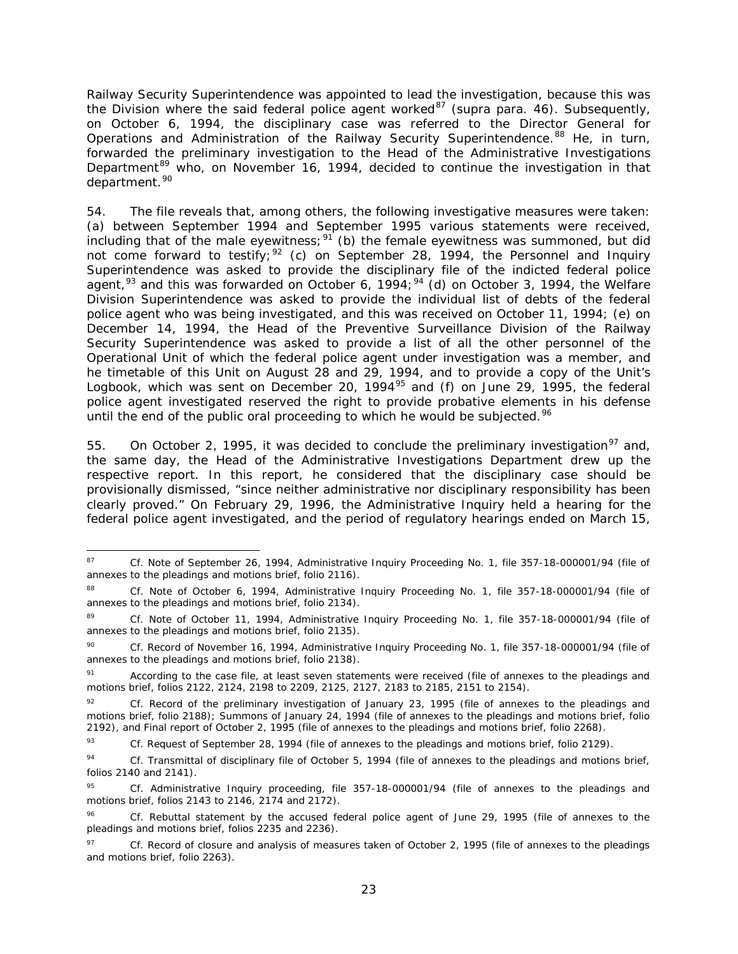Railway Security Superintendence was appointed to lead the investigation, because this was the Division where the said federal police agent worked<sup>[87](#page-22-0)</sup> (*supra* para. 46). Subsequently, on October 6, 1994, the disciplinary case was referred to the Director General for Operations and Administration of the Railway Security Superintendence.<sup>[88](#page-22-1)</sup> He, in turn, forwarded the preliminary investigation to the Head of the Administrative Investigations Department<sup>[89](#page-22-2)</sup> who, on November 16, 1994, decided to continue the investigation in that department.<sup>[90](#page-22-3)</sup>

54. The file reveals that, among others, the following investigative measures were taken: (a) between September 1994 and September 1995 various statements were received, including that of the male eyewitness;  $91$  (b) the female eyewitness was summoned, but did not come forward to testify;  $92$  (c) on September 28, 1994, the Personnel and Inquiry Superintendence was asked to provide the disciplinary file of the indicted federal police agent,  $93$  and this was forwarded on October 6, 19[94](#page-22-7);  $94$  (d) on October 3, 1994, the Welfare Division Superintendence was asked to provide the individual list of debts of the federal police agent who was being investigated, and this was received on October 11, 1994; (e) on December 14, 1994, the Head of the Preventive Surveillance Division of the Railway Security Superintendence was asked to provide a list of all the other personnel of the Operational Unit of which the federal police agent under investigation was a member, and he timetable of this Unit on August 28 and 29, 1994, and to provide a copy of the Unit's Logbook, which was sent on December 20, 1994<sup>[95](#page-22-8)</sup> and (f) on June 29, 1995, the federal police agent investigated reserved the right to provide probative elements in his defense until the end of the public oral proceeding to which he would be subjected.<sup>[96](#page-22-9)</sup>

55. On October 2, 1995, it was decided to conclude the preliminary investigation<sup>[97](#page-22-10)</sup> and, the same day, the Head of the Administrative Investigations Department drew up the respective report. In this report, he considered that the disciplinary case should be provisionally dismissed, "since neither administrative nor disciplinary responsibility has been clearly proved." On February 29, 1996, the Administrative Inquiry held a hearing for the federal police agent investigated, and the period of regulatory hearings ended on March 15,

<span id="page-22-0"></span><sup>87</sup> *Cf.* Note of September 26, 1994, Administrative Inquiry Proceeding No. 1, file 357-18-000001/94 (file of annexes to the pleadings and motions brief, folio 2116).

<span id="page-22-1"></span><sup>88</sup> *Cf.* Note of October 6, 1994, Administrative Inquiry Proceeding No. 1, file 357-18-000001/94 (file of annexes to the pleadings and motions brief, folio 2134).

<span id="page-22-2"></span><sup>89</sup> *Cf.* Note of October 11, 1994, Administrative Inquiry Proceeding No. 1, file 357-18-000001/94 (file of annexes to the pleadings and motions brief, folio 2135).

<span id="page-22-3"></span><sup>90</sup> *Cf.* Record of November 16, 1994, Administrative Inquiry Proceeding No. 1, file 357-18-000001/94 (file of annexes to the pleadings and motions brief, folio 2138).

<span id="page-22-4"></span><sup>91</sup> According to the case file, at least seven statements were received (file of annexes to the pleadings and motions brief, folios 2122, 2124, 2198 to 2209, 2125, 2127, 2183 to 2185, 2151 to 2154).

<span id="page-22-5"></span>Cf. Record of the preliminary investigation of January 23, 1995 (file of annexes to the pleadings and motions brief, folio 2188); Summons of January 24, 1994 (file of annexes to the pleadings and motions brief, folio 2192), and Final report of October 2, 1995 (file of annexes to the pleadings and motions brief, folio 2268).

<span id="page-22-6"></span><sup>93</sup> *Cf.* Request of September 28, 1994 (file of annexes to the pleadings and motions brief, folio 2129).

<span id="page-22-7"></span><sup>94</sup> *Cf.* Transmittal of disciplinary file of October 5, 1994 (file of annexes to the pleadings and motions brief, folios 2140 and 2141).

<span id="page-22-8"></span><sup>95</sup> *Cf.* Administrative Inquiry proceeding, file 357-18-000001/94 (file of annexes to the pleadings and motions brief, folios 2143 to 2146, 2174 and 2172).

<span id="page-22-9"></span><sup>96</sup> *Cf.* Rebuttal statement by the accused federal police agent of June 29, 1995 (file of annexes to the pleadings and motions brief, folios 2235 and 2236).

<span id="page-22-10"></span><sup>97</sup> *Cf.* Record of closure and analysis of measures taken of October 2, 1995 (file of annexes to the pleadings and motions brief, folio 2263).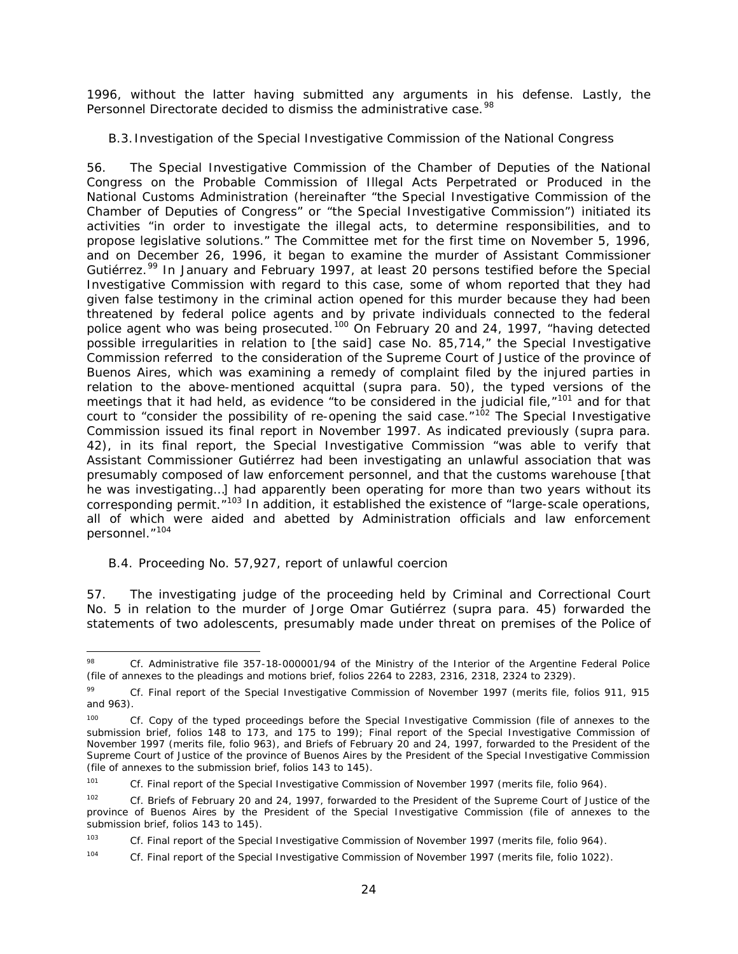1996, without the latter having submitted any arguments in his defense. Lastly, the Personnel Directorate decided to dismiss the administrative case.<sup>[98](#page-23-1)</sup>

### <span id="page-23-0"></span>*B.3. Investigation of the Special Investigative Commission of the National Congress*

56. The Special Investigative Commission of the Chamber of Deputies of the National Congress on the Probable Commission of Illegal Acts Perpetrated or Produced in the National Customs Administration (hereinafter "the Special Investigative Commission of the Chamber of Deputies of Congress" or "the Special Investigative Commission") initiated its activities "in order to investigate the illegal acts, to determine responsibilities, and to propose legislative solutions." The Committee met for the first time on November 5, 1996, and on December 26, 1996, it began to examine the murder of Assistant Commissioner Gutiérrez.<sup>[99](#page-23-2)</sup> In January and February 1997, at least 20 persons testified before the Special Investigative Commission with regard to this case, some of whom reported that they had given false testimony in the criminal action opened for this murder because they had been threatened by federal police agents and by private individuals connected to the federal police agent who was being prosecuted.<sup>[100](#page-23-3)</sup> On February 20 and 24, 1997, "having detected possible irregularities in relation to [the said] case No. 85,714," the Special Investigative Commission referred to the consideration of the Supreme Court of Justice of the province of Buenos Aires, which was examining a remedy of complaint filed by the injured parties in relation to the above-mentioned acquittal (*supra* para. 50), the typed versions of the meetings that it had held, as evidence "to be considered in the judicial file,"<sup>[101](#page-23-4)</sup> and for that court to "consider the possibility of re-opening the said case." $102$  The Special Investigative Commission issued its final report in November 1997. As indicated previously (*supra* para. 42), in its final report, the Special Investigative Commission "was able to verify that Assistant Commissioner Gutiérrez had been investigating an unlawful association that was presumably composed of law enforcement personnel, and that the customs warehouse [that he was investigating…] had apparently been operating for more than two years without its corresponding permit.<sup>"[103](#page-23-6)</sup> In addition, it established the existence of "large-scale operations, all of which were aided and abetted by Administration officials and law enforcement personnel."<sup>[104](#page-23-7)</sup>

#### *B.4. Proceeding No. 57,927, report of unlawful coercion*

57. The investigating judge of the proceeding held by Criminal and Correctional Court No. 5 in relation to the murder of Jorge Omar Gutiérrez (*supra* para. 45) forwarded the statements of two adolescents, presumably made under threat on premises of the Police of

<span id="page-23-1"></span> <sup>98</sup> *Cf.* Administrative file 357-18-000001/94 of the Ministry of the Interior of the Argentine Federal Police (file of annexes to the pleadings and motions brief, folios 2264 to 2283, 2316, 2318, 2324 to 2329).

<span id="page-23-2"></span><sup>99</sup> *Cf.* Final report of the Special Investigative Commission of November 1997 (merits file, folios 911, 915 and 963).

<span id="page-23-3"></span><sup>&</sup>lt;sup>100</sup> *Cf.* Copy of the typed proceedings before the Special Investigative Commission (file of annexes to the submission brief, folios 148 to 173, and 175 to 199); Final report of the Special Investigative Commission of November 1997 (merits file, folio 963), and Briefs of February 20 and 24, 1997, forwarded to the President of the Supreme Court of Justice of the province of Buenos Aires by the President of the Special Investigative Commission (file of annexes to the submission brief, folios 143 to 145).

<span id="page-23-4"></span><sup>&</sup>lt;sup>101</sup> *Cf.* Final report of the Special Investigative Commission of November 1997 (merits file, folio 964).

<span id="page-23-5"></span><sup>102</sup> *Cf.* Briefs of February 20 and 24, 1997, forwarded to the President of the Supreme Court of Justice of the province of Buenos Aires by the President of the Special Investigative Commission (file of annexes to the submission brief, folios 143 to 145).

<span id="page-23-6"></span><sup>&</sup>lt;sup>103</sup> *Cf.* Final report of the Special Investigative Commission of November 1997 (merits file, folio 964).

<span id="page-23-7"></span><sup>104</sup> *Cf.* Final report of the Special Investigative Commission of November 1997 (merits file, folio 1022).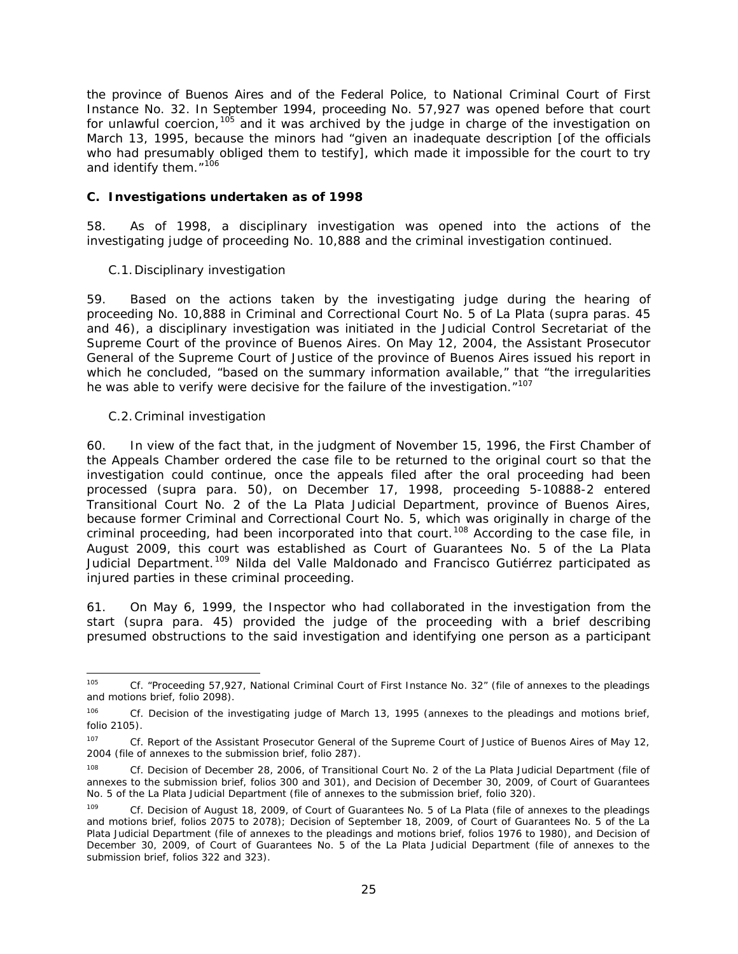the province of Buenos Aires and of the Federal Police, to National Criminal Court of First Instance No. 32. In September 1994, proceeding No. 57,927 was opened before that court for unlawful coercion,  $105$  and it was archived by the judge in charge of the investigation on March 13, 1995, because the minors had "given an inadequate description [of the officials who had presumably obliged them to testify], which made it impossible for the court to try and identify them."<sup>[106](#page-24-2)</sup>

#### <span id="page-24-0"></span>*C. Investigations undertaken as of 1998*

58. As of 1998, a disciplinary investigation was opened into the actions of the investigating judge of proceeding No. 10,888 and the criminal investigation continued.

### *C.1.Disciplinary investigation*

59. Based on the actions taken by the investigating judge during the hearing of proceeding No. 10,888 in Criminal and Correctional Court No. 5 of La Plata (*supra* paras. 45 and 46), a disciplinary investigation was initiated in the Judicial Control Secretariat of the Supreme Court of the province of Buenos Aires. On May 12, 2004, the Assistant Prosecutor General of the Supreme Court of Justice of the province of Buenos Aires issued his report in which he concluded, "based on the summary information available," that "the irregularities he was able to verify were decisive for the failure of the investigation."<sup>[107](#page-24-3)</sup>

### *C.2.Criminal investigation*

60. In view of the fact that, in the judgment of November 15, 1996, the First Chamber of the Appeals Chamber ordered the case file to be returned to the original court so that the investigation could continue, once the appeals filed after the oral proceeding had been processed (*supra* para. 50), on December 17, 1998, proceeding 5-10888-2 entered Transitional Court No. 2 of the La Plata Judicial Department, province of Buenos Aires, because former Criminal and Correctional Court No. 5, which was originally in charge of the criminal proceeding, had been incorporated into that court.<sup>[108](#page-24-4)</sup> According to the case file, in August 2009, this court was established as Court of Guarantees No. 5 of the La Plata Judicial Department.<sup>[109](#page-24-5)</sup> Nilda del Valle Maldonado and Francisco Gutiérrez participated as injured parties in these criminal proceeding.

61. On May 6, 1999, the Inspector who had collaborated in the investigation from the start (*supra* para. 45) provided the judge of the proceeding with a brief describing presumed obstructions to the said investigation and identifying one person as a participant

<span id="page-24-1"></span> <sup>105</sup> *Cf. "*Proceeding 57,927, National Criminal Court of First Instance No. 32" (file of annexes to the pleadings and motions brief, folio 2098).

<span id="page-24-2"></span><sup>106</sup> *Cf.* Decision of the investigating judge of March 13, 1995 (annexes to the pleadings and motions brief, folio 2105).

<span id="page-24-3"></span><sup>&</sup>lt;sup>107</sup> *Cf.* Report of the Assistant Prosecutor General of the Supreme Court of Justice of Buenos Aires of May 12, 2004 (file of annexes to the submission brief, folio 287).

<span id="page-24-4"></span><sup>108</sup> *Cf.* Decision of December 28, 2006, of Transitional Court No. 2 of the La Plata Judicial Department (file of annexes to the submission brief, folios 300 and 301), and Decision of December 30, 2009, of Court of Guarantees No. 5 of the La Plata Judicial Department (file of annexes to the submission brief, folio 320).

<span id="page-24-5"></span>Cf. Decision of August 18, 2009, of Court of Guarantees No. 5 of La Plata (file of annexes to the pleadings and motions brief, folios 2075 to 2078); Decision of September 18, 2009, of Court of Guarantees No. 5 of the La Plata Judicial Department (file of annexes to the pleadings and motions brief, folios 1976 to 1980), and Decision of December 30, 2009, of Court of Guarantees No. 5 of the La Plata Judicial Department (file of annexes to the submission brief, folios 322 and 323).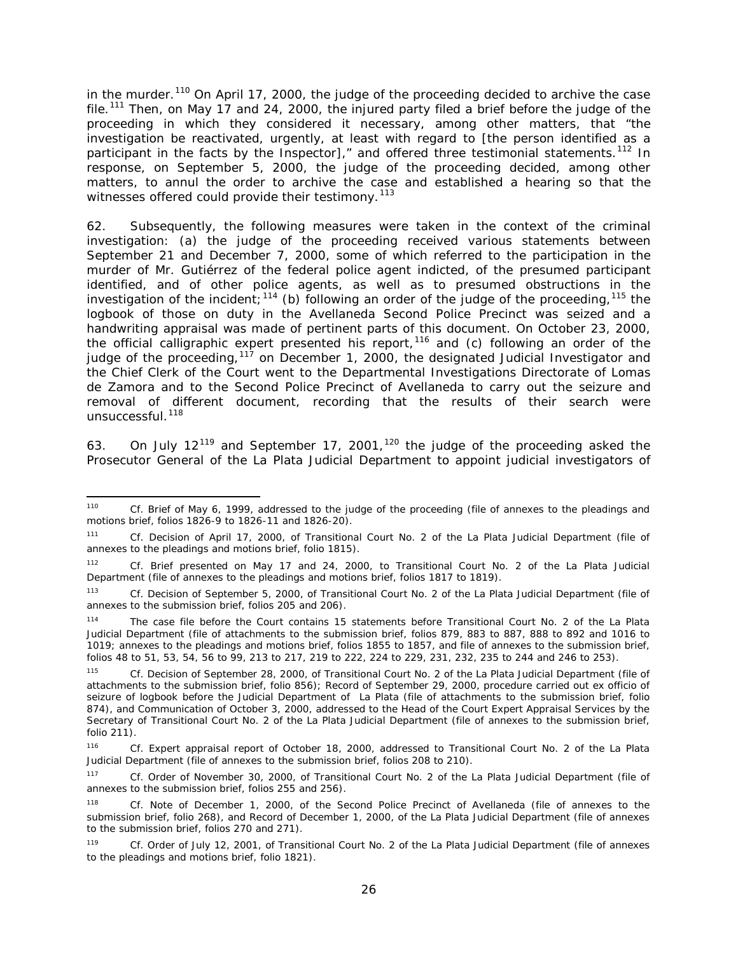in the murder.<sup>[110](#page-25-0)</sup> On April 17, 2000, the judge of the proceeding decided to archive the case file.<sup>[111](#page-25-1)</sup> Then, on May 17 and 24, 2000, the injured party filed a brief before the judge of the proceeding in which they considered it necessary, among other matters, that "the investigation be reactivated, urgently, at least with regard to [the person identified as a participant in the facts by the Inspector]," and offered three testimonial statements.<sup>[112](#page-25-2)</sup> In response, on September 5, 2000, the judge of the proceeding decided, among other matters, to annul the order to archive the case and established a hearing so that the witnesses offered could provide their testimony.<sup>[113](#page-25-3)</sup>

62. Subsequently, the following measures were taken in the context of the criminal investigation: (a) the judge of the proceeding received various statements between September 21 and December 7, 2000, some of which referred to the participation in the murder of Mr. Gutiérrez of the federal police agent indicted, of the presumed participant identified, and of other police agents, as well as to presumed obstructions in the investigation of the incident;  $^{114}$  $^{114}$  $^{114}$  (b) following an order of the judge of the proceeding,  $^{115}$  $^{115}$  $^{115}$  the logbook of those on duty in the Avellaneda Second Police Precinct was seized and a handwriting appraisal was made of pertinent parts of this document. On October 23, 2000, the official calligraphic expert presented his report,<sup>[116](#page-25-6)</sup> and (c) following an order of the judge of the proceeding,  $117$  on December 1, 2000, the designated Judicial Investigator and the Chief Clerk of the Court went to the Departmental Investigations Directorate of Lomas de Zamora and to the Second Police Precinct of Avellaneda to carry out the seizure and removal of different document, recording that the results of their search were unsuccessful.<sup>[118](#page-25-8)</sup>

63. On July 12<sup>[119](#page-25-9)</sup> and September 17, 2001,<sup>[120](#page-25-10)</sup> the judge of the proceeding asked the Prosecutor General of the La Plata Judicial Department to appoint judicial investigators of

<span id="page-25-10"></span><span id="page-25-0"></span> <sup>110</sup> *Cf.* Brief of May 6, 1999, addressed to the judge of the proceeding (file of annexes to the pleadings and motions brief, folios 1826-9 to 1826-11 and 1826-20).

<span id="page-25-1"></span><sup>111</sup> *Cf.* Decision of April 17, 2000, of Transitional Court No. 2 of the La Plata Judicial Department (file of annexes to the pleadings and motions brief, folio 1815).

<span id="page-25-2"></span><sup>112</sup> *Cf.* Brief presented on May 17 and 24, 2000, to Transitional Court No. 2 of the La Plata Judicial Department (file of annexes to the pleadings and motions brief, folios 1817 to 1819).

<span id="page-25-3"></span><sup>113</sup> *Cf.* Decision of September 5, 2000, of Transitional Court No. 2 of the La Plata Judicial Department (file of annexes to the submission brief, folios 205 and 206).

<span id="page-25-4"></span><sup>114</sup> The case file before the Court contains 15 statements before Transitional Court No. 2 of the La Plata Judicial Department (file of attachments to the submission brief, folios 879, 883 to 887, 888 to 892 and 1016 to 1019; annexes to the pleadings and motions brief, folios 1855 to 1857, and file of annexes to the submission brief, folios 48 to 51, 53, 54, 56 to 99, 213 to 217, 219 to 222, 224 to 229, 231, 232, 235 to 244 and 246 to 253).

<span id="page-25-5"></span><sup>115</sup> *Cf.* Decision of September 28, 2000, of Transitional Court No. 2 of the La Plata Judicial Department (file of attachments to the submission brief, folio 856); Record of September 29, 2000, procedure carried out *ex officio* of seizure of logbook before the Judicial Department of La Plata (file of attachments to the submission brief, folio 874), and Communication of October 3, 2000, addressed to the Head of the Court Expert Appraisal Services by the Secretary of Transitional Court No. 2 of the La Plata Judicial Department (file of annexes to the submission brief, folio 211).

<span id="page-25-6"></span><sup>116</sup> *Cf.* Expert appraisal report of October 18, 2000, addressed to Transitional Court No. 2 of the La Plata Judicial Department (file of annexes to the submission brief, folios 208 to 210).

<span id="page-25-7"></span><sup>117</sup> *Cf.* Order of November 30, 2000, of Transitional Court No. 2 of the La Plata Judicial Department (file of annexes to the submission brief, folios 255 and 256).

<span id="page-25-8"></span><sup>118</sup> *Cf.* Note of December 1, 2000, of the Second Police Precinct of Avellaneda (file of annexes to the submission brief, folio 268), and Record of December 1, 2000, of the La Plata Judicial Department (file of annexes to the submission brief, folios 270 and 271).

<span id="page-25-9"></span><sup>119</sup> *Cf.* Order of July 12, 2001, of Transitional Court No. 2 of the La Plata Judicial Department (file of annexes to the pleadings and motions brief, folio 1821).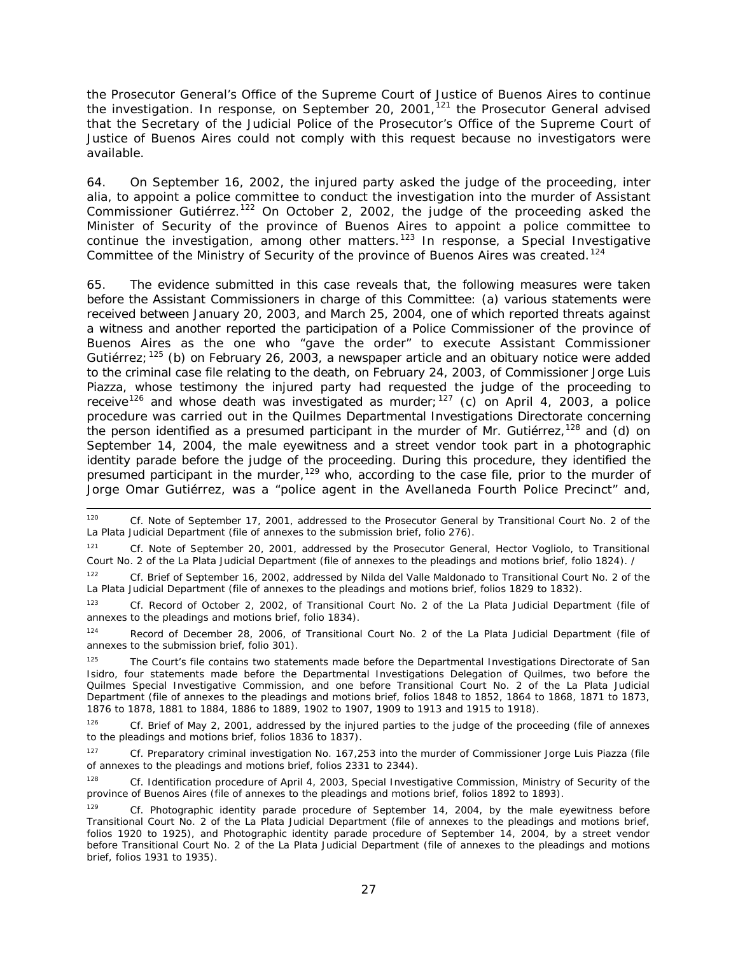the Prosecutor General's Office of the Supreme Court of Justice of Buenos Aires to continue the investigation. In response, on September 20, 2001,<sup>[121](#page-26-0)</sup> the Prosecutor General advised that the Secretary of the Judicial Police of the Prosecutor's Office of the Supreme Court of Justice of Buenos Aires could not comply with this request because no investigators were available.

64. On September 16, 2002, the injured party asked the judge of the proceeding, *inter alia*, to appoint a police committee to conduct the investigation into the murder of Assistant Commissioner Gutiérrez.<sup>[122](#page-26-1)</sup> On October 2, 2002, the judge of the proceeding asked the Minister of Security of the province of Buenos Aires to appoint a police committee to continue the investigation, among other matters.<sup>[123](#page-26-2)</sup> In response, a Special Investigative Committee of the Ministry of Security of the province of Buenos Aires was created.<sup>[124](#page-26-3)</sup>

65. The evidence submitted in this case reveals that, the following measures were taken before the Assistant Commissioners in charge of this Committee: (a) various statements were received between January 20, 2003, and March 25, 2004, one of which reported threats against a witness and another reported the participation of a Police Commissioner of the province of Buenos Aires as the one who "gave the order" to execute Assistant Commissioner Gutiérrez;  $125$  (b) on February 26, 2003, a newspaper article and an obituary notice were added to the criminal case file relating to the death, on February 24, 2003, of Commissioner Jorge Luis Piazza, whose testimony the injured party had requested the judge of the proceeding to receive<sup>[126](#page-26-5)</sup> and whose death was investigated as murder;<sup>[127](#page-26-6)</sup> (c) on April 4, 2003, a police procedure was carried out in the Quilmes Departmental Investigations Directorate concerning the person identified as a presumed participant in the murder of Mr. Gutiérrez, <sup>[128](#page-26-7)</sup> and (d) on September 14, 2004, the male eyewitness and a street vendor took part in a photographic identity parade before the judge of the proceeding. During this procedure, they identified the presumed participant in the murder,<sup>[129](#page-26-8)</sup> who, according to the case file, prior to the murder of Jorge Omar Gutiérrez, was a "police agent in the Avellaneda Fourth Police Precinct" and,

 <sup>120</sup> *Cf.* Note of September 17, 2001, addressed to the Prosecutor General by Transitional Court No. 2 of the La Plata Judicial Department (file of annexes to the submission brief, folio 276).

<span id="page-26-0"></span><sup>121</sup> *Cf.* Note of September 20, 2001, addressed by the Prosecutor General, Hector Vogliolo, to Transitional Court No. 2 of the La Plata Judicial Department (file of annexes to the pleadings and motions brief, folio 1824). /

<span id="page-26-1"></span><sup>122</sup> *Cf.* Brief of September 16, 2002, addressed by Nilda del Valle Maldonado to Transitional Court No. 2 of the La Plata Judicial Department (file of annexes to the pleadings and motions brief, folios 1829 to 1832).

<span id="page-26-2"></span><sup>123</sup> *Cf.* Record of October 2, 2002, of Transitional Court No. 2 of the La Plata Judicial Department (file of annexes to the pleadings and motions brief, folio 1834).

<span id="page-26-3"></span><sup>124</sup> Record of December 28, 2006, of Transitional Court No. 2 of the La Plata Judicial Department (file of annexes to the submission brief, folio 301).

<span id="page-26-4"></span><sup>&</sup>lt;sup>125</sup> The Court's file contains two statements made before the Departmental Investigations Directorate of San Isidro, four statements made before the Departmental Investigations Delegation of Quilmes, two before the Quilmes Special Investigative Commission, and one before Transitional Court No. 2 of the La Plata Judicial Department (file of annexes to the pleadings and motions brief, folios 1848 to 1852, 1864 to 1868, 1871 to 1873, 1876 to 1878, 1881 to 1884, 1886 to 1889, 1902 to 1907, 1909 to 1913 and 1915 to 1918).

<span id="page-26-5"></span>Cf. Brief of May 2, 2001, addressed by the injured parties to the judge of the proceeding (file of annexes to the pleadings and motions brief, folios 1836 to 1837).

<span id="page-26-6"></span><sup>127</sup> *Cf.* Preparatory criminal investigation No. 167,253 into the murder of Commissioner Jorge Luis Piazza (file of annexes to the pleadings and motions brief, folios 2331 to 2344).

<span id="page-26-7"></span><sup>128</sup> *Cf.* Identification procedure of April 4, 2003, Special Investigative Commission, Ministry of Security of the province of Buenos Aires (file of annexes to the pleadings and motions brief, folios 1892 to 1893).

<span id="page-26-8"></span><sup>129</sup> *Cf.* Photographic identity parade procedure of September 14, 2004, by the male eyewitness before Transitional Court No. 2 of the La Plata Judicial Department (file of annexes to the pleadings and motions brief, folios 1920 to 1925), and Photographic identity parade procedure of September 14, 2004, by a street vendor before Transitional Court No. 2 of the La Plata Judicial Department (file of annexes to the pleadings and motions brief, folios 1931 to 1935).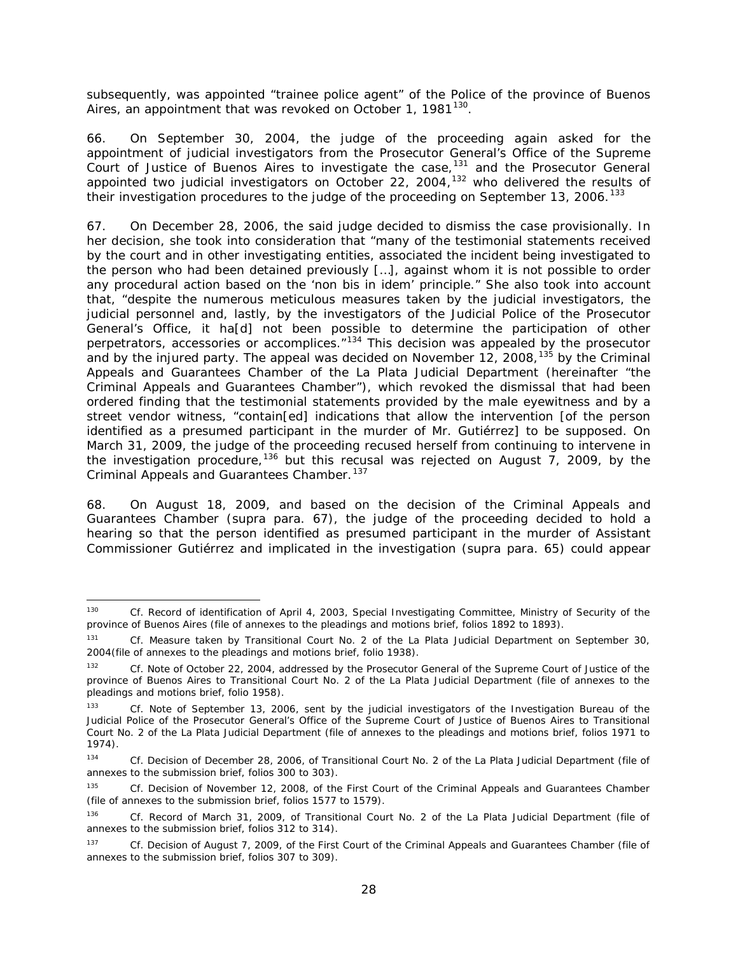subsequently, was appointed "trainee police agent" of the Police of the province of Buenos Aires, an appointment that was revoked on October 1, 1981<sup>[130](#page-27-0)</sup>.

66. On September 30, 2004, the judge of the proceeding again asked for the appointment of judicial investigators from the Prosecutor General's Office of the Supreme Court of Justice of Buenos Aires to investigate the case,  $131$  and the Prosecutor General appointed two judicial investigators on October 22, 2004,<sup>[132](#page-27-2)</sup> who delivered the results of their investigation procedures to the judge of the proceeding on September 13, 2006.<sup>[133](#page-27-3)</sup>

67. On December 28, 2006, the said judge decided to dismiss the case provisionally. In her decision, she took into consideration that "many of the testimonial statements received by the court and in other investigating entities, associated the incident being investigated to the person who had been detained previously […], against whom it is not possible to order any procedural action based on the '*non bis in idem'* principle." She also took into account that, "despite the numerous meticulous measures taken by the judicial investigators, the judicial personnel and, lastly, by the investigators of the Judicial Police of the Prosecutor General's Office, it ha[d] not been possible to determine the participation of other perpetrators, accessories or accomplices."[134](#page-27-4) This decision was appealed by the prosecutor and by the injured party. The appeal was decided on November 12, 2008,<sup>[135](#page-27-5)</sup> by the Criminal Appeals and Guarantees Chamber of the La Plata Judicial Department (hereinafter "the Criminal Appeals and Guarantees Chamber"), which revoked the dismissal that had been ordered finding that the testimonial statements provided by the male eyewitness and by a street vendor witness, "contain[ed] indications that allow the intervention [of the person identified as a presumed participant in the murder of Mr. Gutiérrez] to be supposed*.* On March 31, 2009, the judge of the proceeding recused herself from continuing to intervene in the investigation procedure,<sup>[136](#page-27-6)</sup> but this recusal was rejected on August  $\overline{7}$ , 2009, by the Criminal Appeals and Guarantees Chamber.<sup>[137](#page-27-7)</sup>

68. On August 18, 2009, and based on the decision of the Criminal Appeals and Guarantees Chamber (*supra* para. 67), the judge of the proceeding decided to hold a hearing so that the person identified as presumed participant in the murder of Assistant Commissioner Gutiérrez and implicated in the investigation (*supra* para. 65) could appear

<span id="page-27-0"></span> <sup>130</sup> *Cf.* Record of identification of April 4, 2003, Special Investigating Committee, Ministry of Security of the province of Buenos Aires (file of annexes to the pleadings and motions brief, folios 1892 to 1893).

<span id="page-27-1"></span><sup>131</sup> *Cf.* Measure taken by Transitional Court No. 2 of the La Plata Judicial Department on September 30, 2004(file of annexes to the pleadings and motions brief, folio 1938).

<span id="page-27-2"></span><sup>132</sup> *Cf.* Note of October 22, 2004, addressed by the Prosecutor General of the Supreme Court of Justice of the province of Buenos Aires to Transitional Court No. 2 of the La Plata Judicial Department (file of annexes to the pleadings and motions brief, folio 1958).

<span id="page-27-3"></span>Cf. Note of September 13, 2006, sent by the judicial investigators of the Investigation Bureau of the Judicial Police of the Prosecutor General's Office of the Supreme Court of Justice of Buenos Aires to Transitional Court No. 2 of the La Plata Judicial Department (file of annexes to the pleadings and motions brief, folios 1971 to 1974).

<span id="page-27-4"></span><sup>134</sup> *Cf.* Decision of December 28, 2006, of Transitional Court No. 2 of the La Plata Judicial Department (file of annexes to the submission brief, folios 300 to 303).

<span id="page-27-5"></span><sup>135</sup> *Cf.* Decision of November 12, 2008, of the First Court of the Criminal Appeals and Guarantees Chamber (file of annexes to the submission brief, folios 1577 to 1579).

<span id="page-27-6"></span><sup>136</sup> *Cf.* Record of March 31, 2009, of Transitional Court No. 2 of the La Plata Judicial Department (file of annexes to the submission brief, folios 312 to 314).

<span id="page-27-7"></span><sup>137</sup> *Cf.* Decision of August 7, 2009, of the First Court of the Criminal Appeals and Guarantees Chamber (file of annexes to the submission brief, folios 307 to 309).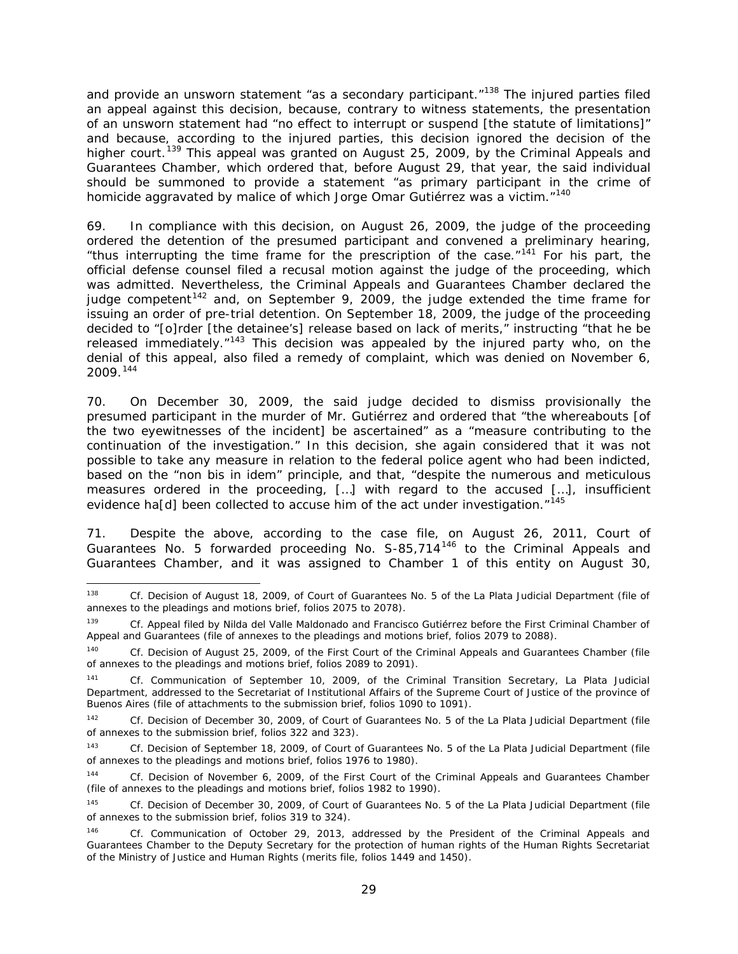and provide an unsworn statement "as a secondary participant."<sup>[138](#page-28-0)</sup> The injured parties filed an appeal against this decision, because, contrary to witness statements, the presentation of an unsworn statement had "no effect to interrupt or suspend [the statute of limitations]" and because, according to the injured parties, this decision ignored the decision of the higher court.<sup>[139](#page-28-1)</sup> This appeal was granted on August 25, 2009, by the Criminal Appeals and Guarantees Chamber, which ordered that, before August 29, that year, the said individual should be summoned to provide a statement "as primary participant in the crime of homicide aggravated by malice of which Jorge Omar Gutiérrez was a victim."<sup>[140](#page-28-2)</sup>

69. In compliance with this decision, on August 26, 2009, the judge of the proceeding ordered the detention of the presumed participant and convened a preliminary hearing, "thus interrupting the time frame for the prescription of the case."<sup>[141](#page-28-3)</sup> For his part, the official defense counsel filed a recusal motion against the judge of the proceeding, which was admitted. Nevertheless, the Criminal Appeals and Guarantees Chamber declared the judge competent<sup>[142](#page-28-4)</sup> and, on September 9, 2009, the judge extended the time frame for issuing an order of pre-trial detention. On September 18, 2009, the judge of the proceeding decided to "[o]rder [the detainee's] release based on lack of merits," instructing "that he be released immediately. $n^{143}$  $n^{143}$  $n^{143}$  This decision was appealed by the injured party who, on the denial of this appeal, also filed a remedy of complaint, which was denied on November 6, 2009. [144](#page-28-6)

70. On December 30, 2009, the said judge decided to dismiss provisionally the presumed participant in the murder of Mr. Gutiérrez and ordered that "the whereabouts [of the two eyewitnesses of the incident] be ascertained" as a "measure contributing to the continuation of the investigation." In this decision, she again considered that it was not possible to take any measure in relation to the federal police agent who had been indicted, based on the "*non bis in idem*" principle, and that, "despite the numerous and meticulous measures ordered in the proceeding, […] with regard to the accused […], insufficient evidence ha[d] been collected to accuse him of the act under investigation. $145$ 

71. Despite the above, according to the case file, on August 26, 2011, Court of Guarantees No. 5 forwarded proceeding No. S-85,714<sup>[146](#page-28-8)</sup> to the Criminal Appeals and Guarantees Chamber, and it was assigned to Chamber 1 of this entity on August 30,

<span id="page-28-0"></span> <sup>138</sup> *Cf.* Decision of August 18, 2009, of Court of Guarantees No. 5 of the La Plata Judicial Department (file of annexes to the pleadings and motions brief, folios 2075 to 2078).

<span id="page-28-1"></span><sup>139</sup> *Cf.* Appeal filed by Nilda del Valle Maldonado and Francisco Gutiérrez before the First Criminal Chamber of Appeal and Guarantees (file of annexes to the pleadings and motions brief, folios 2079 to 2088).

<span id="page-28-2"></span><sup>140</sup> *Cf.* Decision of August 25, 2009, of the First Court of the Criminal Appeals and Guarantees Chamber (file of annexes to the pleadings and motions brief, folios 2089 to 2091).

<span id="page-28-3"></span><sup>141</sup> *Cf.* Communication of September 10, 2009, of the Criminal Transition Secretary, La Plata Judicial Department, addressed to the Secretariat of Institutional Affairs of the Supreme Court of Justice of the province of Buenos Aires (file of attachments to the submission brief, folios 1090 to 1091).

<span id="page-28-4"></span><sup>142</sup> *Cf.* Decision of December 30, 2009, of Court of Guarantees No. 5 of the La Plata Judicial Department (file of annexes to the submission brief, folios 322 and 323).

<span id="page-28-5"></span><sup>143</sup> *Cf.* Decision of September 18, 2009, of Court of Guarantees No. 5 of the La Plata Judicial Department (file of annexes to the pleadings and motions brief, folios 1976 to 1980).

<span id="page-28-6"></span><sup>144</sup> *Cf.* Decision of November 6, 2009, of the First Court of the Criminal Appeals and Guarantees Chamber (file of annexes to the pleadings and motions brief, folios 1982 to 1990).

<span id="page-28-7"></span><sup>145</sup> *Cf.* Decision of December 30, 2009, of Court of Guarantees No. 5 of the La Plata Judicial Department (file of annexes to the submission brief, folios 319 to 324).

<span id="page-28-8"></span><sup>146</sup> *Cf.* Communication of October 29, 2013, addressed by the President of the Criminal Appeals and Guarantees Chamber to the Deputy Secretary for the protection of human rights of the Human Rights Secretariat of the Ministry of Justice and Human Rights (merits file, folios 1449 and 1450).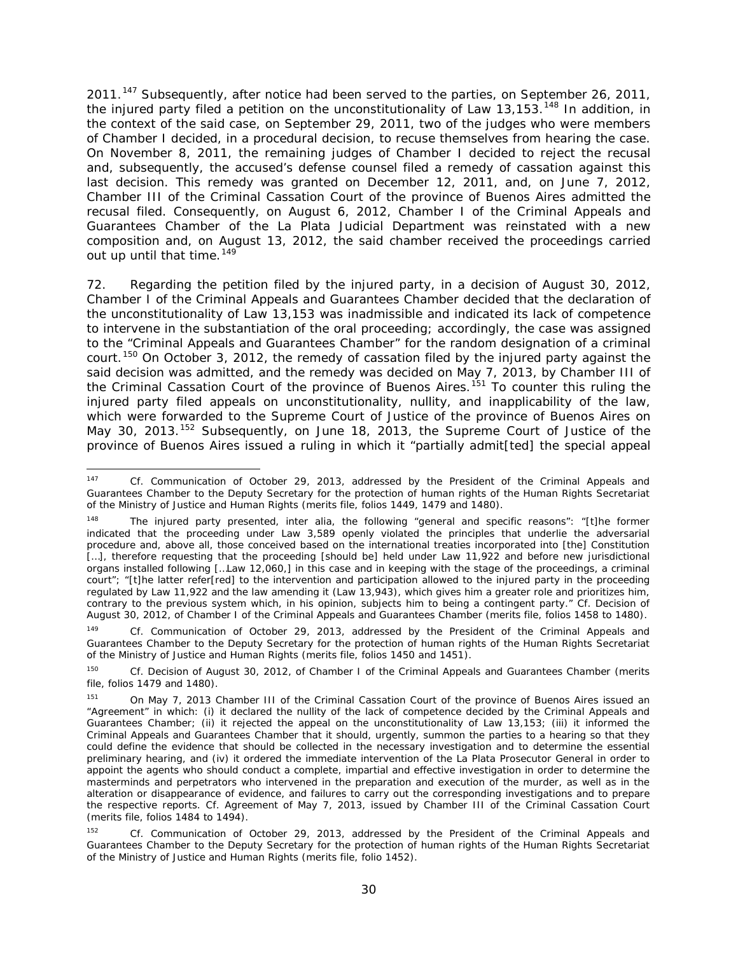2011.<sup>[147](#page-29-0)</sup> Subsequently, after notice had been served to the parties, on September 26, 2011, the injured party filed a petition on the unconstitutionality of Law 13,153.<sup>[148](#page-29-1)</sup> In addition, in the context of the said case, on September 29, 2011, two of the judges who were members of Chamber I decided, in a procedural decision, to recuse themselves from hearing the case. On November 8, 2011, the remaining judges of Chamber I decided to reject the recusal and, subsequently, the accused's defense counsel filed a remedy of cassation against this last decision. This remedy was granted on December 12, 2011, and, on June 7, 2012, Chamber III of the Criminal Cassation Court of the province of Buenos Aires admitted the recusal filed. Consequently, on August 6, 2012, Chamber I of the Criminal Appeals and Guarantees Chamber of the La Plata Judicial Department was reinstated with a new composition and, on August 13, 2012, the said chamber received the proceedings carried out up until that time.  $149$ 

72. Regarding the petition filed by the injured party, in a decision of August 30, 2012, Chamber I of the Criminal Appeals and Guarantees Chamber decided that the declaration of the unconstitutionality of Law 13,153 was inadmissible and indicated its lack of competence to intervene in the substantiation of the oral proceeding; accordingly, the case was assigned to the "Criminal Appeals and Guarantees Chamber" for the random designation of a criminal court.<sup>[150](#page-29-3)</sup> On October 3, 2012, the remedy of cassation filed by the injured party against the said decision was admitted, and the remedy was decided on May 7, 2013, by Chamber III of the Criminal Cassation Court of the province of Buenos Aires.<sup>[151](#page-29-4)</sup> To counter this ruling the injured party filed appeals on unconstitutionality, nullity, and inapplicability of the law, which were forwarded to the Supreme Court of Justice of the province of Buenos Aires on May 30, 2013.<sup>[152](#page-29-5)</sup> Subsequently, on June 18, 2013, the Supreme Court of Justice of the province of Buenos Aires issued a ruling in which it "partially admit[ted] the special appeal

<span id="page-29-0"></span> <sup>147</sup> *Cf.* Communication of October 29, 2013, addressed by the President of the Criminal Appeals and Guarantees Chamber to the Deputy Secretary for the protection of human rights of the Human Rights Secretariat of the Ministry of Justice and Human Rights (merits file, folios 1449, 1479 and 1480).

<span id="page-29-1"></span><sup>148</sup> The injured party presented, *inter alia,* the following "general and specific reasons": "[t]he former indicated that the proceeding under Law 3,589 openly violated the principles that underlie the adversarial procedure and, above all, those conceived based on the international treaties incorporated into [the] Constitution [...], therefore requesting that the proceeding [should be] held under Law 11,922 and before new jurisdictional organs installed following […Law 12,060,] in this case and in keeping with the stage of the proceedings, a criminal court"; "[t]he latter refer[red] to the intervention and participation allowed to the injured party in the proceeding regulated by Law 11,922 and the law amending it (Law 13,943), which gives him a greater role and prioritizes him, contrary to the previous system which, in his opinion, subjects him to being a contingent party." *Cf.* Decision of August 30, 2012, of Chamber I of the Criminal Appeals and Guarantees Chamber (merits file, folios 1458 to 1480).

<span id="page-29-2"></span><sup>149</sup> *Cf.* Communication of October 29, 2013, addressed by the President of the Criminal Appeals and Guarantees Chamber to the Deputy Secretary for the protection of human rights of the Human Rights Secretariat of the Ministry of Justice and Human Rights (merits file, folios 1450 and 1451).

<span id="page-29-3"></span><sup>150</sup> *Cf.* Decision of August 30, 2012, of Chamber I of the Criminal Appeals and Guarantees Chamber (merits file, folios 1479 and 1480).

<span id="page-29-4"></span>On May 7, 2013 Chamber III of the Criminal Cassation Court of the province of Buenos Aires issued an "Agreement" in which: (i) it declared the nullity of the lack of competence decided by the Criminal Appeals and Guarantees Chamber; (ii) it rejected the appeal on the unconstitutionality of Law 13,153; (iii) it informed the Criminal Appeals and Guarantees Chamber that it should, urgently, summon the parties to a hearing so that they could define the evidence that should be collected in the necessary investigation and to determine the essential preliminary hearing, and (iv) it ordered the immediate intervention of the La Plata Prosecutor General in order to appoint the agents who should conduct a complete, impartial and effective investigation in order to determine the masterminds and perpetrators who intervened in the preparation and execution of the murder, as well as in the alteration or disappearance of evidence, and failures to carry out the corresponding investigations and to prepare the respective reports. *Cf.* Agreement of May 7, 2013, issued by Chamber III of the Criminal Cassation Court (merits file, folios 1484 to 1494).

<span id="page-29-5"></span><sup>152</sup> *Cf.* Communication of October 29, 2013, addressed by the President of the Criminal Appeals and Guarantees Chamber to the Deputy Secretary for the protection of human rights of the Human Rights Secretariat of the Ministry of Justice and Human Rights (merits file, folio 1452).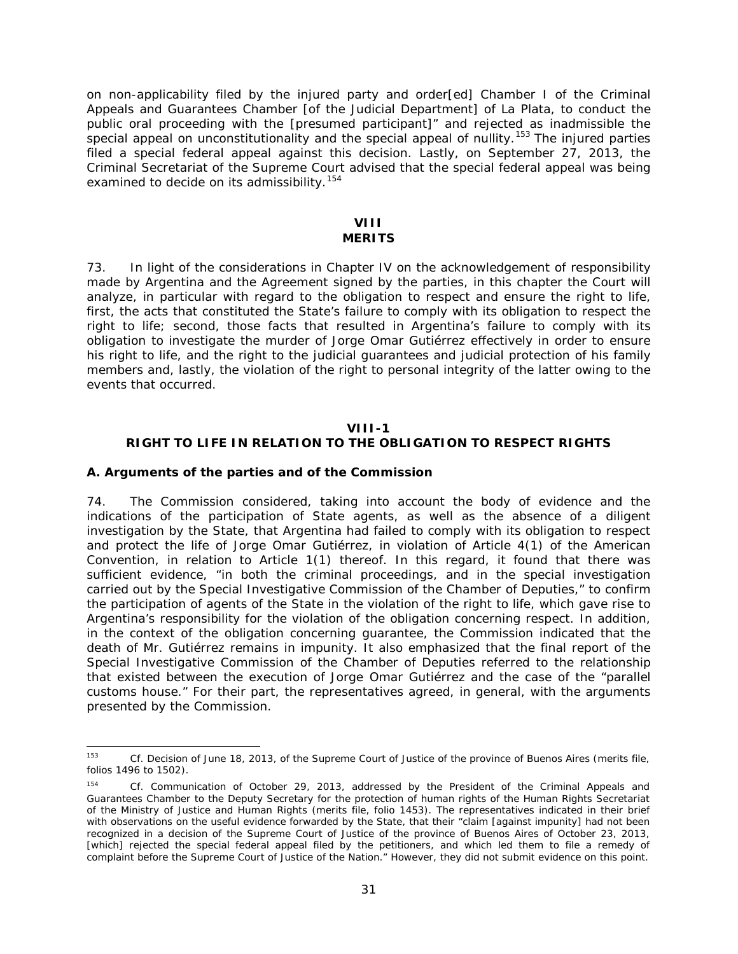on non-applicability filed by the injured party and order[ed] Chamber I of the Criminal Appeals and Guarantees Chamber [of the Judicial Department] of La Plata, to conduct the public oral proceeding with the [presumed participant]" and rejected as inadmissible the special appeal on unconstitutionality and the special appeal of nullity.<sup>[153](#page-30-1)</sup> The injured parties filed a special federal appeal against this decision. Lastly, on September 27, 2013, the Criminal Secretariat of the Supreme Court advised that the special federal appeal was being examined to decide on its admissibility.<sup>[154](#page-30-2)</sup>

#### **VIII MERITS**

73. In light of the considerations in Chapter IV on the acknowledgement of responsibility made by Argentina and the Agreement signed by the parties, in this chapter the Court will analyze, in particular with regard to the obligation to respect and ensure the right to life, first, the acts that constituted the State's failure to comply with its obligation to respect the right to life; second, those facts that resulted in Argentina's failure to comply with its obligation to investigate the murder of Jorge Omar Gutiérrez effectively in order to ensure his right to life, and the right to the judicial guarantees and judicial protection of his family members and, lastly, the violation of the right to personal integrity of the latter owing to the events that occurred.

#### **VIII-1**

### **RIGHT TO LIFE IN RELATION TO THE OBLIGATION TO RESPECT RIGHTS**

#### <span id="page-30-0"></span>*A. Arguments of the parties and of the Commission*

74. The Commission considered, taking into account the body of evidence and the indications of the participation of State agents, as well as the absence of a diligent investigation by the State, that Argentina had failed to comply with its obligation to respect and protect the life of Jorge Omar Gutiérrez, in violation of Article 4(1) of the American Convention, in relation to Article 1(1) thereof. In this regard, it found that there was sufficient evidence, "in both the criminal proceedings, and in the special investigation carried out by the Special Investigative Commission of the Chamber of Deputies," to confirm the participation of agents of the State in the violation of the right to life, which gave rise to Argentina's responsibility for the violation of the obligation concerning respect. In addition, in the context of the obligation concerning guarantee, the Commission indicated that the death of Mr. Gutiérrez remains in impunity. It also emphasized that the final report of the Special Investigative Commission of the Chamber of Deputies referred to the relationship that existed between the execution of Jorge Omar Gutiérrez and the case of the "parallel customs house." For their part, the representatives agreed, in general, with the arguments presented by the Commission.

<span id="page-30-1"></span> <sup>153</sup> *Cf.* Decision of June 18, 2013, of the Supreme Court of Justice of the province of Buenos Aires (merits file, folios 1496 to 1502).

<span id="page-30-2"></span><sup>154</sup> *Cf.* Communication of October 29, 2013, addressed by the President of the Criminal Appeals and Guarantees Chamber to the Deputy Secretary for the protection of human rights of the Human Rights Secretariat of the Ministry of Justice and Human Rights (merits file, folio 1453). The representatives indicated in their brief with observations on the useful evidence forwarded by the State, that their "claim [against impunity] had not been recognized in a decision of the Supreme Court of Justice of the province of Buenos Aires of October 23, 2013, [which] rejected the special federal appeal filed by the petitioners, and which led them to file a remedy of complaint before the Supreme Court of Justice of the Nation." However, they did not submit evidence on this point.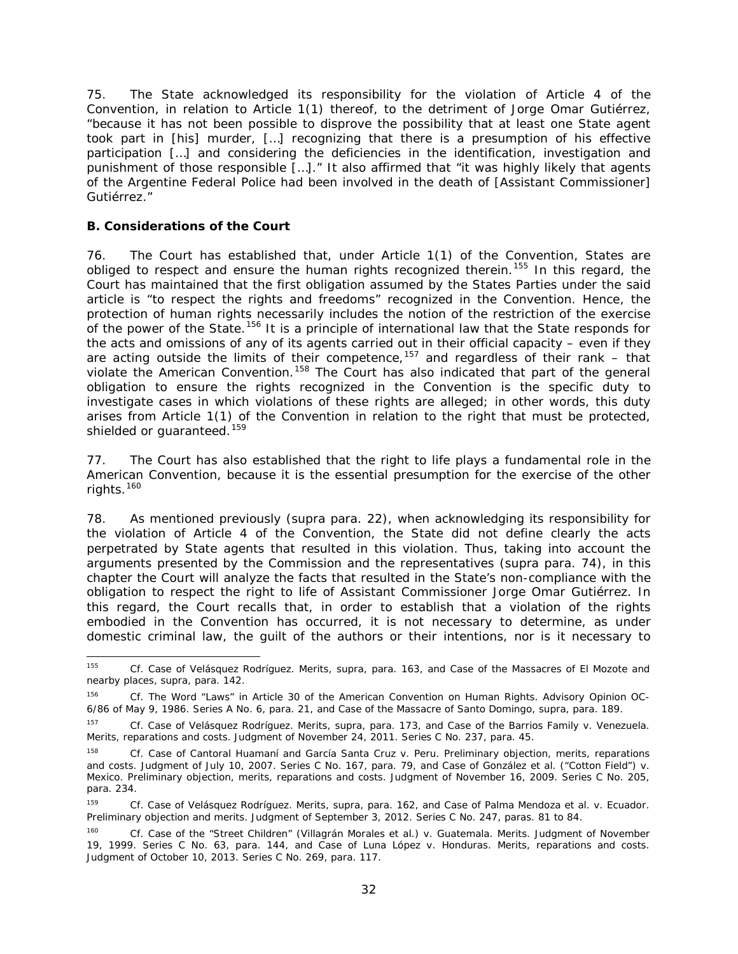75. The State acknowledged its responsibility for the violation of Article 4 of the Convention, in relation to Article 1(1) thereof, to the detriment of Jorge Omar Gutiérrez, "because it has not been possible to disprove the possibility that at least one State agent took part in [his] murder, […] recognizing that there is a presumption of his effective participation […] and considering the deficiencies in the identification, investigation and punishment of those responsible […]." It also affirmed that "it was highly likely that agents of the Argentine Federal Police had been involved in the death of [Assistant Commissioner] Gutiérrez."

### <span id="page-31-0"></span>*B. Considerations of the Court*

76. The Court has established that, under Article 1(1) of the Convention, States are obliged to respect and ensure the human rights recognized therein.<sup>[155](#page-31-1)</sup> In this regard, the Court has maintained that the first obligation assumed by the States Parties under the said article is "to respect the rights and freedoms" recognized in the Convention. Hence, the protection of human rights necessarily includes the notion of the restriction of the exercise of the power of the State.<sup>[156](#page-31-2)</sup> It is a principle of international law that the State responds for the acts and omissions of any of its agents carried out in their official capacity – even if they are acting outside the limits of their competence,<sup>[157](#page-31-3)</sup> and regardless of their rank – that violate the American Convention.<sup>[158](#page-31-4)</sup> The Court has also indicated that part of the general obligation to ensure the rights recognized in the Convention is the specific duty to investigate cases in which violations of these rights are alleged; in other words, this duty arises from Article 1(1) of the Convention in relation to the right that must be protected, shielded or guaranteed.<sup>[159](#page-31-5)</sup>

77. The Court has also established that the right to life plays a fundamental role in the American Convention, because it is the essential presumption for the exercise of the other rights.<sup>[160](#page-31-6)</sup>

78. As mentioned previously (*supra* para. 22), when acknowledging its responsibility for the violation of Article 4 of the Convention, the State did not define clearly the acts perpetrated by State agents that resulted in this violation. Thus, taking into account the arguments presented by the Commission and the representatives (*supra* para. 74), in this chapter the Court will analyze the facts that resulted in the State's non-compliance with the obligation to respect the right to life of Assistant Commissioner Jorge Omar Gutiérrez. In this regard, the Court recalls that, in order to establish that a violation of the rights embodied in the Convention has occurred, it is not necessary to determine, as under domestic criminal law, the guilt of the authors or their intentions, nor is it necessary to

<span id="page-31-1"></span> <sup>155</sup> *Cf. Case of Velásquez Rodríguez. Merits, supra,* para. 163, and *Case of the Massacres of El Mozote and nearby places, supra,* para. 142.

<span id="page-31-2"></span><sup>&</sup>lt;sup>156</sup> *Cf. The Word "Laws" in Article 30 of the American Convention on Human Rights. Advisory Opinion OC-*6/86 of May 9, 1986. Series A No. 6, para. 21, and *Case of the Massacre of Santo Domingo, supra,* para. 189.

<span id="page-31-3"></span>*<sup>157</sup> Cf. Case of Velásquez Rodríguez. Merits, supra,* para. 173, and *Case of the Barrios Family v. Venezuela. Merits, reparations and costs.* Judgment of November 24, 2011. Series C No. 237, para. 45.

<span id="page-31-4"></span>*<sup>158</sup> Cf. Case of Cantoral Huamaní and García Santa Cruz v. Peru. Preliminary objection, merits, reparations and costs.* Judgment of July 10, 2007. Series C No. 167, para. 79, and *Case of González et al. ("Cotton Field") v. Mexico. Preliminary objection, merits, reparations and costs.* Judgment of November 16, 2009. Series C No. 205, para. 234.

<span id="page-31-5"></span>*<sup>159</sup> Cf. Case of Velásquez Rodríguez. Merits, supra,* para. 162, and *Case of Palma Mendoza et al. v. Ecuador. Preliminary objection and merits.* Judgment of September 3, 2012. Series C No. 247, paras. 81 to 84.

<span id="page-31-6"></span>*<sup>160</sup> Cf. Case of the "Street Children" (Villagrán Morales et al.) v. Guatemala. Merits.* Judgment of November 19, 1999. Series C No. 63, para. 144, *and Case of Luna López v. Honduras. Merits, reparations and costs.* Judgment of October 10, 2013. Series C No. 269, para. 117.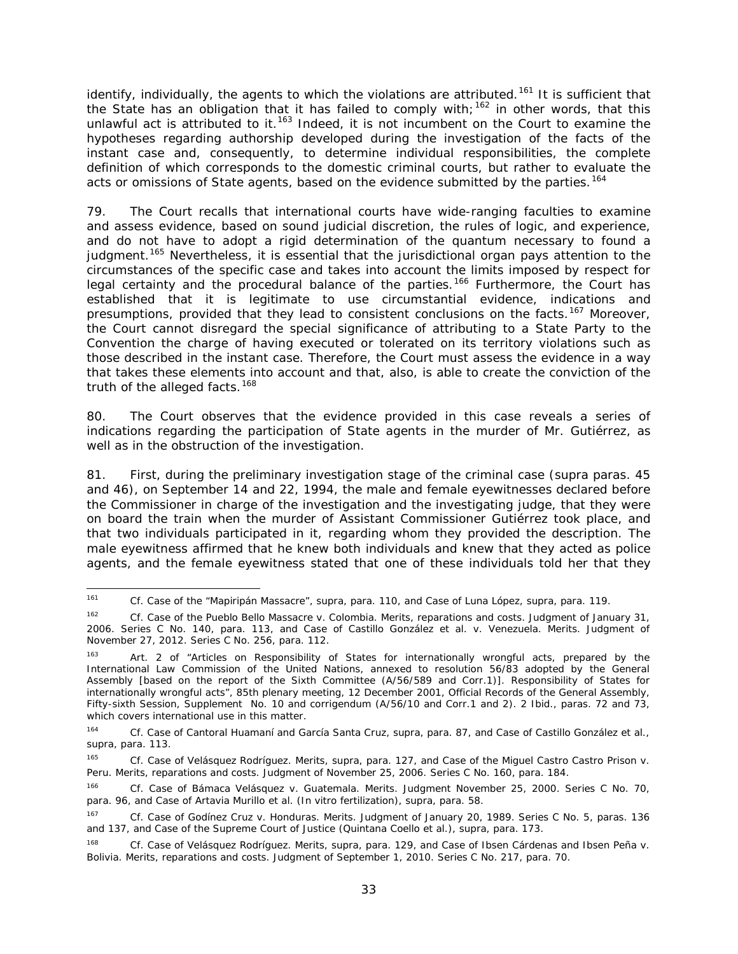identify, individually, the agents to which the violations are attributed.<sup>[161](#page-32-0)</sup> It is sufficient that the State has an obligation that it has failed to comply with;<sup>[162](#page-32-1)</sup> in other words, that this unlawful act is attributed to it.<sup>[163](#page-32-2)</sup> Indeed, it is not incumbent on the Court to examine the hypotheses regarding authorship developed during the investigation of the facts of the instant case and, consequently, to determine individual responsibilities, the complete definition of which corresponds to the domestic criminal courts, but rather to evaluate the acts or omissions of State agents, based on the evidence submitted by the parties.<sup>[164](#page-32-3)</sup>

79. The Court recalls that international courts have wide-ranging faculties to examine and assess evidence, based on sound judicial discretion, the rules of logic, and experience, and do not have to adopt a rigid determination of the *quantum* necessary to found a judgment.<sup>[165](#page-32-4)</sup> Nevertheless, it is essential that the jurisdictional organ pays attention to the circumstances of the specific case and takes into account the limits imposed by respect for legal certainty and the procedural balance of the parties.<sup>[166](#page-32-5)</sup> Furthermore, the Court has established that it is legitimate to use circumstantial evidence, indications and presumptions, provided that they lead to consistent conclusions on the facts.<sup>[167](#page-32-6)</sup> Moreover, the Court cannot disregard the special significance of attributing to a State Party to the Convention the charge of having executed or tolerated on its territory violations such as those described in the instant case. Therefore, the Court must assess the evidence in a way that takes these elements into account and that, also, is able to create the conviction of the truth of the alleged facts.<sup>[168](#page-32-7)</sup>

80. The Court observes that the evidence provided in this case reveals a series of indications regarding the participation of State agents in the murder of Mr. Gutiérrez, as well as in the obstruction of the investigation.

81. First, during the preliminary investigation stage of the criminal case (*supra* paras. 45 and 46), on September 14 and 22, 1994, the male and female eyewitnesses declared before the Commissioner in charge of the investigation and the investigating judge, that they were on board the train when the murder of Assistant Commissioner Gutiérrez took place, and that two individuals participated in it, regarding whom they provided the description. The male eyewitness affirmed that he knew both individuals and knew that they acted as police agents, and the female eyewitness stated that one of these individuals told her that they

<span id="page-32-0"></span> <sup>161</sup> *Cf. Case of the "Mapiripán Massacre", supra,* para. 110, and *Case of Luna López, supra*, para. 119.

<span id="page-32-1"></span><sup>&</sup>lt;sup>162</sup> *Cf. Case of the Pueblo Bello Massacre v. Colombia. Merits, reparations and costs. Judgment of January 31,* 2006. Series C No. 140, para. 113, and *Case of Castillo González et al. v. Venezuela. Merits.* Judgment of November 27, 2012. Series C No. 256, para. 112.

<span id="page-32-2"></span>Art. 2 of "Articles on Responsibility of States for internationally wrongful acts, prepared by the International Law Commission of the United Nations, annexed to resolution 56/83 adopted by the General Assembly [based on the report of the Sixth Committee (A/56/589 and Corr.1)]. Responsibility of States for internationally wrongful acts", 85th plenary meeting, 12 December 2001, Official Records of the General Assembly, Fifty-sixth Session, Supplement No. 10 and corrigendum (A/56/10 and Corr.1 and 2). 2 Ibid., paras. 72 and 73, which covers international use in this matter.

<span id="page-32-3"></span><sup>164</sup> *Cf. Case of Cantoral Huamaní and García Santa Cruz, supra,* para. 87, and *Case of Castillo González et al., supra,* para. 113.

<span id="page-32-4"></span>*<sup>165</sup> Cf. Case of Velásquez Rodríguez. Merits, supra,* para. 127, and *Case of the Miguel Castro Castro Prison v. Peru. Merits, reparations and costs.* Judgment of November 25, 2006. Series C No. 160, para. 184.

<span id="page-32-5"></span>*<sup>166</sup> Cf. Case of Bámaca Velásquez v. Guatemala. Merits.* Judgment November 25, 2000. Series C No. 70, para. 96, and *Case of Artavia Murillo et al. (In vitro fertilization), supra, para.* 58.

<span id="page-32-6"></span>*<sup>167</sup> Cf. Case of Godínez Cruz v. Honduras. Merits.* Judgment of January 20, 1989. Series C No. 5, paras. 136 and 137, and *Case of the Supreme Court of Justice (Quintana Coello et al.), supra, para.* 173.

<span id="page-32-7"></span>*<sup>168</sup> Cf. Case of Velásquez Rodríguez. Merits, supra,* para. 129, and *Case of Ibsen Cárdenas and Ibsen Peña v. Bolivia. Merits, reparations and costs.* Judgment of September 1, 2010. Series C No. 217, para. 70.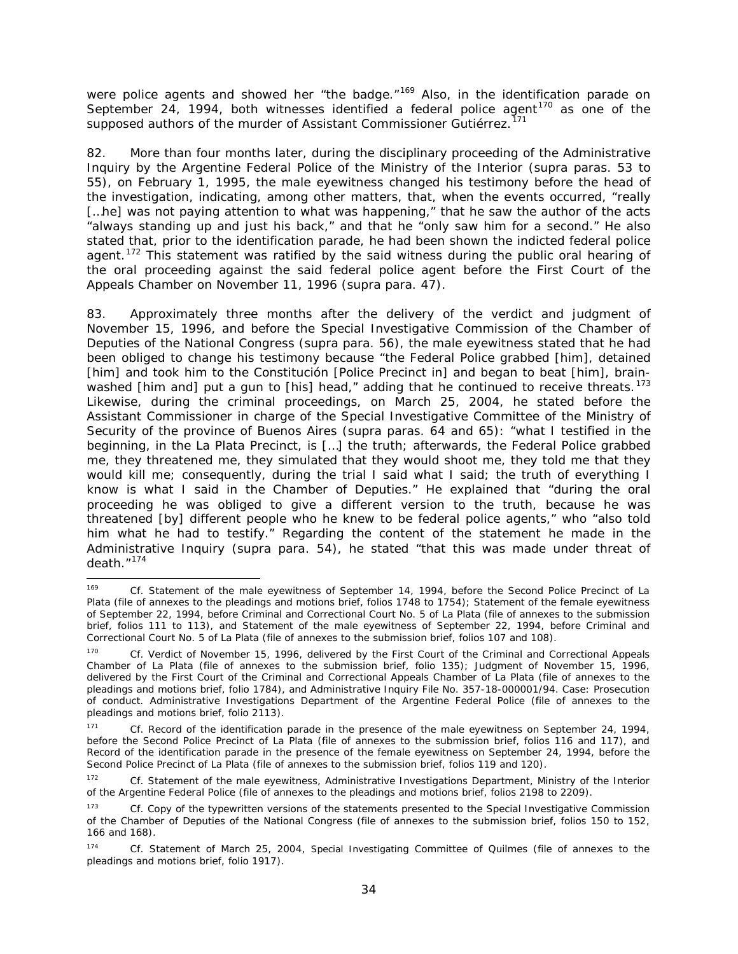were police agents and showed her "the badge."<sup>[169](#page-33-0)</sup> Also, in the identification parade on September 24, 1994, both witnesses identified a federal police agent<sup>[170](#page-33-1)</sup> as one of the supposed authors of the murder of Assistant Commissioner Gutiérrez.<sup>[171](#page-33-2)</sup>

82. More than four months later, during the disciplinary proceeding of the Administrative Inquiry by the Argentine Federal Police of the Ministry of the Interior (*supra* paras. 53 to 55), on February 1, 1995, the male eyewitness changed his testimony before the head of the investigation, indicating, among other matters, that, when the events occurred, "really [...he] was not paying attention to what was happening," that he saw the author of the acts "always standing up and just his back," and that he "only saw him for a second." He also stated that, prior to the identification parade, he had been shown the indicted federal police agent.<sup>[172](#page-33-3)</sup> This statement was ratified by the said witness during the public oral hearing of the oral proceeding against the said federal police agent before the First Court of the Appeals Chamber on November 11, 1996 (*supra* para. 47).

83. Approximately three months after the delivery of the verdict and judgment of November 15, 1996, and before the Special Investigative Commission of the Chamber of Deputies of the National Congress (*supra* para. 56), the male eyewitness stated that he had been obliged to change his testimony because "the Federal Police grabbed [him], detained [him] and took him to the Constitución [Police Precinct in] and began to beat [him], brain-washed [him and] put a gun to [his] head," adding that he continued to receive threats.<sup>[173](#page-33-4)</sup> Likewise, during the criminal proceedings, on March 25, 2004, he stated before the Assistant Commissioner in charge of the Special Investigative Committee of the Ministry of Security of the province of Buenos Aires (*supra* paras. 64 and 65): "what I testified in the beginning, in the La Plata Precinct, is […] the truth; afterwards, the Federal Police grabbed me, they threatened me, they simulated that they would shoot me, they told me that they would kill me; consequently, during the trial I said what I said; the truth of everything I know is what I said in the Chamber of Deputies." He explained that "during the oral proceeding he was obliged to give a different version to the truth, because he was threatened [by] different people who he knew to be federal police agents," who "also told him what he had to testify." Regarding the content of the statement he made in the Administrative Inquiry (*supra* para. 54), he stated "that this was made under threat of death."[174](#page-33-5)

<span id="page-33-0"></span> <sup>169</sup> *Cf.* Statement of the male eyewitness of September 14, 1994, before the Second Police Precinct of La Plata (file of annexes to the pleadings and motions brief, folios 1748 to 1754); Statement of the female eyewitness of September 22, 1994, before Criminal and Correctional Court No. 5 of La Plata (file of annexes to the submission brief, folios 111 to 113), and Statement of the male eyewitness of September 22, 1994, before Criminal and Correctional Court No. 5 of La Plata (file of annexes to the submission brief, folios 107 and 108).

<span id="page-33-1"></span><sup>170</sup> *Cf.* Verdict of November 15, 1996, delivered by the First Court of the Criminal and Correctional Appeals Chamber of La Plata (file of annexes to the submission brief, folio 135); Judgment of November 15, 1996, delivered by the First Court of the Criminal and Correctional Appeals Chamber of La Plata (file of annexes to the pleadings and motions brief, folio 1784), and Administrative Inquiry File No. 357-18-000001/94. Case: Prosecution of conduct. Administrative Investigations Department of the Argentine Federal Police (file of annexes to the pleadings and motions brief, folio 2113).

<span id="page-33-2"></span><sup>171</sup> *Cf.* Record of the identification parade in the presence of the male eyewitness on September 24, 1994, before the Second Police Precinct of La Plata (file of annexes to the submission brief, folios 116 and 117), and Record of the identification parade in the presence of the female eyewitness on September 24, 1994, before the Second Police Precinct of La Plata (file of annexes to the submission brief, folios 119 and 120).

<span id="page-33-3"></span><sup>172</sup> *Cf.* Statement of the male eyewitness, Administrative Investigations Department, Ministry of the Interior of the Argentine Federal Police (file of annexes to the pleadings and motions brief, folios 2198 to 2209).

<span id="page-33-4"></span><sup>173</sup> *Cf.* Copy of the typewritten versions of the statements presented to the Special Investigative Commission of the Chamber of Deputies of the National Congress (file of annexes to the submission brief, folios 150 to 152, 166 and 168).

<span id="page-33-5"></span><sup>174</sup> *Cf.* Statement of March 25, 2004, Special Investigating Committee of Quilmes (file of annexes to the pleadings and motions brief, folio 1917).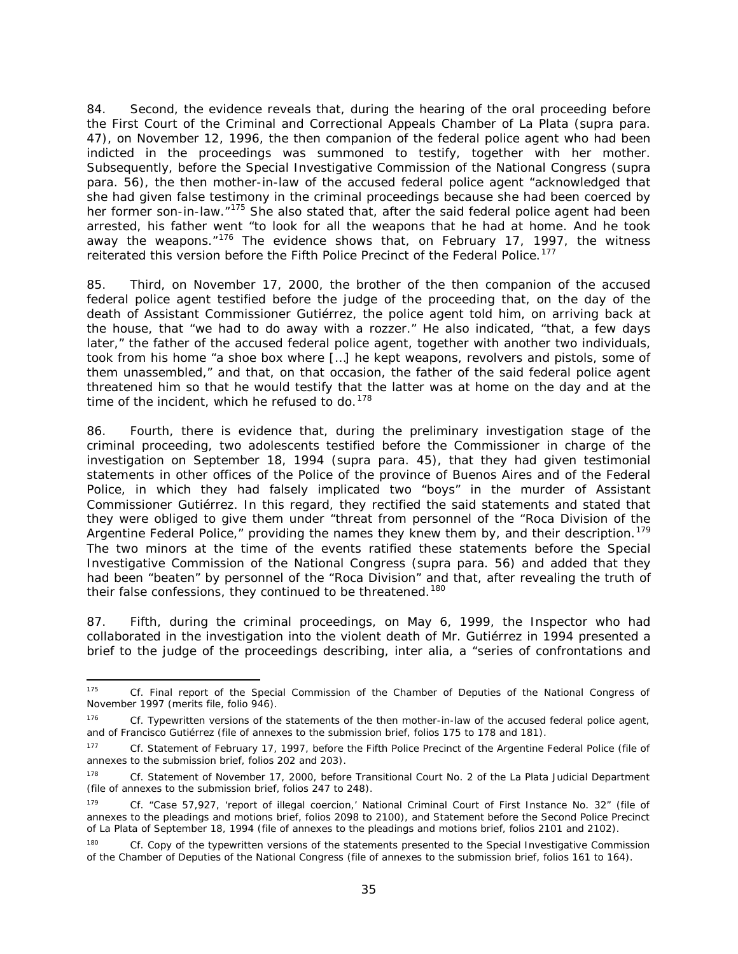84. Second, the evidence reveals that, during the hearing of the oral proceeding before the First Court of the Criminal and Correctional Appeals Chamber of La Plata (*supra* para. 47), on November 12, 1996, the then companion of the federal police agent who had been indicted in the proceedings was summoned to testify, together with her mother. Subsequently, before the Special Investigative Commission of the National Congress (*supra*  para. 56), the then mother-in-law of the accused federal police agent "acknowledged that she had given false testimony in the criminal proceedings because she had been coerced by her former son-in-law."<sup>[175](#page-34-0)</sup> She also stated that, after the said federal police agent had been arrested, his father went "to look for all the weapons that he had at home. And he took away the weapons. $176$  The evidence shows that, on February 17, 1997, the witness reiterated this version before the Fifth Police Precinct of the Federal Police.<sup>[177](#page-34-2)</sup>

85. Third, on November 17, 2000, the brother of the then companion of the accused federal police agent testified before the judge of the proceeding that, on the day of the death of Assistant Commissioner Gutiérrez, the police agent told him, on arriving back at the house, that "we had to do away with a rozzer." He also indicated, "that, a few days later," the father of the accused federal police agent, together with another two individuals, took from his home "a shoe box where […] he kept weapons, revolvers and pistols, some of them unassembled," and that, on that occasion, the father of the said federal police agent threatened him so that he would testify that the latter was at home on the day and at the time of the incident, which he refused to do.  $178$ 

86. Fourth, there is evidence that, during the preliminary investigation stage of the criminal proceeding, two adolescents testified before the Commissioner in charge of the investigation on September 18, 1994 (*supra* para. 45), that they had given testimonial statements in other offices of the Police of the province of Buenos Aires and of the Federal Police, in which they had falsely implicated two "boys" in the murder of Assistant Commissioner Gutiérrez. In this regard, they rectified the said statements and stated that they were obliged to give them under "threat from personnel of the "Roca Division of the Argentine Federal Police," providing the names they knew them by, and their description.<sup>[179](#page-34-4)</sup> The two minors at the time of the events ratified these statements before the Special Investigative Commission of the National Congress (*supra* para. 56) and added that they had been "beaten" by personnel of the "Roca Division" and that, after revealing the truth of their false confessions, they continued to be threatened.<sup>[180](#page-34-5)</sup>

87. Fifth, during the criminal proceedings, on May 6, 1999, the Inspector who had collaborated in the investigation into the violent death of Mr. Gutiérrez in 1994 presented a brief to the judge of the proceedings describing, *inter alia*, a "series of confrontations and

<span id="page-34-0"></span> <sup>175</sup> *Cf.* Final report of the Special Commission of the Chamber of Deputies of the National Congress of November 1997 (merits file, folio 946).

<span id="page-34-1"></span><sup>&</sup>lt;sup>176</sup> *Cf.* Typewritten versions of the statements of the then mother-in-law of the accused federal police agent, and of Francisco Gutiérrez (file of annexes to the submission brief, folios 175 to 178 and 181).

<span id="page-34-2"></span><sup>177</sup> *Cf.* Statement of February 17, 1997, before the Fifth Police Precinct of the Argentine Federal Police (file of annexes to the submission brief, folios 202 and 203).

<span id="page-34-3"></span><sup>178</sup> *Cf.* Statement of November 17, 2000, before Transitional Court No. 2 of the La Plata Judicial Department (file of annexes to the submission brief, folios 247 to 248).

<span id="page-34-4"></span><sup>179</sup> *Cf. "*Case 57,927, 'report of illegal coercion,' National Criminal Court of First Instance No. 32" (file of annexes to the pleadings and motions brief, folios 2098 to 2100), and Statement before the Second Police Precinct of La Plata of September 18, 1994 (file of annexes to the pleadings and motions brief, folios 2101 and 2102).

<span id="page-34-5"></span><sup>&</sup>lt;sup>180</sup> *Cf.* Copy of the typewritten versions of the statements presented to the Special Investigative Commission of the Chamber of Deputies of the National Congress (file of annexes to the submission brief, folios 161 to 164).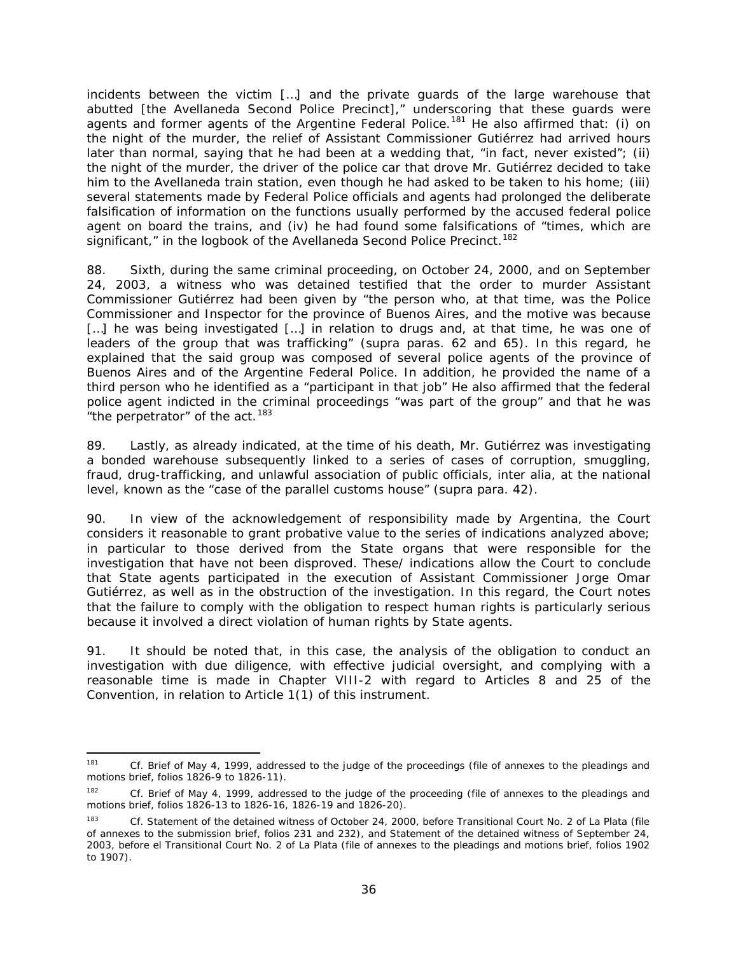incidents between the victim […] and the private guards of the large warehouse that abutted [the Avellaneda Second Police Precinct]," underscoring that these guards were agents and former agents of the Argentine Federal Police.<sup>[181](#page-35-0)</sup> He also affirmed that: (i) on the night of the murder, the relief of Assistant Commissioner Gutiérrez had arrived hours later than normal, saying that he had been at a wedding that, "in fact, never existed"; (ii) the night of the murder, the driver of the police car that drove Mr. Gutiérrez decided to take him to the Avellaneda train station, even though he had asked to be taken to his home; (iii) several statements made by Federal Police officials and agents had prolonged the deliberate falsification of information on the functions usually performed by the accused federal police agent on board the trains, and (iv) he had found some falsifications of "times, which are significant," in the logbook of the Avellaneda Second Police Precinct.<sup>[182](#page-35-1)</sup>

88. Sixth, during the same criminal proceeding, on October 24, 2000, and on September 24, 2003, a witness who was detained testified that the order to murder Assistant Commissioner Gutiérrez had been given by "the person who, at that time, was the Police Commissioner and Inspector for the province of Buenos Aires, and the motive was because [...] he was being investigated [...] in relation to drugs and, at that time, he was one of leaders of the group that was trafficking" (*supra* paras. 62 and 65). In this regard, he explained that the said group was composed of several police agents of the province of Buenos Aires and of the Argentine Federal Police. In addition, he provided the name of a third person who he identified as a "participant in that job" He also affirmed that the federal police agent indicted in the criminal proceedings "was part of the group" and that he was "the perpetrator" of the act.<sup>[183](#page-35-2)</sup>

89. Lastly, as already indicated, at the time of his death, Mr. Gutiérrez was investigating a bonded warehouse subsequently linked to a series of cases of corruption, smuggling, fraud, drug-trafficking, and unlawful association of public officials, *inter alia*, at the national level, known as the "case of the parallel customs house" (*supra* para. 42).

90. In view of the acknowledgement of responsibility made by Argentina, the Court considers it reasonable to grant probative value to the series of indications analyzed above; in particular to those derived from the State organs that were responsible for the investigation that have not been disproved. These/ indications allow the Court to conclude that State agents participated in the execution of Assistant Commissioner Jorge Omar Gutiérrez, as well as in the obstruction of the investigation. In this regard, the Court notes that the failure to comply with the obligation to respect human rights is particularly serious because it involved a direct violation of human rights by State agents.

91. It should be noted that, in this case, the analysis of the obligation to conduct an investigation with due diligence, with effective judicial oversight, and complying with a reasonable time is made in Chapter VIII-2 with regard to Articles 8 and 25 of the Convention, in relation to Article 1(1) of this instrument.

<span id="page-35-0"></span><sup>&</sup>lt;sup>181</sup> *Cf.* Brief of May 4, 1999, addressed to the judge of the proceedings (file of annexes to the pleadings and motions brief, folios 1826-9 to 1826-11).

<span id="page-35-1"></span><sup>182</sup> *Cf.* Brief of May 4, 1999, addressed to the judge of the proceeding (file of annexes to the pleadings and motions brief, folios 1826-13 to 1826-16, 1826-19 and 1826-20).

<span id="page-35-2"></span><sup>183</sup> *Cf.* Statement of the detained witness of October 24, 2000, before Transitional Court No. 2 of La Plata (file of annexes to the submission brief, folios 231 and 232), and Statement of the detained witness of September 24, 2003, before el Transitional Court No. 2 of La Plata (file of annexes to the pleadings and motions brief, folios 1902 to 1907).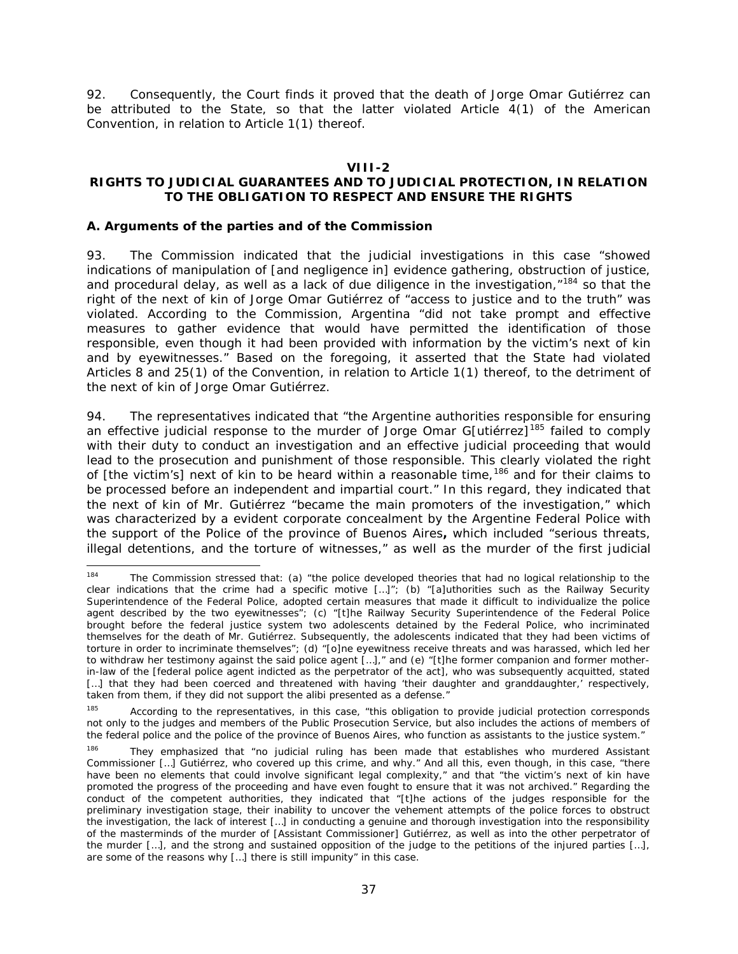92. Consequently, the Court finds it proved that the death of Jorge Omar Gutiérrez can be attributed to the State, so that the latter violated Article 4(1) of the American Convention, in relation to Article 1(1) thereof.

#### **VIII-2**

## <span id="page-36-0"></span>**RIGHTS TO JUDICIAL GUARANTEES AND TO JUDICIAL PROTECTION, IN RELATION TO THE OBLIGATION TO RESPECT AND ENSURE THE RIGHTS**

#### <span id="page-36-1"></span>*A. Arguments of the parties and of the Commission*

93. The Commission indicated that the judicial investigations in this case "showed indications of manipulation of [and negligence in] evidence gathering, obstruction of justice, and procedural delay, as well as a lack of due diligence in the investigation,  $n^{184}$  $n^{184}$  $n^{184}$  so that the right of the next of kin of Jorge Omar Gutiérrez of "access to justice and to the truth" was violated. According to the Commission, Argentina "did not take prompt and effective measures to gather evidence that would have permitted the identification of those responsible, even though it had been provided with information by the victim's next of kin and by eyewitnesses." Based on the foregoing, it asserted that the State had violated Articles 8 and 25(1) of the Convention, in relation to Article 1(1) thereof, to the detriment of the next of kin of Jorge Omar Gutiérrez.

94. The representatives indicated that "the Argentine authorities responsible for ensuring an effective judicial response to the murder of Jorge Omar G[utiérrez]<sup>[185](#page-36-3)</sup> failed to comply with their duty to conduct an investigation and an effective judicial proceeding that would lead to the prosecution and punishment of those responsible. This clearly violated the right of [the victim's] next of kin to be heard within a reasonable time,  $186$  and for their claims to be processed before an independent and impartial court." In this regard, they indicated that the next of kin of Mr. Gutiérrez "became the main promoters of the investigation," which was characterized by a evident corporate concealment by the Argentine Federal Police with the support of the Police of the province of Buenos Aires**,** which included "serious threats, illegal detentions, and the torture of witnesses," as well as the murder of the first judicial

<span id="page-36-2"></span><sup>&</sup>lt;sup>184</sup> The Commission stressed that: (a) "the police developed theories that had no logical relationship to the clear indications that the crime had a specific motive […]"; (b) "[a]uthorities such as the Railway Security Superintendence of the Federal Police, adopted certain measures that made it difficult to individualize the police agent described by the two eyewitnesses"; (c) "[t]he Railway Security Superintendence of the Federal Police brought before the federal justice system two adolescents detained by the Federal Police, who incriminated themselves for the death of Mr. Gutiérrez. Subsequently, the adolescents indicated that they had been victims of torture in order to incriminate themselves"; (d) "[o]ne eyewitness receive threats and was harassed, which led her to withdraw her testimony against the said police agent […]," and (e) "[t]he former companion and former motherin-law of the [federal police agent indicted as the perpetrator of the act], who was subsequently acquitted, stated [...] that they had been coerced and threatened with having 'their daughter and granddaughter,' respectively, taken from them, if they did not support the alibi presented as a defense."

<span id="page-36-3"></span><sup>185</sup> According to the representatives, in this case, "this obligation to provide judicial protection corresponds not only to the judges and members of the Public Prosecution Service, but also includes the actions of members of the federal police and the police of the province of Buenos Aires, who function as assistants to the justice system."

<span id="page-36-4"></span><sup>&</sup>lt;sup>186</sup> They emphasized that "no judicial ruling has been made that establishes who murdered Assistant Commissioner […] Gutiérrez, who covered up this crime, and why." And all this, even though, in this case, "there have been no elements that could involve significant legal complexity," and that "the victim's next of kin have promoted the progress of the proceeding and have even fought to ensure that it was not archived." Regarding the conduct of the competent authorities, they indicated that "[t]he actions of the judges responsible for the preliminary investigation stage, their inability to uncover the vehement attempts of the police forces to obstruct the investigation, the lack of interest […] in conducting a genuine and thorough investigation into the responsibility of the masterminds of the murder of [Assistant Commissioner] Gutiérrez, as well as into the other perpetrator of the murder [...], and the strong and sustained opposition of the judge to the petitions of the injured parties [...], are some of the reasons why […] there is still impunity" in this case.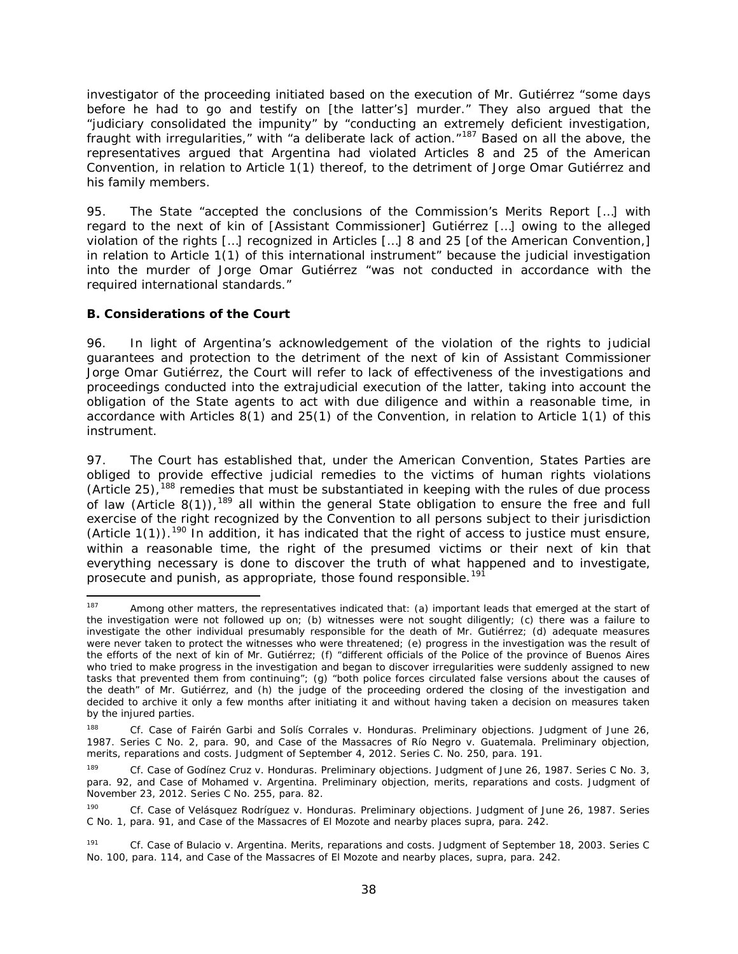investigator of the proceeding initiated based on the execution of Mr. Gutiérrez "some days before he had to go and testify on [the latter's] murder." They also argued that the "judiciary consolidated the impunity" by "conducting an extremely deficient investigation, fraught with irregularities," with "a deliberate lack of action."[187](#page-37-1) Based on all the above, the representatives argued that Argentina had violated Articles 8 and 25 of the American Convention, in relation to Article 1(1) thereof, to the detriment of Jorge Omar Gutiérrez and his family members.

95. The State "accepted the conclusions of the Commission's Merits Report […] with regard to the next of kin of [Assistant Commissioner] Gutiérrez […] owing to the alleged violation of the rights […] recognized in Articles […] 8 and 25 [of the American Convention,] in relation to Article 1(1) of this international instrument" because the judicial investigation into the murder of Jorge Omar Gutiérrez "was not conducted in accordance with the required international standards."

### <span id="page-37-0"></span>*B. Considerations of the Court*

96. In light of Argentina's acknowledgement of the violation of the rights to judicial guarantees and protection to the detriment of the next of kin of Assistant Commissioner Jorge Omar Gutiérrez, the Court will refer to lack of effectiveness of the investigations and proceedings conducted into the extrajudicial execution of the latter, taking into account the obligation of the State agents to act with due diligence and within a reasonable time, in accordance with Articles 8(1) and 25(1) of the Convention, in relation to Article 1(1) of this instrument.

97. The Court has established that, under the American Convention, States Parties are obliged to provide effective judicial remedies to the victims of human rights violations (Article 25),<sup>[188](#page-37-2)</sup> remedies that must be substantiated in keeping with the rules of due process of law (Article 8(1)), <sup>[189](#page-37-3)</sup> all within the general State obligation to ensure the free and full exercise of the right recognized by the Convention to all persons subject to their jurisdiction (Article  $1(1)$ ).<sup>[190](#page-37-4)</sup> In addition, it has indicated that the right of access to justice must ensure, within a reasonable time, the right of the presumed victims or their next of kin that everything necessary is done to discover the truth of what happened and to investigate, prosecute and punish, as appropriate, those found responsible.<sup>[191](#page-37-5)</sup>

<span id="page-37-1"></span><sup>&</sup>lt;sup>187</sup> Among other matters, the representatives indicated that: (a) important leads that emerged at the start of the investigation were not followed up on; (b) witnesses were not sought diligently; (c) there was a failure to investigate the other individual presumably responsible for the death of Mr. Gutiérrez; (d) adequate measures were never taken to protect the witnesses who were threatened; (e) progress in the investigation was the result of the efforts of the next of kin of Mr. Gutiérrez; (f) "different officials of the Police of the province of Buenos Aires who tried to make progress in the investigation and began to discover irregularities were suddenly assigned to new tasks that prevented them from continuing"; (g) "both police forces circulated false versions about the causes of the death" of Mr. Gutiérrez, and (h) the judge of the proceeding ordered the closing of the investigation and decided to archive it only a few months after initiating it and without having taken a decision on measures taken by the injured parties.

<span id="page-37-2"></span><sup>188</sup> *Cf. Case of Fairén Garbi and Solís Corrales v. Honduras. Preliminary objections*. Judgment of June 26, 1987. Series C No. 2, para. 90, and *Case of the Massacres of Río Negro v. Guatemala. Preliminary objection, merits, reparations and costs.* Judgment of September 4, 2012. Series C. No. 250, para. 191.

<span id="page-37-3"></span><sup>&</sup>lt;sup>189</sup> *Cf. Case of Godínez Cruz v. Honduras. Preliminary objections. Judgment of June 26, 1987. Series C No. 3,* para. 92, and *Case of Mohamed v. Argentina. Preliminary objection, merits, reparations and costs*. Judgment of November 23, 2012. Series C No. 255, para. 82.

<span id="page-37-4"></span><sup>190</sup> *Cf. Case of Velásquez Rodríguez v. Honduras. Preliminary objections.* Judgment of June 26, 1987. Series C No. 1, para. 91, and *Case of the Massacres of El Mozote and nearby places supra*, para. 242.

<span id="page-37-5"></span><sup>191</sup> *Cf. Case of Bulacio v. Argentina. Merits, reparations and costs*. Judgment of September 18, 2003. Series C No. 100, para. 114, and *Case of the Massacres of El Mozote and nearby places*, *supra,* para. 242.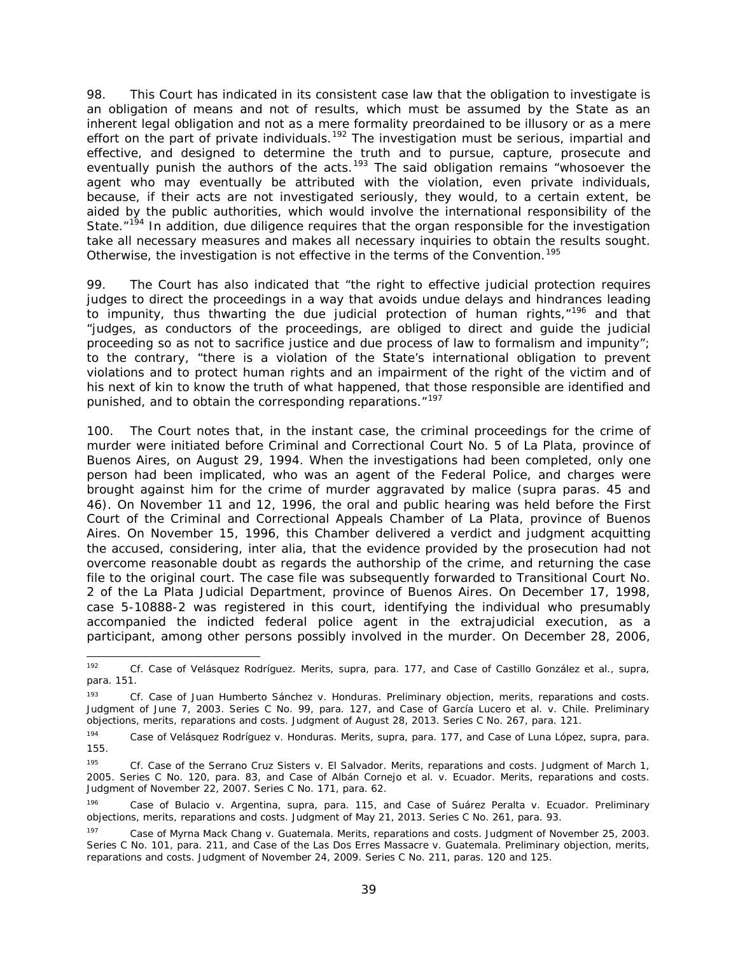98. This Court has indicated in its consistent case law that the obligation to investigate is an obligation of means and not of results, which must be assumed by the State as an inherent legal obligation and not as a mere formality preordained to be illusory or as a mere effort on the part of private individuals.<sup>[192](#page-38-0)</sup> The investigation must be serious, impartial and effective, and designed to determine the truth and to pursue, capture, prosecute and eventually punish the authors of the acts.<sup>[193](#page-38-1)</sup> The said obligation remains "whosoever the agent who may eventually be attributed with the violation, even private individuals, because, if their acts are not investigated seriously, they would, to a certain extent, be aided by the public authorities, which would involve the international responsibility of the State."<sup>[194](#page-38-2)</sup> In addition, due diligence requires that the organ responsible for the investigation take all necessary measures and makes all necessary inquiries to obtain the results sought. Otherwise, the investigation is not effective in the terms of the Convention.<sup>[195](#page-38-3)</sup>

99. The Court has also indicated that "the right to effective judicial protection requires judges to direct the proceedings in a way that avoids undue delays and hindrances leading to impunity, thus thwarting the due judicial protection of human rights,"<sup>[196](#page-38-4)</sup> and that "judges, as conductors of the proceedings, are obliged to direct and guide the judicial proceeding so as not to sacrifice justice and due process of law to formalism and impunity"; to the contrary, "there is a violation of the State's international obligation to prevent violations and to protect human rights and an impairment of the right of the victim and of his next of kin to know the truth of what happened, that those responsible are identified and punished, and to obtain the corresponding reparations."<sup>[197](#page-38-5)</sup>

100. The Court notes that, in the instant case, the criminal proceedings for the crime of murder were initiated before Criminal and Correctional Court No. 5 of La Plata, province of Buenos Aires, on August 29, 1994. When the investigations had been completed, only one person had been implicated, who was an agent of the Federal Police, and charges were brought against him for the crime of murder aggravated by malice (*supra* paras. 45 and 46). On November 11 and 12, 1996, the oral and public hearing was held before the First Court of the Criminal and Correctional Appeals Chamber of La Plata, province of Buenos Aires. On November 15, 1996, this Chamber delivered a verdict and judgment acquitting the accused, considering, *inter alia,* that the evidence provided by the prosecution had not overcome reasonable doubt as regards the authorship of the crime, and returning the case file to the original court. The case file was subsequently forwarded to Transitional Court No. 2 of the La Plata Judicial Department, province of Buenos Aires. On December 17, 1998, case 5-10888-2 was registered in this court, identifying the individual who presumably accompanied the indicted federal police agent in the extrajudicial execution, as a participant, among other persons possibly involved in the murder. On December 28, 2006,

<span id="page-38-0"></span> <sup>192</sup> *Cf. Case of Velásquez Rodríguez. Merits, supra,* para. 177, and *Case of Castillo González et al., supra,* para. 151.

<span id="page-38-1"></span><sup>193</sup> *Cf. Case of Juan Humberto Sánchez v. Honduras. Preliminary objection, merits, reparations and costs.*  Judgment of June 7, 2003. Series C No. 99, para. 127, and *Case of García Lucero et al. v. Chile. Preliminary objections, merits, reparations and costs*. Judgment of August 28, 2013. Series C No. 267, para. 121.

<span id="page-38-2"></span><sup>194</sup> *Case of Velásquez Rodríguez v. Honduras. Merits, supra,* para. 177, and *Case of Luna López, supra,* para. 155.

<span id="page-38-3"></span><sup>195</sup> *Cf. Case of the Serrano Cruz Sisters v. El Salvador. Merits, reparations and costs.* Judgment of March 1, 2005. Series C No. 120, para. 83, and *Case of Albán Cornejo et al. v. Ecuador. Merits, reparations and costs.*  Judgment of November 22, 2007. Series C No. 171, para. 62.

<span id="page-38-4"></span><sup>196</sup> *Case of Bulacio v. Argentina, supra,* para. 115, and *Case of Suárez Peralta v. Ecuador. Preliminary objections, merits, reparations and costs*. Judgment of May 21, 2013. Series C No. 261, para. 93.

<span id="page-38-5"></span><sup>197</sup> *Case of Myrna Mack Chang v. Guatemala. Merits, reparations and costs*. Judgment of November 25, 2003. Series C No. 101, para. 211, and *Case of the Las Dos Erres Massacre v. Guatemala. Preliminary objection, merits, reparations and costs*. Judgment of November 24, 2009. Series C No. 211, paras. 120 and 125.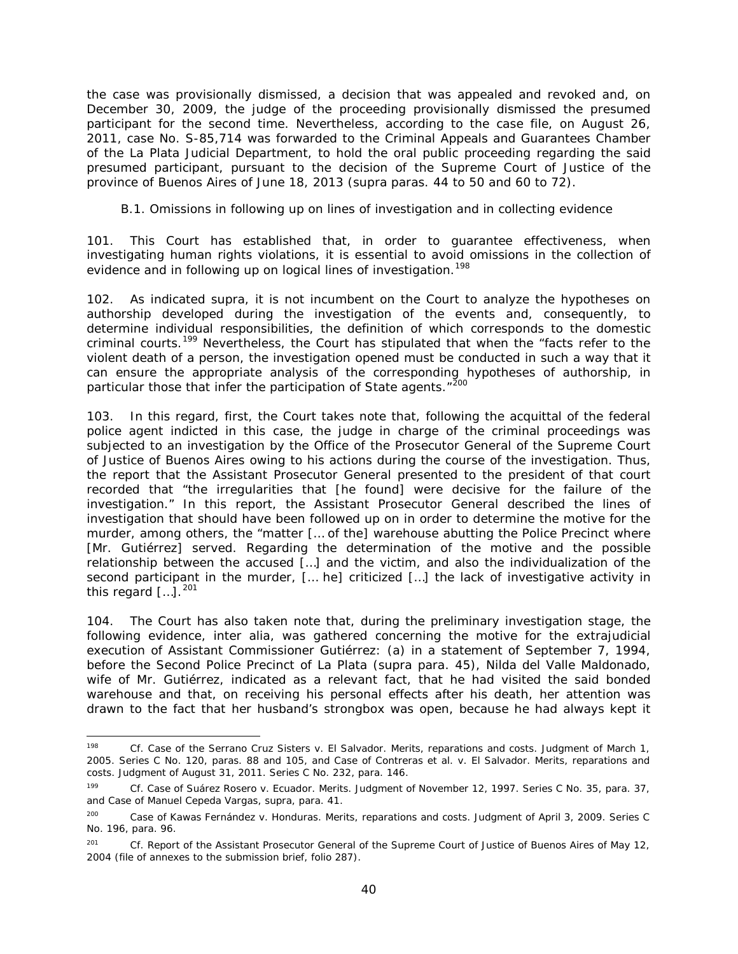the case was provisionally dismissed, a decision that was appealed and revoked and, on December 30, 2009, the judge of the proceeding provisionally dismissed the presumed participant for the second time. Nevertheless, according to the case file, on August 26, 2011, case No. S-85,714 was forwarded to the Criminal Appeals and Guarantees Chamber of the La Plata Judicial Department, to hold the oral public proceeding regarding the said presumed participant, pursuant to the decision of the Supreme Court of Justice of the province of Buenos Aires of June 18, 2013 (*supra* paras. 44 to 50 and 60 to 72).

#### <span id="page-39-0"></span>*B.1. Omissions in following up on lines of investigation and in collecting evidence*

101. This Court has established that, in order to guarantee effectiveness, when investigating human rights violations, it is essential to avoid omissions in the collection of evidence and in following up on logical lines of investigation.<sup>[198](#page-39-1)</sup>

102. As indicated *supra*, it is not incumbent on the Court to analyze the hypotheses on authorship developed during the investigation of the events and, consequently, to determine individual responsibilities, the definition of which corresponds to the domestic criminal courts.[199](#page-39-2) Nevertheless, the Court has stipulated that when the "facts refer to the violent death of a person, the investigation opened must be conducted in such a way that it can ensure the appropriate analysis of the corresponding hypotheses of authorship, in particular those that infer the participation of State agents."<sup>[200](#page-39-3)</sup>

103. In this regard, first, the Court takes note that, following the acquittal of the federal police agent indicted in this case, the judge in charge of the criminal proceedings was subjected to an investigation by the Office of the Prosecutor General of the Supreme Court of Justice of Buenos Aires owing to his actions during the course of the investigation. Thus, the report that the Assistant Prosecutor General presented to the president of that court recorded that "the irregularities that [he found] were decisive for the failure of the investigation." In this report, the Assistant Prosecutor General described the lines of investigation that should have been followed up on in order to determine the motive for the murder, among others, the "matter [… of the] warehouse abutting the Police Precinct where [Mr. Gutiérrez] served. Regarding the determination of the motive and the possible relationship between the accused […] and the victim, and also the individualization of the second participant in the murder, [… he] criticized […] the lack of investigative activity in this regard  $[...]$ .<sup>[201](#page-39-4)</sup>

104. The Court has also taken note that, during the preliminary investigation stage, the following evidence, *inter alia*, was gathered concerning the motive for the extrajudicial execution of Assistant Commissioner Gutiérrez: (a) in a statement of September 7, 1994, before the Second Police Precinct of La Plata (*supra* para. 45), Nilda del Valle Maldonado, wife of Mr. Gutiérrez, indicated as a relevant fact, that he had visited the said bonded warehouse and that, on receiving his personal effects after his death, her attention was drawn to the fact that her husband's strongbox was open, because he had always kept it

<span id="page-39-1"></span><sup>&</sup>lt;sup>198</sup> *Cf. Case of the Serrano Cruz Sisters v. El Salvador. Merits, reparations and costs. Judgment of March 1,* 2005. Series C No. 120*,* paras. 88 and 105, and *Case of Contreras et al. v. El Salvador. Merits, reparations and costs.* Judgment of August 31, 2011. Series C No. 232, para. 146.

<span id="page-39-2"></span><sup>199</sup> *Cf. Case of Suárez Rosero v. Ecuador. Merits.* Judgment of November 12, 1997. Series C No. 35, para. 37, and *Case of Manuel Cepeda Vargas, supra*, para. 41.

<span id="page-39-3"></span><sup>200</sup> *Case of Kawas Fernández v. Honduras. Merits, reparations and costs*. Judgment of April 3, 2009. Series C No. 196, para. 96.

<span id="page-39-4"></span><sup>&</sup>lt;sup>201</sup> *Cf.* Report of the Assistant Prosecutor General of the Supreme Court of Justice of Buenos Aires of May 12, 2004 (file of annexes to the submission brief, folio 287).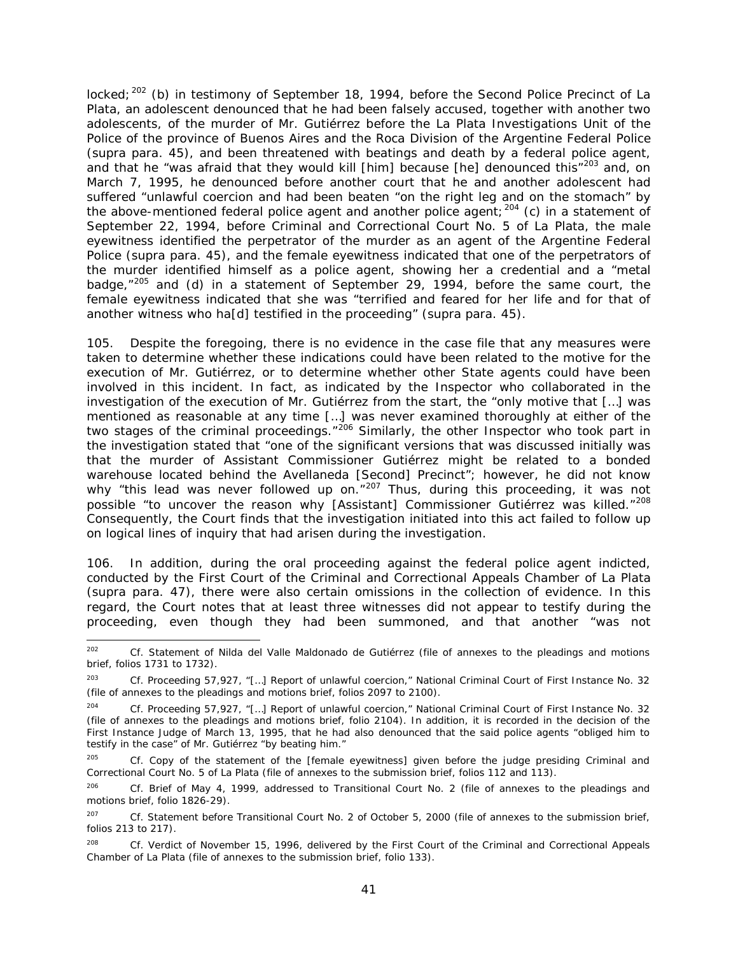locked;<sup>[202](#page-40-0)</sup> (b) in testimony of September 18, 1994, before the Second Police Precinct of La Plata, an adolescent denounced that he had been falsely accused, together with another two adolescents, of the murder of Mr. Gutiérrez before the La Plata Investigations Unit of the Police of the province of Buenos Aires and the Roca Division of the Argentine Federal Police (*supra* para. 45), and been threatened with beatings and death by a federal police agent, and that he "was afraid that they would kill [him] because [he] denounced this"<sup>[203](#page-40-1)</sup> and, on March 7, 1995, he denounced before another court that he and another adolescent had suffered "unlawful coercion and had been beaten "on the right leg and on the stomach" by the above-mentioned federal police agent and another police agent;  $204$  (c) in a statement of September 22, 1994, before Criminal and Correctional Court No. 5 of La Plata, the male eyewitness identified the perpetrator of the murder as an agent of the Argentine Federal Police (*supra* para. 45), and the female eyewitness indicated that one of the perpetrators of the murder identified himself as a police agent, showing her a credential and a "metal badge, $n^{205}$  $n^{205}$  $n^{205}$  and (d) in a statement of September 29, 1994, before the same court, the female eyewitness indicated that she was "terrified and feared for her life and for that of another witness who ha[d] testified in the proceeding" (*supra* para. 45).

105. Despite the foregoing, there is no evidence in the case file that any measures were taken to determine whether these indications could have been related to the motive for the execution of Mr. Gutiérrez, or to determine whether other State agents could have been involved in this incident. In fact, as indicated by the Inspector who collaborated in the investigation of the execution of Mr. Gutiérrez from the start, the "only motive that […] was mentioned as reasonable at any time […] was never examined thoroughly at either of the two stages of the criminal proceedings."<sup>[206](#page-40-4)</sup> Similarly, the other Inspector who took part in the investigation stated that "one of the significant versions that was discussed initially was that the murder of Assistant Commissioner Gutiérrez might be related to a bonded warehouse located behind the Avellaneda [Second] Precinct"; however, he did not know why "this lead was never followed up on."<sup>[207](#page-40-5)</sup> Thus, during this proceeding, it was not possible "to uncover the reason why [Assistant] Commissioner Gutiérrez was killed."<sup>[208](#page-40-6)</sup> Consequently, the Court finds that the investigation initiated into this act failed to follow up on logical lines of inquiry that had arisen during the investigation.

106. In addition, during the oral proceeding against the federal police agent indicted, conducted by the First Court of the Criminal and Correctional Appeals Chamber of La Plata (*supra* para. 47), there were also certain omissions in the collection of evidence. In this regard, the Court notes that at least three witnesses did not appear to testify during the proceeding, even though they had been summoned, and that another "was not

<span id="page-40-0"></span> <sup>202</sup> *Cf.* Statement of Nilda del Valle Maldonado de Gutiérrez (file of annexes to the pleadings and motions brief, folios 1731 to 1732).

<span id="page-40-1"></span><sup>203</sup> *Cf.* Proceeding 57,927, "[…] Report of unlawful coercion," National Criminal Court of First Instance No. 32 (file of annexes to the pleadings and motions brief, folios 2097 to 2100).

<span id="page-40-2"></span><sup>204</sup> *Cf.* Proceeding 57,927, "[…] Report of unlawful coercion," National Criminal Court of First Instance No. 32 (file of annexes to the pleadings and motions brief, folio 2104). In addition, it is recorded in the decision of the First Instance Judge of March 13, 1995, that he had also denounced that the said police agents "obliged him to testify in the case" of Mr. Gutiérrez "by beating him."

<span id="page-40-3"></span>*Cf.* Copy of the statement of the [female eyewitness] given before the judge presiding Criminal and Correctional Court No. 5 of La Plata (file of annexes to the submission brief, folios 112 and 113).

<span id="page-40-4"></span><sup>206</sup> *Cf.* Brief of May 4, 1999, addressed to Transitional Court No. 2 (file of annexes to the pleadings and motions brief, folio 1826-29).

<span id="page-40-5"></span><sup>207</sup> *Cf.* Statement before Transitional Court No. 2 of October 5, 2000 (file of annexes to the submission brief, folios 213 to 217).

<span id="page-40-6"></span><sup>208</sup> *Cf.* Verdict of November 15, 1996, delivered by the First Court of the Criminal and Correctional Appeals Chamber of La Plata (file of annexes to the submission brief, folio 133).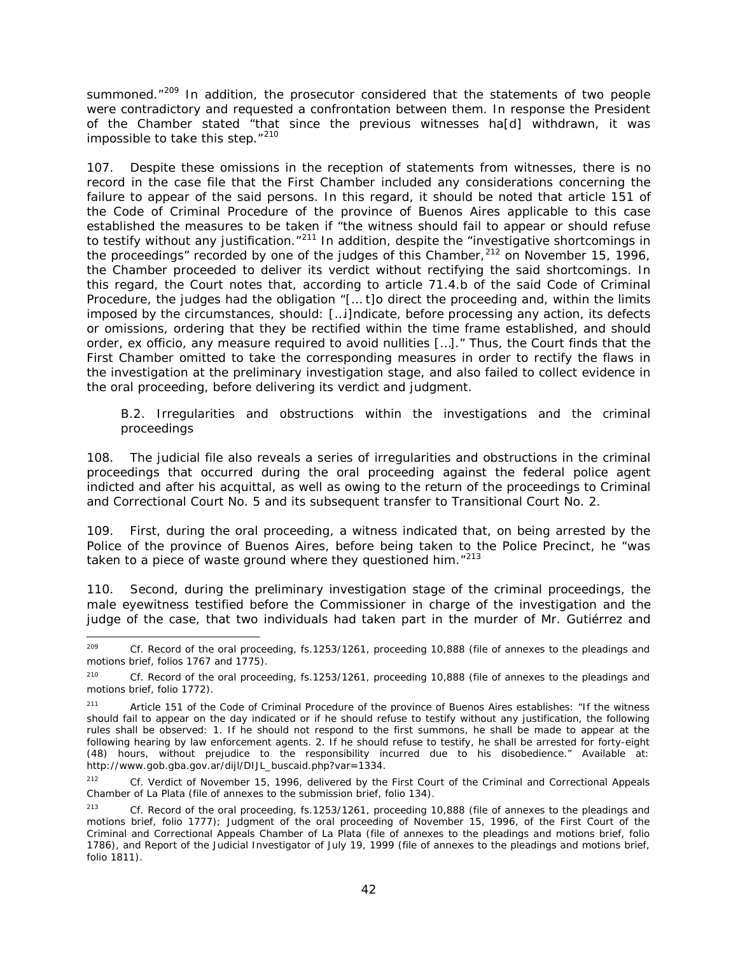summoned."<sup>[209](#page-41-1)</sup> In addition, the prosecutor considered that the statements of two people were contradictory and requested a confrontation between them. In response the President of the Chamber stated "that since the previous witnesses ha[d] withdrawn, it was impossible to take this step."<sup>[210](#page-41-2)</sup>

107. Despite these omissions in the reception of statements from witnesses, there is no record in the case file that the First Chamber included any considerations concerning the failure to appear of the said persons. In this regard, it should be noted that article 151 of the Code of Criminal Procedure of the province of Buenos Aires applicable to this case established the measures to be taken if "the witness should fail to appear or should refuse to testify without any justification."<sup>[211](#page-41-3)</sup> In addition, despite the "investigative shortcomings in the proceedings" recorded by one of the judges of this Chamber,  $212$  on November 15, 1996, the Chamber proceeded to deliver its verdict without rectifying the said shortcomings. In this regard, the Court notes that, according to article 71.4.b of the said Code of Criminal Procedure, the judges had the obligation "[… t]o direct the proceeding and, within the limits imposed by the circumstances, should: […i]ndicate, before processing any action, its defects or omissions, ordering that they be rectified within the time frame established, and should order, *ex officio*, any measure required to avoid nullities […]." Thus, the Court finds that the First Chamber omitted to take the corresponding measures in order to rectify the flaws in the investigation at the preliminary investigation stage, and also failed to collect evidence in the oral proceeding, before delivering its verdict and judgment.

#### <span id="page-41-0"></span>*B.2. Irregularities and obstructions within the investigations and the criminal proceedings*

108. The judicial file also reveals a series of irregularities and obstructions in the criminal proceedings that occurred during the oral proceeding against the federal police agent indicted and after his acquittal, as well as owing to the return of the proceedings to Criminal and Correctional Court No. 5 and its subsequent transfer to Transitional Court No. 2.

109. First, during the oral proceeding, a witness indicated that, on being arrested by the Police of the province of Buenos Aires, before being taken to the Police Precinct, he "was taken to a piece of waste ground where they questioned him."<sup>[213](#page-41-5)</sup>

110. Second, during the preliminary investigation stage of the criminal proceedings, the male eyewitness testified before the Commissioner in charge of the investigation and the judge of the case, that two individuals had taken part in the murder of Mr. Gutiérrez and

<span id="page-41-1"></span> <sup>209</sup> *Cf.* Record of the oral proceeding, fs.1253/1261, proceeding 10,888 (file of annexes to the pleadings and motions brief, folios 1767 and 1775).

<span id="page-41-2"></span><sup>210</sup> *Cf.* Record of the oral proceeding, fs.1253/1261, proceeding 10,888 (file of annexes to the pleadings and motions brief, folio 1772).

<span id="page-41-3"></span><sup>&</sup>lt;sup>211</sup> Article 151 of the Code of Criminal Procedure of the province of Buenos Aires establishes: "If the witness should fail to appear on the day indicated or if he should refuse to testify without any justification, the following rules shall be observed: 1. If he should not respond to the first summons, he shall be made to appear at the following hearing by law enforcement agents. 2. If he should refuse to testify, he shall be arrested for forty-eight (48) hours, without prejudice to the responsibility incurred due to his disobedience." Available at: http://www.gob.gba.gov.ar/dijl/DIJL\_buscaid.php?var=1334.

<span id="page-41-4"></span><sup>212</sup> *Cf.* Verdict of November 15, 1996, delivered by the First Court of the Criminal and Correctional Appeals Chamber of La Plata (file of annexes to the submission brief, folio 134).

<span id="page-41-5"></span><sup>213</sup> *Cf.* Record of the oral proceeding, fs.1253/1261, proceeding 10,888 (file of annexes to the pleadings and motions brief, folio 1777); Judgment of the oral proceeding of November 15, 1996, of the First Court of the Criminal and Correctional Appeals Chamber of La Plata (file of annexes to the pleadings and motions brief, folio 1786), and Report of the Judicial Investigator of July 19, 1999 (file of annexes to the pleadings and motions brief, folio 1811).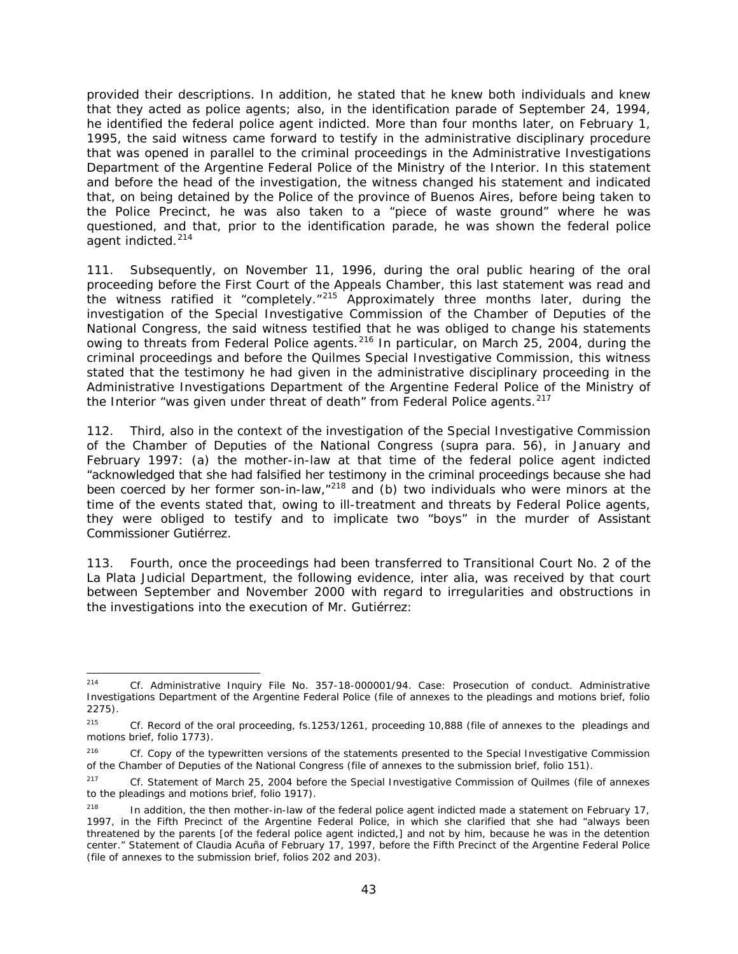provided their descriptions. In addition, he stated that he knew both individuals and knew that they acted as police agents; also, in the identification parade of September 24, 1994, he identified the federal police agent indicted. More than four months later, on February 1, 1995, the said witness came forward to testify in the administrative disciplinary procedure that was opened in parallel to the criminal proceedings in the Administrative Investigations Department of the Argentine Federal Police of the Ministry of the Interior. In this statement and before the head of the investigation, the witness changed his statement and indicated that, on being detained by the Police of the province of Buenos Aires, before being taken to the Police Precinct, he was also taken to a "piece of waste ground" where he was questioned, and that, prior to the identification parade, he was shown the federal police agent indicted. [214](#page-42-0)

111. Subsequently, on November 11, 1996, during the oral public hearing of the oral proceeding before the First Court of the Appeals Chamber, this last statement was read and the witness ratified it "completely."[215](#page-42-1) Approximately three months later, during the investigation of the Special Investigative Commission of the Chamber of Deputies of the National Congress, the said witness testified that he was obliged to change his statements owing to threats from Federal Police agents.<sup>[216](#page-42-2)</sup> In particular, on March 25, 2004, during the criminal proceedings and before the Quilmes Special Investigative Commission, this witness stated that the testimony he had given in the administrative disciplinary proceeding in the Administrative Investigations Department of the Argentine Federal Police of the Ministry of the Interior "was given under threat of death" from Federal Police agents.<sup>[217](#page-42-3)</sup>

112. Third, also in the context of the investigation of the Special Investigative Commission of the Chamber of Deputies of the National Congress (*supra* para. 56), in January and February 1997: (a) the mother-in-law at that time of the federal police agent indicted "acknowledged that she had falsified her testimony in the criminal proceedings because she had been coerced by her former son-in-law,"<sup>[218](#page-42-4)</sup> and (b) two individuals who were minors at the time of the events stated that, owing to ill-treatment and threats by Federal Police agents, they were obliged to testify and to implicate two "boys" in the murder of Assistant Commissioner Gutiérrez.

113. Fourth, once the proceedings had been transferred to Transitional Court No. 2 of the La Plata Judicial Department, the following evidence, *inter alia*, was received by that court between September and November 2000 with regard to irregularities and obstructions in the investigations into the execution of Mr. Gutiérrez:

<span id="page-42-0"></span> <sup>214</sup> *Cf.* Administrative Inquiry File No. 357-18-000001/94. Case: Prosecution of conduct. Administrative Investigations Department of the Argentine Federal Police (file of annexes to the pleadings and motions brief, folio 2275).

<span id="page-42-1"></span><sup>215</sup> *Cf.* Record of the oral proceeding, fs.1253/1261, proceeding 10,888 (file of annexes to the pleadings and motions brief, folio 1773).

<span id="page-42-2"></span><sup>&</sup>lt;sup>216</sup> *Cf.* Copy of the typewritten versions of the statements presented to the Special Investigative Commission of the Chamber of Deputies of the National Congress (file of annexes to the submission brief, folio 151).

<span id="page-42-3"></span><sup>217</sup> *Cf.* Statement of March 25, 2004 before the Special Investigative Commission of Quilmes (file of annexes to the pleadings and motions brief, folio 1917).

<span id="page-42-4"></span><sup>&</sup>lt;sup>218</sup> In addition, the then mother-in-law of the federal police agent indicted made a statement on February 17, 1997, in the Fifth Precinct of the Argentine Federal Police, in which she clarified that she had "always been threatened by the parents [of the federal police agent indicted,] and not by him, because he was in the detention center." Statement of Claudia Acuña of February 17, 1997, before the Fifth Precinct of the Argentine Federal Police (file of annexes to the submission brief, folios 202 and 203).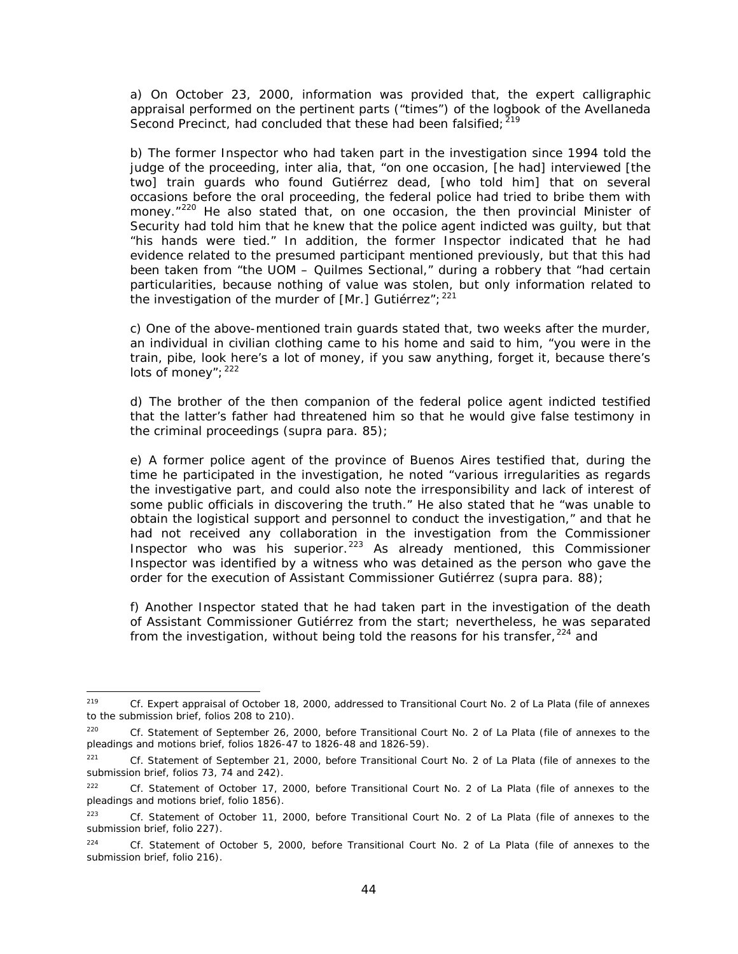a) On October 23, 2000, information was provided that, the expert calligraphic appraisal performed on the pertinent parts ("times") of the logbook of the Avellaneda Second Precinct, had concluded that these had been falsified; <sup>[219](#page-43-0)</sup>

b) The former Inspector who had taken part in the investigation since 1994 told the judge of the proceeding, *inter alia*, that, "on one occasion, [he had] interviewed [the two] train guards who found Gutiérrez dead, [who told him] that on several occasions before the oral proceeding, the federal police had tried to bribe them with money."<sup>[220](#page-43-1)</sup> He also stated that, on one occasion, the then provincial Minister of Security had told him that he knew that the police agent indicted was guilty, but that "his hands were tied." In addition, the former Inspector indicated that he had evidence related to the presumed participant mentioned previously, but that this had been taken from "the UOM – Quilmes Sectional," during a robbery that "had certain particularities, because nothing of value was stolen, but only information related to the investigation of the murder of [Mr.] Gutiérrez";  $221$ 

c) One of the above-mentioned train guards stated that, two weeks after the murder, an individual in civilian clothing came to his home and said to him, "you were in the train, *pibe*, look here's a lot of money, if you saw anything, forget it, because there's lots of money"; [222](#page-43-3)

d) The brother of the then companion of the federal police agent indicted testified that the latter's father had threatened him so that he would give false testimony in the criminal proceedings (*supra* para. 85);

e) A former police agent of the province of Buenos Aires testified that, during the time he participated in the investigation, he noted "various irregularities as regards the investigative part, and could also note the irresponsibility and lack of interest of some public officials in discovering the truth." He also stated that he "was unable to obtain the logistical support and personnel to conduct the investigation," and that he had not received any collaboration in the investigation from the Commissioner Inspector who was his superior.<sup>[223](#page-43-4)</sup> As already mentioned, this Commissioner Inspector was identified by a witness who was detained as the person who gave the order for the execution of Assistant Commissioner Gutiérrez (*supra* para. 88);

f) Another Inspector stated that he had taken part in the investigation of the death of Assistant Commissioner Gutiérrez from the start; nevertheless, he was separated from the investigation, without being told the reasons for his transfer,  $224$  and

<span id="page-43-0"></span> <sup>219</sup> *Cf.* Expert appraisal of October 18, 2000, addressed to Transitional Court No. 2 of La Plata (file of annexes to the submission brief, folios 208 to 210).

<span id="page-43-1"></span><sup>220</sup> *Cf.* Statement of September 26, 2000, before Transitional Court No. 2 of La Plata (file of annexes to the pleadings and motions brief, folios 1826-47 to 1826-48 and 1826-59).

<span id="page-43-2"></span><sup>221</sup> *Cf.* Statement of September 21, 2000, before Transitional Court No. 2 of La Plata (file of annexes to the submission brief, folios 73, 74 and 242).

<span id="page-43-3"></span><sup>222</sup> *Cf.* Statement of October 17, 2000, before Transitional Court No. 2 of La Plata (file of annexes to the pleadings and motions brief, folio 1856).

<span id="page-43-4"></span><sup>223</sup> *Cf.* Statement of October 11, 2000, before Transitional Court No. 2 of La Plata (file of annexes to the submission brief, folio 227).

<span id="page-43-5"></span><sup>224</sup> *Cf.* Statement of October 5, 2000, before Transitional Court No. 2 of La Plata (file of annexes to the submission brief, folio 216).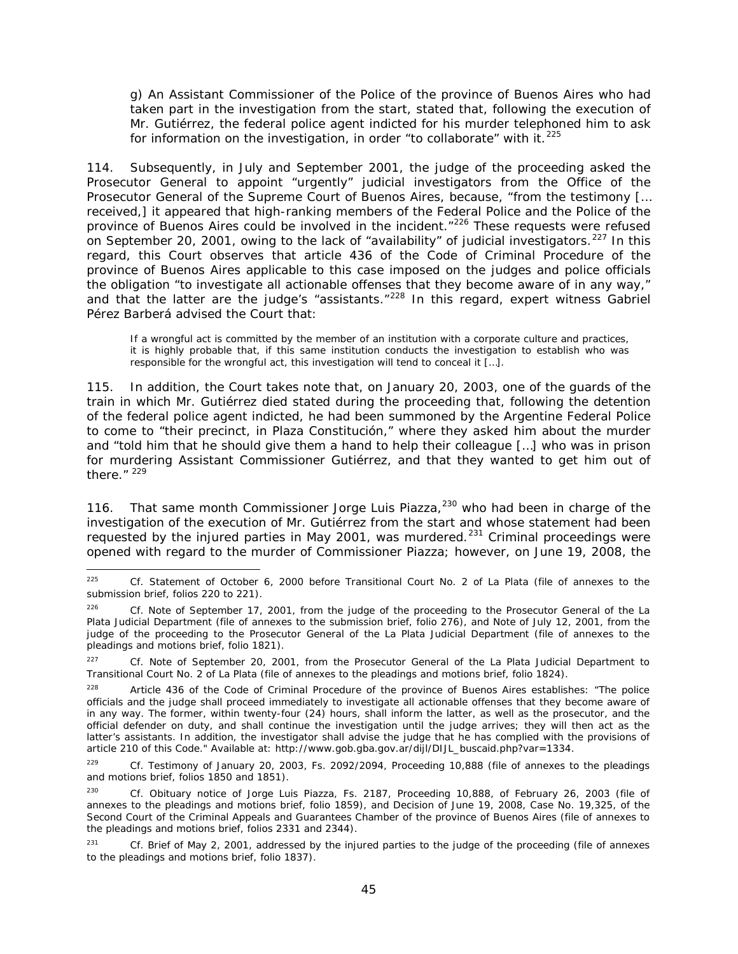g) An Assistant Commissioner of the Police of the province of Buenos Aires who had taken part in the investigation from the start, stated that, following the execution of Mr. Gutiérrez, the federal police agent indicted for his murder telephoned him to ask for information on the investigation, in order "to collaborate" with it.  $225$ 

114. Subsequently, in July and September 2001, the judge of the proceeding asked the Prosecutor General to appoint "urgently" judicial investigators from the Office of the Prosecutor General of the Supreme Court of Buenos Aires, because, "from the testimony [... received,] it appeared that high-ranking members of the Federal Police and the Police of the province of Buenos Aires could be involved in the incident."<sup>[226](#page-44-1)</sup> These requests were refused on September 20, 2001, owing to the lack of "availability" of judicial investigators.<sup>[227](#page-44-2)</sup> In this regard, this Court observes that article 436 of the Code of Criminal Procedure of the province of Buenos Aires applicable to this case imposed on the judges and police officials the obligation "to investigate all actionable offenses that they become aware of in any way," and that the latter are the judge's "assistants."<sup>[228](#page-44-3)</sup> In this regard, expert witness Gabriel Pérez Barberá advised the Court that:

If a wrongful act is committed by the member of an institution with a corporate culture and practices, it is highly probable that, if this same institution conducts the investigation to establish who was responsible for the wrongful act, this investigation will tend to conceal it […].

115. In addition, the Court takes note that, on January 20, 2003, one of the guards of the train in which Mr. Gutiérrez died stated during the proceeding that, following the detention of the federal police agent indicted, he had been summoned by the Argentine Federal Police to come to "their precinct, in Plaza Constitución," where they asked him about the murder and "told him that he should give them a hand to help their colleague […] who was in prison for murdering Assistant Commissioner Gutiérrez, and that they wanted to get him out of there. $''$ <sup>[229](#page-44-4)</sup>

116. That same month Commissioner Jorge Luis Piazza,<sup>[230](#page-44-5)</sup> who had been in charge of the investigation of the execution of Mr. Gutiérrez from the start and whose statement had been requested by the injured parties in May 2001, was murdered.<sup>[231](#page-44-6)</sup> Criminal proceedings were opened with regard to the murder of Commissioner Piazza; however, on June 19, 2008, the

<span id="page-44-0"></span> <sup>225</sup> *Cf.* Statement of October 6, 2000 before Transitional Court No. 2 of La Plata (file of annexes to the submission brief, folios 220 to 221).

<span id="page-44-1"></span><sup>&</sup>lt;sup>226</sup> *Cf.* Note of September 17, 2001, from the judge of the proceeding to the Prosecutor General of the La Plata Judicial Department (file of annexes to the submission brief, folio 276), and Note of July 12, 2001, from the judge of the proceeding to the Prosecutor General of the La Plata Judicial Department (file of annexes to the pleadings and motions brief, folio 1821).

<span id="page-44-2"></span><sup>&</sup>lt;sup>227</sup> *Cf.* Note of September 20, 2001, from the Prosecutor General of the La Plata Judicial Department to Transitional Court No. 2 of La Plata (file of annexes to the pleadings and motions brief, folio 1824).

<span id="page-44-3"></span><sup>&</sup>lt;sup>228</sup> Article 436 of the Code of Criminal Procedure of the province of Buenos Aires establishes: "The police officials and the judge shall proceed immediately to investigate all actionable offenses that they become aware of in any way. The former, within twenty-four (24) hours, shall inform the latter, as well as the prosecutor, and the official defender on duty, and shall continue the investigation until the judge arrives; they will then act as the latter's assistants. In addition, the investigator shall advise the judge that he has complied with the provisions of article 210 of this Code." Available at: http://www.gob.gba.gov.ar/dijl/DIJL\_buscaid.php?var=1334.

<span id="page-44-4"></span><sup>229</sup> *Cf.* Testimony of January 20, 2003, Fs. 2092/2094, Proceeding 10,888 (file of annexes to the pleadings and motions brief, folios 1850 and 1851).

<span id="page-44-5"></span><sup>230</sup> *Cf.* Obituary notice of Jorge Luis Piazza, Fs. 2187, Proceeding 10,888, of February 26, 2003 (file of annexes to the pleadings and motions brief, folio 1859), and Decision of June 19, 2008, Case No. 19,325, of the Second Court of the Criminal Appeals and Guarantees Chamber of the province of Buenos Aires (file of annexes to the pleadings and motions brief, folios 2331 and 2344).

<span id="page-44-6"></span><sup>&</sup>lt;sup>231</sup> *Cf.* Brief of May 2, 2001, addressed by the injured parties to the judge of the proceeding (file of annexes to the pleadings and motions brief, folio 1837).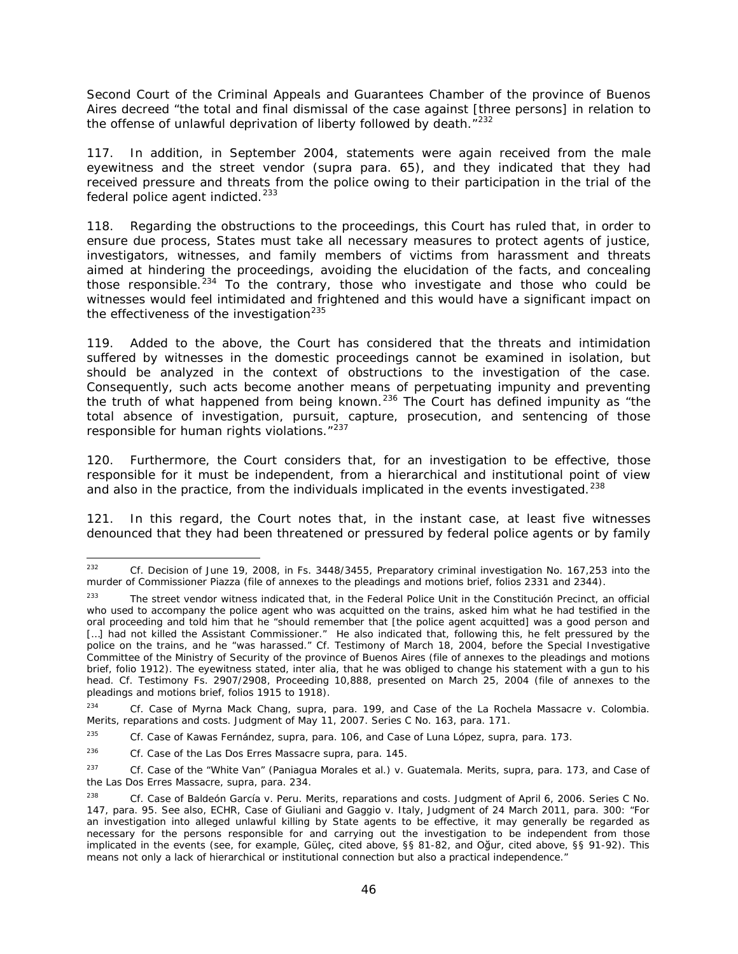Second Court of the Criminal Appeals and Guarantees Chamber of the province of Buenos Aires decreed "the total and final dismissal of the case against [three persons] in relation to the offense of unlawful deprivation of liberty followed by death."<sup>[232](#page-45-0)</sup>

117. In addition, in September 2004, statements were again received from the male eyewitness and the street vendor (*supra* para. 65), and they indicated that they had received pressure and threats from the police owing to their participation in the trial of the federal police agent indicted.<sup>[233](#page-45-1)</sup>

118. Regarding the obstructions to the proceedings, this Court has ruled that, in order to ensure due process, States must take all necessary measures to protect agents of justice, investigators, witnesses, and family members of victims from harassment and threats aimed at hindering the proceedings, avoiding the elucidation of the facts, and concealing those responsible.<sup>[234](#page-45-2)</sup> To the contrary, those who investigate and those who could be witnesses would feel intimidated and frightened and this would have a significant impact on the effectiveness of the investigation $^{235}$  $^{235}$  $^{235}$ 

119. Added to the above, the Court has considered that the threats and intimidation suffered by witnesses in the domestic proceedings cannot be examined in isolation, but should be analyzed in the context of obstructions to the investigation of the case. Consequently, such acts become another means of perpetuating impunity and preventing the truth of what happened from being known.<sup>[236](#page-45-4)</sup> The Court has defined impunity as "the total absence of investigation, pursuit, capture, prosecution, and sentencing of those responsible for human rights violations."<sup>[237](#page-45-5)</sup>

120. Furthermore, the Court considers that, for an investigation to be effective, those responsible for it must be independent, from a hierarchical and institutional point of view and also in the practice, from the individuals implicated in the events investigated.<sup>[238](#page-45-6)</sup>

121. In this regard, the Court notes that, in the instant case, at least five witnesses denounced that they had been threatened or pressured by federal police agents or by family

<span id="page-45-0"></span> <sup>232</sup> *Cf.* Decision of June 19, 2008, in Fs. 3448/3455, Preparatory criminal investigation No. 167,253 into the murder of Commissioner Piazza (file of annexes to the pleadings and motions brief, folios 2331 and 2344).

<span id="page-45-1"></span><sup>&</sup>lt;sup>233</sup> The street vendor witness indicated that, in the Federal Police Unit in the Constitución Precinct, an official who used to accompany the police agent who was acquitted on the trains, asked him what he had testified in the oral proceeding and told him that he "should remember that [the police agent acquitted] was a good person and [...] had not killed the Assistant Commissioner." He also indicated that, following this, he felt pressured by the police on the trains, and he "was harassed." *Cf.* Testimony of March 18, 2004, before the Special Investigative Committee of the Ministry of Security of the province of Buenos Aires (file of annexes to the pleadings and motions brief, folio 1912). The eyewitness stated, *inter alia,* that he was obliged to change his statement with a gun to his head. *Cf.* Testimony Fs. 2907/2908, Proceeding 10,888, presented on March 25, 2004 (file of annexes to the pleadings and motions brief, folios 1915 to 1918).

<span id="page-45-2"></span><sup>234</sup> *Cf. Case of Myrna Mack Chang, supra,* para. 199, and *Case of the La Rochela Massacre v. Colombia. Merits, reparations and costs.* Judgment of May 11, 2007. Series C No. 163, para. 171.

<span id="page-45-3"></span><sup>235</sup> *Cf. Case of Kawas Fernández, supra*, para. 106, and *Case of Luna López, supra,* para. 173.

<span id="page-45-4"></span><sup>236</sup> *Cf. Case of the Las Dos Erres Massacre supra*, para. 145.

<span id="page-45-5"></span><sup>237</sup> *Cf. Case of the "White Van" (Paniagua Morales et al.) v. Guatemala. Merits, supra*, para. 173, and *Case of the Las Dos Erres Massacre, supra*, para. 234.

<span id="page-45-6"></span><sup>238</sup> *Cf. Case of Baldeón García v. Peru. Merits, reparations and costs*. Judgment of April 6, 2006. Series C No. 147, para. 95. See also*,* ECHR, *Case of Giuliani and Gaggio v. Italy*, Judgment of 24 March 2011, para. 300: "For an investigation into alleged unlawful killing by State agents to be effective, it may generally be regarded as necessary for the persons responsible for and carrying out the investigation to be independent from those implicated in the events (see, for example, Güleç, cited above, §§ 81-82, and Oğur, cited above, §§ 91-92). This means not only a lack of hierarchical or institutional connection but also a practical independence."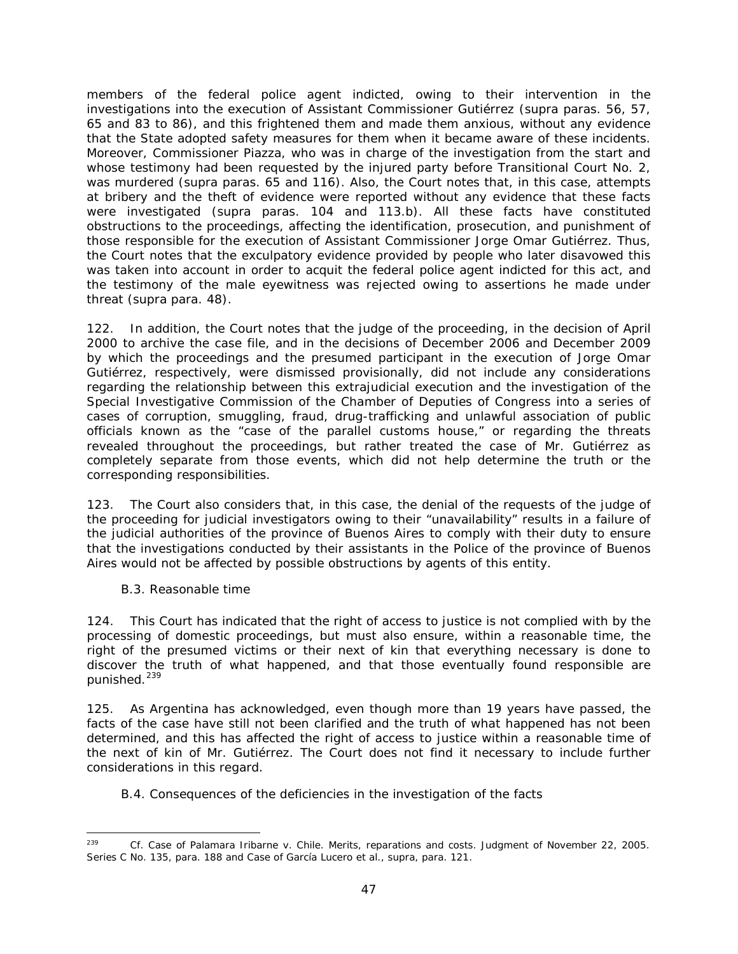members of the federal police agent indicted, owing to their intervention in the investigations into the execution of Assistant Commissioner Gutiérrez (*supra* paras. 56, 57, 65 and 83 to 86), and this frightened them and made them anxious, without any evidence that the State adopted safety measures for them when it became aware of these incidents. Moreover, Commissioner Piazza, who was in charge of the investigation from the start and whose testimony had been requested by the injured party before Transitional Court No. 2, was murdered (*supra* paras. 65 and 116). Also, the Court notes that, in this case, attempts at bribery and the theft of evidence were reported without any evidence that these facts were investigated (*supra* paras. 104 and 113.b). All these facts have constituted obstructions to the proceedings, affecting the identification, prosecution, and punishment of those responsible for the execution of Assistant Commissioner Jorge Omar Gutiérrez. Thus, the Court notes that the exculpatory evidence provided by people who later disavowed this was taken into account in order to acquit the federal police agent indicted for this act, and the testimony of the male eyewitness was rejected owing to assertions he made under threat (*supra* para. 48).

122. In addition, the Court notes that the judge of the proceeding, in the decision of April 2000 to archive the case file, and in the decisions of December 2006 and December 2009 by which the proceedings and the presumed participant in the execution of Jorge Omar Gutiérrez, respectively, were dismissed provisionally, did not include any considerations regarding the relationship between this extrajudicial execution and the investigation of the Special Investigative Commission of the Chamber of Deputies of Congress into a series of cases of corruption, smuggling, fraud, drug-trafficking and unlawful association of public officials known as the "case of the parallel customs house," or regarding the threats revealed throughout the proceedings, but rather treated the case of Mr. Gutiérrez as completely separate from those events, which did not help determine the truth or the corresponding responsibilities.

123. The Court also considers that, in this case, the denial of the requests of the judge of the proceeding for judicial investigators owing to their "unavailability" results in a failure of the judicial authorities of the province of Buenos Aires to comply with their duty to ensure that the investigations conducted by their assistants in the Police of the province of Buenos Aires would not be affected by possible obstructions by agents of this entity.

#### <span id="page-46-0"></span>*B.3. Reasonable time*

124. This Court has indicated that the right of access to justice is not complied with by the processing of domestic proceedings, but must also ensure, within a reasonable time, the right of the presumed victims or their next of kin that everything necessary is done to discover the truth of what happened, and that those eventually found responsible are punished.<sup>[239](#page-46-2)</sup>

125. As Argentina has acknowledged, even though more than 19 years have passed, the facts of the case have still not been clarified and the truth of what happened has not been determined, and this has affected the right of access to justice within a reasonable time of the next of kin of Mr. Gutiérrez. The Court does not find it necessary to include further considerations in this regard.

#### <span id="page-46-1"></span>*B.4. Consequences of the deficiencies in the investigation of the facts*

<span id="page-46-2"></span> <sup>239</sup> *Cf. Case of Palamara Iribarne v. Chile. Merits, reparations and costs*. Judgment of November 22, 2005. Series C No. 135, para. 188 and *Case of García Lucero et al., supra,* para. 121.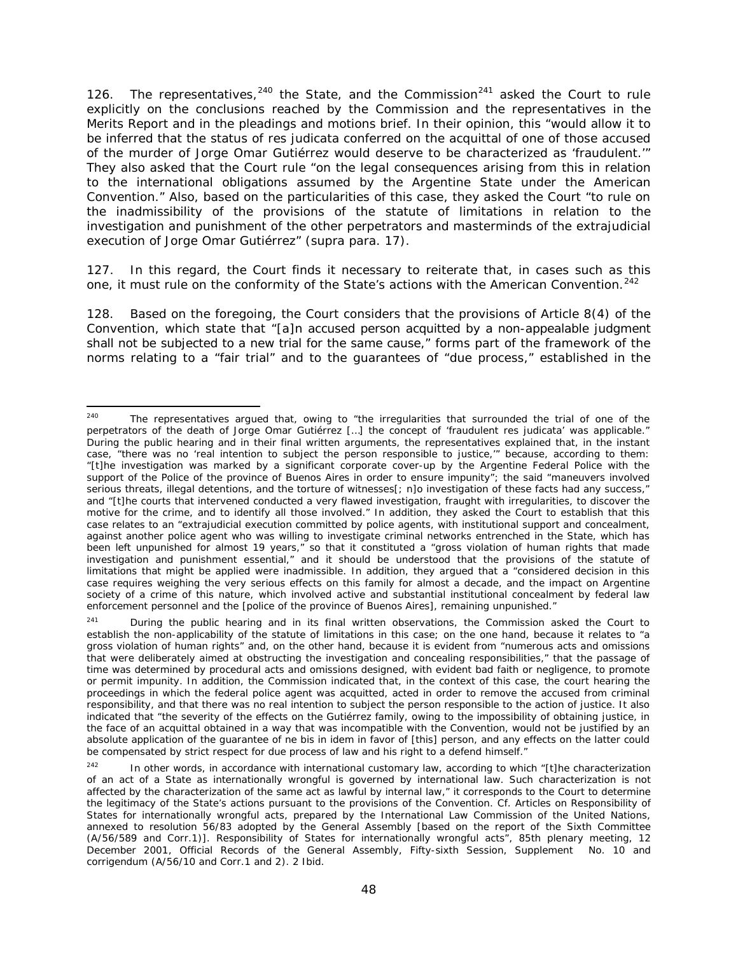126. The representatives,  $240$  the State, and the Commission  $241$  asked the Court to rule explicitly on the conclusions reached by the Commission and the representatives in the Merits Report and in the pleadings and motions brief. In their opinion, this "would allow it to be inferred that the status of *res judicata* conferred on the acquittal of one of those accused of the murder of Jorge Omar Gutiérrez would deserve to be characterized as 'fraudulent.'" They also asked that the Court rule "on the legal consequences arising from this in relation to the international obligations assumed by the Argentine State under the American Convention." Also, based on the particularities of this case, they asked the Court "to rule on the inadmissibility of the provisions of the statute of limitations in relation to the investigation and punishment of the other perpetrators and masterminds of the extrajudicial execution of Jorge Omar Gutiérrez" (*supra* para. 17).

127. In this regard, the Court finds it necessary to reiterate that, in cases such as this one, it must rule on the conformity of the State's actions with the American Convention.<sup>[242](#page-47-2)</sup>

128. Based on the foregoing, the Court considers that the provisions of Article 8(4) of the Convention, which state that "[a]n accused person acquitted by a non-appealable judgment shall not be subjected to a new trial for the same cause," forms part of the framework of the norms relating to a "fair trial" and to the guarantees of "due process," established in the

<span id="page-47-0"></span><sup>&</sup>lt;sup>240</sup> The representatives argued that, owing to "the irregularities that surrounded the trial of one of the perpetrators of the death of Jorge Omar Gutiérrez […] the concept of 'fraudulent *res judicata'* was applicable." During the public hearing and in their final written arguments, the representatives explained that, in the instant case, "there was no 'real intention to subject the person responsible to justice,'" because, according to them: "[t]he investigation was marked by a significant corporate cover-up by the Argentine Federal Police with the support of the Police of the province of Buenos Aires in order to ensure impunity"; the said "maneuvers involved serious threats, illegal detentions, and the torture of witnesses[; n]o investigation of these facts had any success," and "[t]he courts that intervened conducted a very flawed investigation, fraught with irregularities, to discover the motive for the crime, and to identify all those involved." In addition, they asked the Court to establish that this case relates to an "extrajudicial execution committed by police agents, with institutional support and concealment, against another police agent who was willing to investigate criminal networks entrenched in the State, which has been left unpunished for almost 19 years," so that it constituted a "gross violation of human rights that made investigation and punishment essential," and it should be understood that the provisions of the statute of limitations that might be applied were inadmissible. In addition, they argued that a "considered decision in this case requires weighing the very serious effects on this family for almost a decade, and the impact on Argentine society of a crime of this nature, which involved active and substantial institutional concealment by federal law enforcement personnel and the [police of the province of Buenos Aires], remaining unpunished."

<span id="page-47-1"></span><sup>&</sup>lt;sup>241</sup> During the public hearing and in its final written observations, the Commission asked the Court to establish the non-applicability of the statute of limitations in this case; on the one hand, because it relates to "a gross violation of human rights" and, on the other hand, because it is evident from "numerous acts and omissions that were deliberately aimed at obstructing the investigation and concealing responsibilities," that the passage of time was determined by procedural acts and omissions designed, with evident bad faith or negligence, to promote or permit impunity. In addition, the Commission indicated that, in the context of this case, the court hearing the proceedings in which the federal police agent was acquitted, acted in order to remove the accused from criminal responsibility, and that there was no real intention to subject the person responsible to the action of justice. It also indicated that "the severity of the effects on the Gutiérrez family, owing to the impossibility of obtaining justice, in the face of an acquittal obtained in a way that was incompatible with the Convention, would not be justified by an absolute application of the guarantee of *ne bis in idem* in favor of [this] person, and any effects on the latter could be compensated by strict respect for due process of law and his right to a defend himself."

<span id="page-47-2"></span><sup>&</sup>lt;sup>242</sup> In other words, in accordance with international customary law, according to which "[t]he characterization of an act of a State as internationally wrongful is governed by international law. Such characterization is not affected by the characterization of the same act as lawful by internal law," it corresponds to the Court to determine the legitimacy of the State's actions pursuant to the provisions of the Convention. *Cf.* Articles on Responsibility of States for internationally wrongful acts, prepared by the International Law Commission of the United Nations, annexed to resolution 56/83 adopted by the General Assembly [based on the report of the Sixth Committee (A/56/589 and Corr.1)]. Responsibility of States for internationally wrongful acts", 85th plenary meeting, 12 December 2001, Official Records of the General Assembly, Fifty-sixth Session, Supplement No. 10 and corrigendum (A/56/10 and Corr.1 and 2). 2 Ibid.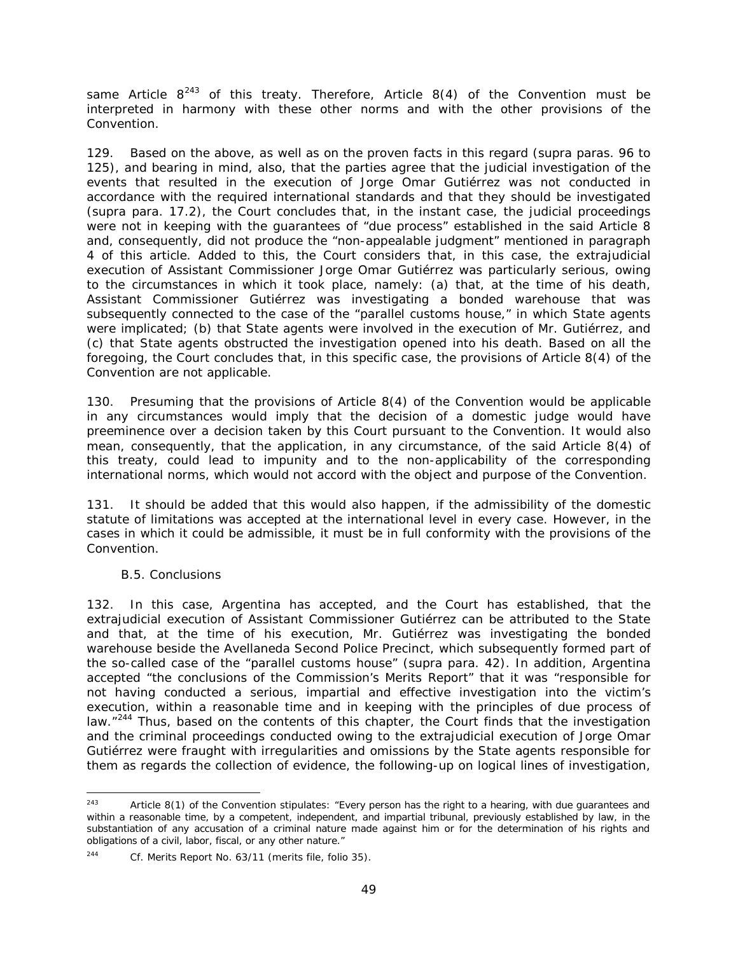same Article  $8^{243}$  $8^{243}$  $8^{243}$  of this treaty. Therefore, Article  $8(4)$  of the Convention must be interpreted in harmony with these other norms and with the other provisions of the Convention.

129. Based on the above, as well as on the proven facts in this regard (*supra* paras. 96 to 125), and bearing in mind, also, that the parties agree that the judicial investigation of the events that resulted in the execution of Jorge Omar Gutiérrez was not conducted in accordance with the required international standards and that they should be investigated (*supra* para. 17.2), the Court concludes that, in the instant case, the judicial proceedings were not in keeping with the guarantees of "due process" established in the said Article 8 and, consequently, did not produce the "non-appealable judgment" mentioned in paragraph 4 of this article. Added to this, the Court considers that, in this case, the extrajudicial execution of Assistant Commissioner Jorge Omar Gutiérrez was particularly serious, owing to the circumstances in which it took place, namely: (a) that, at the time of his death, Assistant Commissioner Gutiérrez was investigating a bonded warehouse that was subsequently connected to the case of the "parallel customs house," in which State agents were implicated; (b) that State agents were involved in the execution of Mr. Gutiérrez, and (c) that State agents obstructed the investigation opened into his death. Based on all the foregoing, the Court concludes that, in this specific case, the provisions of Article 8(4) of the Convention are not applicable.

130. Presuming that the provisions of Article 8(4) of the Convention would be applicable in any circumstances would imply that the decision of a domestic judge would have preeminence over a decision taken by this Court pursuant to the Convention. It would also mean, consequently, that the application, in any circumstance, of the said Article 8(4) of this treaty, could lead to impunity and to the non-applicability of the corresponding international norms, which would not accord with the object and purpose of the Convention.

131. It should be added that this would also happen, if the admissibility of the domestic statute of limitations was accepted at the international level in every case. However, in the cases in which it could be admissible, it must be in full conformity with the provisions of the Convention.

#### <span id="page-48-0"></span>*B.5. Conclusions*

132. In this case, Argentina has accepted, and the Court has established, that the extrajudicial execution of Assistant Commissioner Gutiérrez can be attributed to the State and that, at the time of his execution, Mr. Gutiérrez was investigating the bonded warehouse beside the Avellaneda Second Police Precinct, which subsequently formed part of the so-called case of the "parallel customs house" (*supra* para. 42). In addition, Argentina accepted "the conclusions of the Commission's Merits Report" that it was "responsible for not having conducted a serious, impartial and effective investigation into the victim's execution, within a reasonable time and in keeping with the principles of due process of law."<sup>[244](#page-48-2)</sup> Thus, based on the contents of this chapter, the Court finds that the investigation and the criminal proceedings conducted owing to the extrajudicial execution of Jorge Omar Gutiérrez were fraught with irregularities and omissions by the State agents responsible for them as regards the collection of evidence, the following-up on logical lines of investigation,

<span id="page-48-1"></span><sup>243</sup> Article 8(1) of the Convention stipulates: "Every person has the right to a hearing, with due quarantees and within a reasonable time, by a competent, independent, and impartial tribunal, previously established by law, in the substantiation of any accusation of a criminal nature made against him or for the determination of his rights and obligations of a civil, labor, fiscal, or any other nature."

<span id="page-48-2"></span><sup>244</sup> *Cf.* Merits Report No. 63/11 (merits file, folio 35).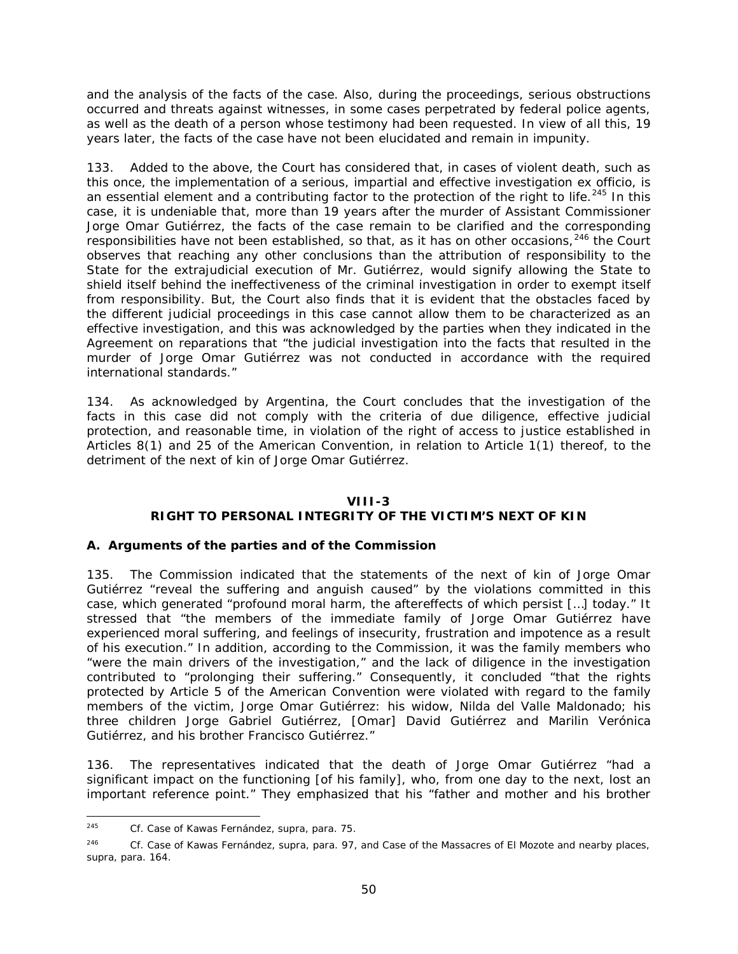and the analysis of the facts of the case. Also, during the proceedings, serious obstructions occurred and threats against witnesses, in some cases perpetrated by federal police agents, as well as the death of a person whose testimony had been requested. In view of all this, 19 years later, the facts of the case have not been elucidated and remain in impunity.

133. Added to the above, the Court has considered that, in cases of violent death, such as this once, the implementation of a serious, impartial and effective investigation *ex officio*, is an essential element and a contributing factor to the protection of the right to life.<sup>[245](#page-49-1)</sup> In this case, it is undeniable that, more than 19 years after the murder of Assistant Commissioner Jorge Omar Gutiérrez, the facts of the case remain to be clarified and the corresponding responsibilities have not been established, so that, as it has on other occasions, <sup>[246](#page-49-2)</sup> the Court observes that reaching any other conclusions than the attribution of responsibility to the State for the extrajudicial execution of Mr. Gutiérrez, would signify allowing the State to shield itself behind the ineffectiveness of the criminal investigation in order to exempt itself from responsibility. But, the Court also finds that it is evident that the obstacles faced by the different judicial proceedings in this case cannot allow them to be characterized as an effective investigation, and this was acknowledged by the parties when they indicated in the Agreement on reparations that "the judicial investigation into the facts that resulted in the murder of Jorge Omar Gutiérrez was not conducted in accordance with the required international standards."

134. As acknowledged by Argentina, the Court concludes that the investigation of the facts in this case did not comply with the criteria of due diligence, effective judicial protection, and reasonable time, in violation of the right of access to justice established in Articles 8(1) and 25 of the American Convention, in relation to Article 1(1) thereof, to the detriment of the next of kin of Jorge Omar Gutiérrez.

#### **VIII-3**

## **RIGHT TO PERSONAL INTEGRITY OF THE VICTIM'S NEXT OF KIN**

#### <span id="page-49-0"></span>*A. Arguments of the parties and of the Commission*

135. The Commission indicated that the statements of the next of kin of Jorge Omar Gutiérrez "reveal the suffering and anguish caused" by the violations committed in this case, which generated "profound moral harm, the aftereffects of which persist […] today." It stressed that "the members of the immediate family of Jorge Omar Gutiérrez have experienced moral suffering, and feelings of insecurity, frustration and impotence as a result of his execution." In addition, according to the Commission, it was the family members who "were the main drivers of the investigation," and the lack of diligence in the investigation contributed to "prolonging their suffering." Consequently, it concluded "that the rights protected by Article 5 of the American Convention were violated with regard to the family members of the victim, Jorge Omar Gutiérrez: his widow, Nilda del Valle Maldonado; his three children Jorge Gabriel Gutiérrez, [Omar] David Gutiérrez and Marilin Verónica Gutiérrez, and his brother Francisco Gutiérrez."

136. The representatives indicated that the death of Jorge Omar Gutiérrez "had a significant impact on the functioning [of his family], who, from one day to the next, lost an important reference point." They emphasized that his "father and mother and his brother

<span id="page-49-1"></span> <sup>245</sup> *Cf. Case of Kawas Fernández, supra*, para. 75.

<span id="page-49-2"></span><sup>246</sup> *Cf. Case of Kawas Fernández, supra*, para. 97, and *Case of the Massacres of El Mozote and nearby places, supra*, para. 164.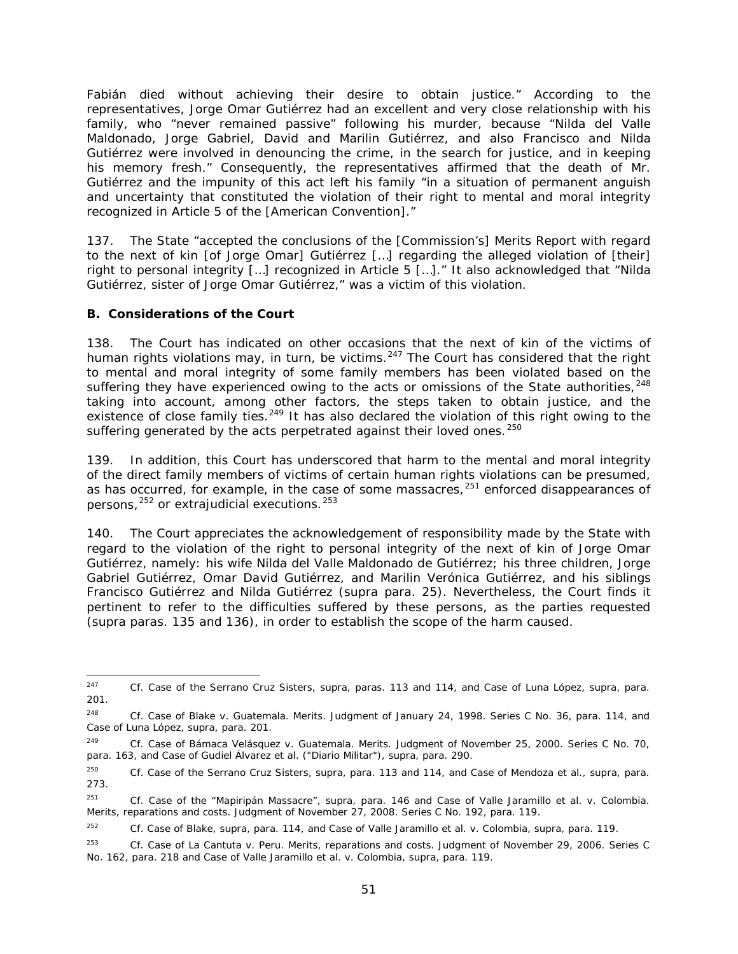Fabián died without achieving their desire to obtain justice." According to the representatives, Jorge Omar Gutiérrez had an excellent and very close relationship with his family, who "never remained passive" following his murder, because "Nilda del Valle Maldonado, Jorge Gabriel, David and Marilin Gutiérrez, and also Francisco and Nilda Gutiérrez were involved in denouncing the crime, in the search for justice, and in keeping his memory fresh." Consequently, the representatives affirmed that the death of Mr. Gutiérrez and the impunity of this act left his family "in a situation of permanent anguish and uncertainty that constituted the violation of their right to mental and moral integrity recognized in Article 5 of the [American Convention]."

137. The State "accepted the conclusions of the [Commission's] Merits Report with regard to the next of kin [of Jorge Omar] Gutiérrez […] regarding the alleged violation of [their] right to personal integrity […] recognized in Article 5 […]." It also acknowledged that "Nilda Gutiérrez, sister of Jorge Omar Gutiérrez," was a victim of this violation.

### <span id="page-50-0"></span>*B. Considerations of the Court*

138. The Court has indicated on other occasions that the next of kin of the victims of human rights violations may, in turn, be victims.<sup>[247](#page-50-1)</sup> The Court has considered that the right to mental and moral integrity of some family members has been violated based on the suffering they have experienced owing to the acts or omissions of the State authorities, <sup>[248](#page-50-2)</sup> taking into account, among other factors, the steps taken to obtain justice, and the existence of close family ties.<sup>[249](#page-50-3)</sup> It has also declared the violation of this right owing to the suffering generated by the acts perpetrated against their loved ones.<sup>[250](#page-50-4)</sup>

139. In addition, this Court has underscored that harm to the mental and moral integrity of the direct family members of victims of certain human rights violations can be presumed, as has occurred, for example, in the case of some massacres,  $251$  enforced disappearances of persons,  $252$  or extrajudicial executions.  $253$ 

140. The Court appreciates the acknowledgement of responsibility made by the State with regard to the violation of the right to personal integrity of the next of kin of Jorge Omar Gutiérrez, namely: his wife Nilda del Valle Maldonado de Gutiérrez; his three children, Jorge Gabriel Gutiérrez, Omar David Gutiérrez, and Marilin Verónica Gutiérrez, and his siblings Francisco Gutiérrez and Nilda Gutiérrez (*supra* para. 25). Nevertheless, the Court finds it pertinent to refer to the difficulties suffered by these persons, as the parties requested (*supra* paras. 135 and 136), in order to establish the scope of the harm caused.

<span id="page-50-1"></span> <sup>247</sup> *Cf. Case of the Serrano Cruz Sisters, supra,* paras. 113 and 114*, and Case of Luna López, supra*, para. 201.

<span id="page-50-2"></span><sup>248</sup> *Cf. Case of Blake v. Guatemala. Merits.* Judgment of January 24, 1998. Series C No. 36, para. 114, and *Case of Luna López, supra*, para. 201.

<span id="page-50-3"></span><sup>249</sup> *Cf. Case of Bámaca Velásquez v. Guatemala. Merits.* Judgment of November 25, 2000. Series C No. 70, para. 163, and *Case of Gudiel Álvarez et al. ("Diario Militar")*, *supra,* para. 290.

<span id="page-50-4"></span><sup>250</sup> *Cf. Case of the Serrano Cruz Sisters*, *supra,* para. 113 and 114, and *Case of Mendoza et al., supra,* para. 273.

<span id="page-50-5"></span><sup>251</sup> *Cf. Case of the "Mapiripán Massacre", supra,* para. 146 and *Case of Valle Jaramillo et al. v. Colombia. Merits, reparations and costs.* Judgment of November 27, 2008. Series C No. 192, para. 119.

<span id="page-50-6"></span><sup>252</sup> *Cf. Case of Blake, supra,* para. 114, and *Case of Valle Jaramillo et al. v. Colombia, supra*, para. 119.

<span id="page-50-7"></span><sup>253</sup> *Cf. Case of La Cantuta v. Peru. Merits, reparations and costs.* Judgment of November 29, 2006. Series C No. 162, para. 218 and *Case of Valle Jaramillo et al. v. Colombia, supra*, para. 119.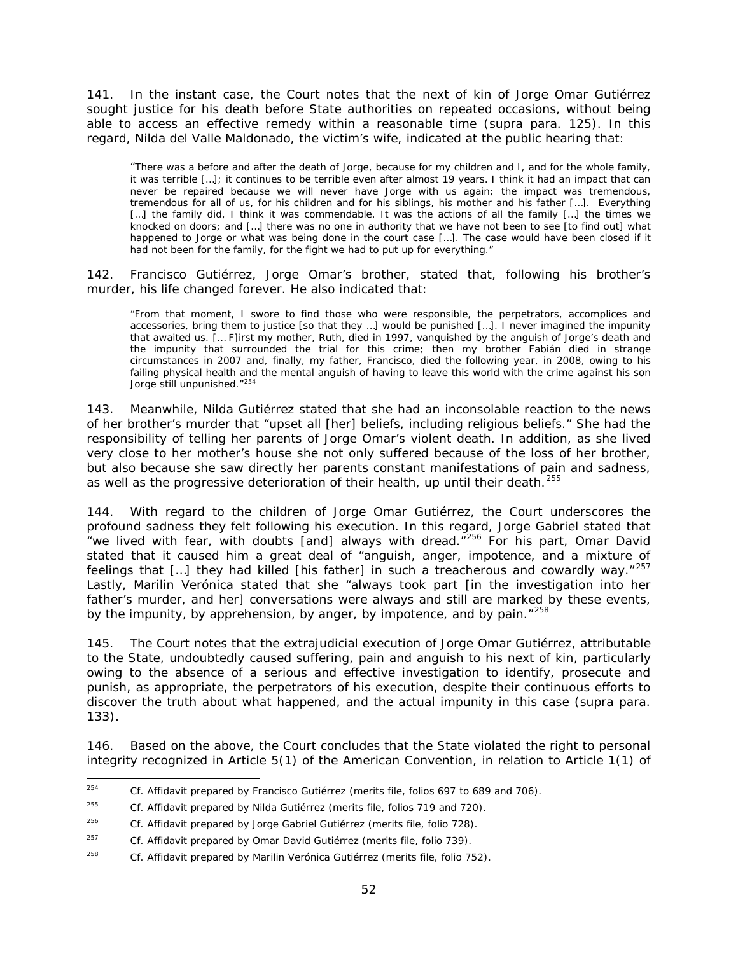141. In the instant case, the Court notes that the next of kin of Jorge Omar Gutiérrez sought justice for his death before State authorities on repeated occasions, without being able to access an effective remedy within a reasonable time (*supra* para. 125). In this regard, Nilda del Valle Maldonado, the victim's wife, indicated at the public hearing that:

"There was a before and after the death of Jorge, because for my children and I, and for the whole family, it was terrible […]; it continues to be terrible even after almost 19 years. I think it had an impact that can never be repaired because we will never have Jorge with us again; the impact was tremendous, tremendous for all of us, for his children and for his siblings, his mother and his father […]. Everything [...] the family did, I think it was commendable. It was the actions of all the family [...] the times we knocked on doors; and […] there was no one in authority that we have not been to see [to find out] what happened to Jorge or what was being done in the court case […]. The case would have been closed if it had not been for the family, for the fight we had to put up for everything."

142. Francisco Gutiérrez, Jorge Omar's brother, stated that, following his brother's murder, his life changed forever. He also indicated that:

"From that moment, I swore to find those who were responsible, the perpetrators, accomplices and accessories, bring them to justice [so that they …] would be punished […]. I never imagined the impunity that awaited us. [… F]irst my mother, Ruth, died in 1997, vanquished by the anguish of Jorge's death and the impunity that surrounded the trial for this crime; then my brother Fabián died in strange circumstances in 2007 and, finally, my father, Francisco, died the following year, in 2008, owing to his failing physical health and the mental anguish of having to leave this world with the crime against his son Jorge still unpunished."<sup>[254](#page-51-0)</sup>

143. Meanwhile, Nilda Gutiérrez stated that she had an inconsolable reaction to the news of her brother's murder that "upset all [her] beliefs, including religious beliefs." She had the responsibility of telling her parents of Jorge Omar's violent death. In addition, as she lived very close to her mother's house she not only suffered because of the loss of her brother, but also because she saw directly her parents constant manifestations of pain and sadness, as well as the progressive deterioration of their health, up until their death.<sup>[255](#page-51-1)</sup>

144. With regard to the children of Jorge Omar Gutiérrez, the Court underscores the profound sadness they felt following his execution. In this regard, Jorge Gabriel stated that "we lived with fear, with doubts [and] always with dread. $7256$  $7256$  For his part, Omar David stated that it caused him a great deal of "anguish, anger, impotence, and a mixture of feelings that  $[...]$  they had killed [his father] in such a treacherous and cowardly way."<sup>[257](#page-51-3)</sup> Lastly, Marilin Verónica stated that she "always took part [in the investigation into her father's murder, and her] conversations were always and still are marked by these events, by the impunity, by apprehension, by anger, by impotence, and by pain."<sup>[258](#page-51-4)</sup>

145. The Court notes that the extrajudicial execution of Jorge Omar Gutiérrez, attributable to the State, undoubtedly caused suffering, pain and anguish to his next of kin, particularly owing to the absence of a serious and effective investigation to identify, prosecute and punish, as appropriate, the perpetrators of his execution, despite their continuous efforts to discover the truth about what happened, and the actual impunity in this case (*supra* para. 133).

146. Based on the above, the Court concludes that the State violated the right to personal integrity recognized in Article 5(1) of the American Convention, in relation to Article 1(1) of

<span id="page-51-0"></span> <sup>254</sup> *Cf.* Affidavit prepared by Francisco Gutiérrez (merits file, folios 697 to 689 and 706).

<span id="page-51-1"></span><sup>255</sup> *Cf.* Affidavit prepared by Nilda Gutiérrez (merits file, folios 719 and 720).

<span id="page-51-2"></span><sup>256</sup> *Cf.* Affidavit prepared by Jorge Gabriel Gutiérrez (merits file, folio 728).

<span id="page-51-3"></span><sup>257</sup> *Cf.* Affidavit prepared by Omar David Gutiérrez (merits file, folio 739).

<span id="page-51-4"></span><sup>258</sup> *Cf.* Affidavit prepared by Marilin Verónica Gutiérrez (merits file, folio 752).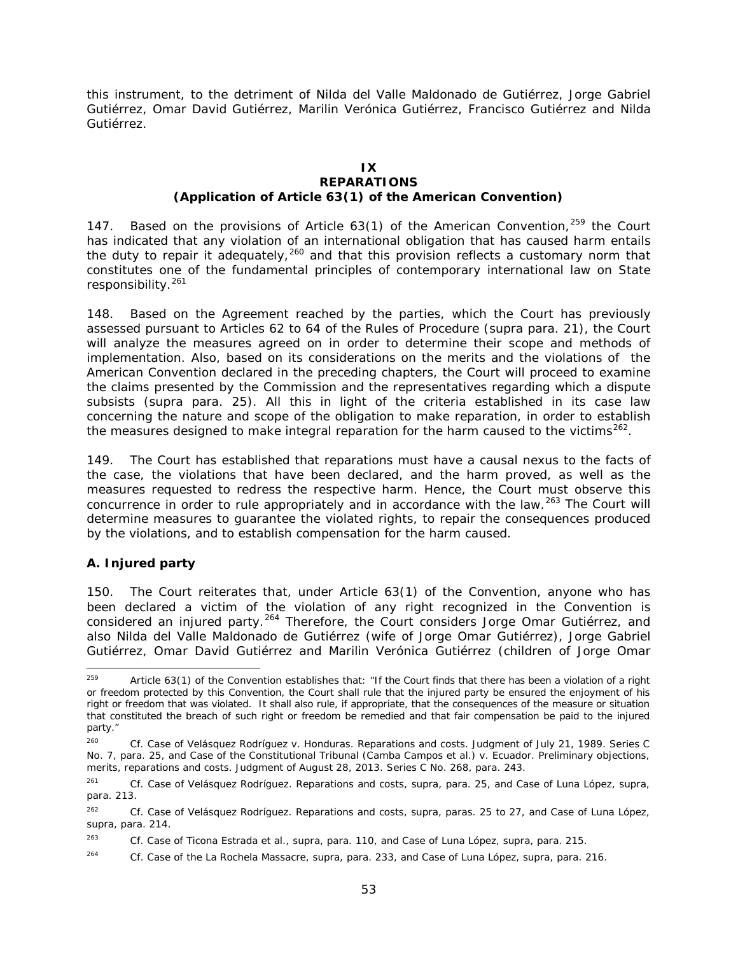this instrument, to the detriment of Nilda del Valle Maldonado de Gutiérrez, Jorge Gabriel Gutiérrez, Omar David Gutiérrez, Marilin Verónica Gutiérrez, Francisco Gutiérrez and Nilda Gutiérrez.

#### **IX REPARATIONS (Application of Article 63(1) of the American Convention)**

147. Based on the provisions of Article 63(1) of the American Convention, <sup>[259](#page-52-1)</sup> the Court has indicated that any violation of an international obligation that has caused harm entails the duty to repair it adequately,  $260$  and that this provision reflects a customary norm that constitutes one of the fundamental principles of contemporary international law on State responsibility.<sup>261</sup>

148. Based on the Agreement reached by the parties, which the Court has previously assessed pursuant to Articles 62 to 64 of the Rules of Procedure (*supra* para. 21), the Court will analyze the measures agreed on in order to determine their scope and methods of implementation. Also, based on its considerations on the merits and the violations of the American Convention declared in the preceding chapters, the Court will proceed to examine the claims presented by the Commission and the representatives regarding which a dispute subsists (*supra* para. 25). All this in light of the criteria established in its case law concerning the nature and scope of the obligation to make reparation, in order to establish the measures designed to make integral reparation for the harm caused to the victims<sup>[262](#page-52-4)</sup>.

149. The Court has established that reparations must have a causal nexus to the facts of the case, the violations that have been declared, and the harm proved, as well as the measures requested to redress the respective harm. Hence, the Court must observe this concurrence in order to rule appropriately and in accordance with the law.<sup>[263](#page-52-5)</sup> The Court will determine measures to guarantee the violated rights, to repair the consequences produced by the violations, and to establish compensation for the harm caused.

## <span id="page-52-0"></span>*A. Injured party*

150. The Court reiterates that, under Article 63(1) of the Convention, anyone who has been declared a victim of the violation of any right recognized in the Convention is considered an injured party.<sup>[264](#page-52-6)</sup> Therefore, the Court considers Jorge Omar Gutiérrez, and also Nilda del Valle Maldonado de Gutiérrez (wife of Jorge Omar Gutiérrez), Jorge Gabriel Gutiérrez, Omar David Gutiérrez and Marilin Verónica Gutiérrez (children of Jorge Omar

<span id="page-52-1"></span><sup>&</sup>lt;sup>259</sup> Article 63(1) of the Convention establishes that: "If the Court finds that there has been a violation of a right or freedom protected by this Convention, the Court shall rule that the injured party be ensured the enjoyment of his right or freedom that was violated. It shall also rule, if appropriate, that the consequences of the measure or situation that constituted the breach of such right or freedom be remedied and that fair compensation be paid to the injured party."

<span id="page-52-2"></span><sup>260</sup> *Cf. Case of Velásquez Rodríguez v. Honduras. Reparations and costs*. Judgment of July 21, 1989. Series C No. 7, para. 25, and *Case of the Constitutional Tribunal (Camba Campos et al.) v. Ecuador. Preliminary objections, merits, reparations and costs*. Judgment of August 28, 2013. Series C No. 268*,* para. 243.

<span id="page-52-3"></span><sup>261</sup> *Cf. Case of Velásquez Rodríguez. Reparations and costs, supra,* para. 25, and *Case of Luna López, supra,* para. 213.

<span id="page-52-4"></span><sup>262</sup> *Cf. Case of Velásquez Rodríguez. Reparations and costs, supra*, paras. 25 to 27, and *Case of Luna López, supra*, para. 214.

<span id="page-52-5"></span><sup>263</sup> *Cf. Case of Ticona Estrada et al., supra,* para. 110, and *Case of Luna López, supra,* para. 215.

<span id="page-52-6"></span><sup>264</sup> *Cf. Case of the La Rochela Massacre, supra,* para. 233, and *Case of Luna López, supra,* para. 216.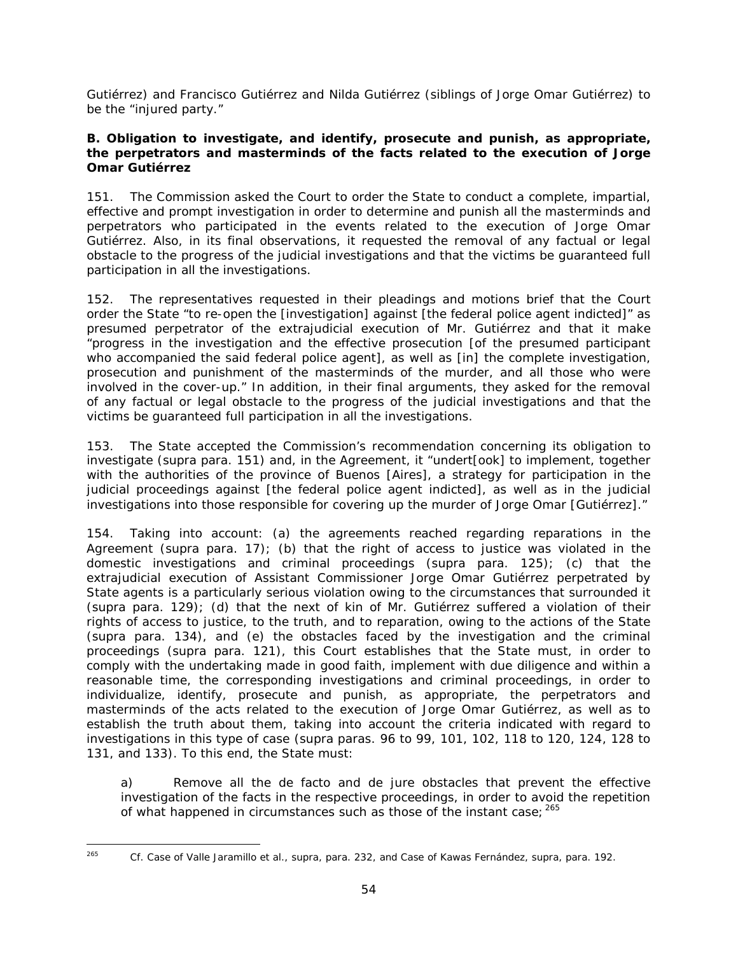Gutiérrez) and Francisco Gutiérrez and Nilda Gutiérrez (siblings of Jorge Omar Gutiérrez) to be the "injured party."

#### <span id="page-53-0"></span>*B. Obligation to investigate, and identify, prosecute and punish, as appropriate, the perpetrators and masterminds of the facts related to the execution of Jorge Omar Gutiérrez*

151. The Commission asked the Court to order the State to conduct a complete, impartial, effective and prompt investigation in order to determine and punish all the masterminds and perpetrators who participated in the events related to the execution of Jorge Omar Gutiérrez. Also, in its final observations, it requested the removal of any factual or legal obstacle to the progress of the judicial investigations and that the victims be guaranteed full participation in all the investigations.

152. The representatives requested in their pleadings and motions brief that the Court order the State "to re-open the [investigation] against [the federal police agent indicted]" as presumed perpetrator of the extrajudicial execution of Mr. Gutiérrez and that it make "progress in the investigation and the effective prosecution [of the presumed participant who accompanied the said federal police agent], as well as [in] the complete investigation, prosecution and punishment of the masterminds of the murder, and all those who were involved in the cover-up." In addition, in their final arguments, they asked for the removal of any factual or legal obstacle to the progress of the judicial investigations and that the victims be guaranteed full participation in all the investigations.

153. The State accepted the Commission's recommendation concerning its obligation to investigate (*supra* para. 151) and, in the Agreement, it "undert[ook] to implement, together with the authorities of the province of Buenos [Aires], a strategy for participation in the judicial proceedings against [the federal police agent indicted], as well as in the judicial investigations into those responsible for covering up the murder of Jorge Omar [Gutiérrez]."

154. Taking into account: (a) the agreements reached regarding reparations in the Agreement (*supra* para. 17); (b) that the right of access to justice was violated in the domestic investigations and criminal proceedings (*supra* para. 125); (c) that the extrajudicial execution of Assistant Commissioner Jorge Omar Gutiérrez perpetrated by State agents is a particularly serious violation owing to the circumstances that surrounded it (*supra* para. 129); (d) that the next of kin of Mr. Gutiérrez suffered a violation of their rights of access to justice, to the truth, and to reparation, owing to the actions of the State (*supra* para. 134), and (e) the obstacles faced by the investigation and the criminal proceedings (*supra* para. 121), this Court establishes that the State must, in order to comply with the undertaking made in good faith, implement with due diligence and within a reasonable time, the corresponding investigations and criminal proceedings, in order to individualize, identify, prosecute and punish, as appropriate, the perpetrators and masterminds of the acts related to the execution of Jorge Omar Gutiérrez, as well as to establish the truth about them, taking into account the criteria indicated with regard to investigations in this type of case (*supra* paras. 96 to 99, 101, 102, 118 to 120, 124, 128 to 131, and 133). To this end, the State must:

a) Remove all the *de facto* and *de jure* obstacles that prevent the effective investigation of the facts in the respective proceedings, in order to avoid the repetition of what happened in circumstances such as those of the instant case;  $265$ 

<span id="page-53-1"></span>

 <sup>265</sup> *Cf. Case of Valle Jaramillo et al., supra,* para. 232, and *Case of Kawas Fernández, supra, para. 192.*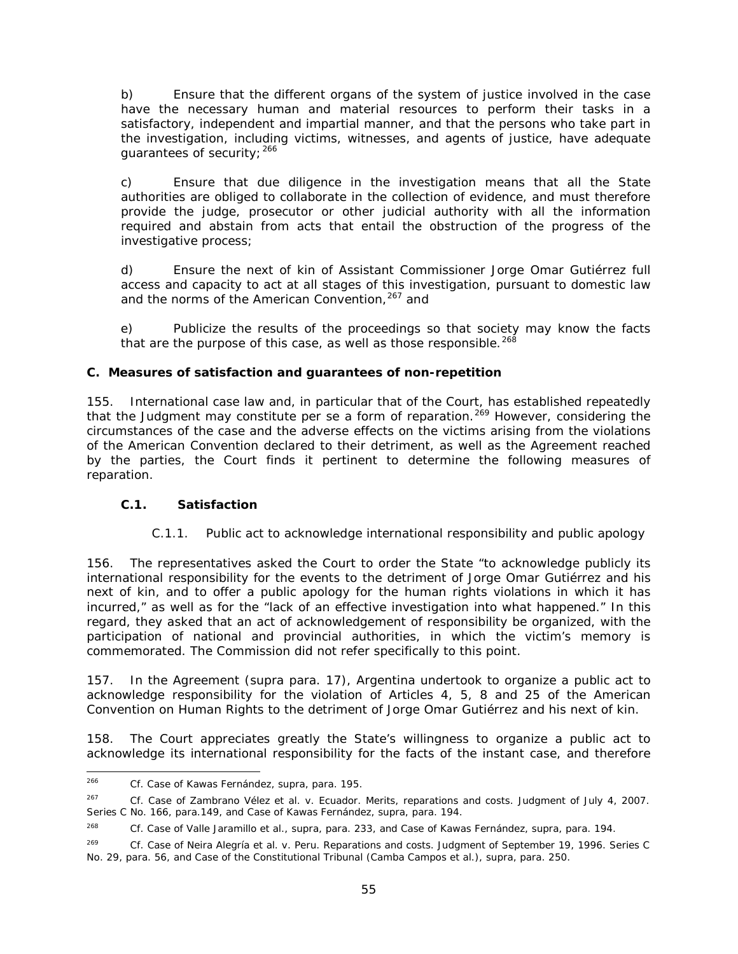b) Ensure that the different organs of the system of justice involved in the case have the necessary human and material resources to perform their tasks in a satisfactory, independent and impartial manner, and that the persons who take part in the investigation, including victims, witnesses, and agents of justice, have adequate guarantees of security; [266](#page-54-0)

c) Ensure that due diligence in the investigation means that all the State authorities are obliged to collaborate in the collection of evidence, and must therefore provide the judge, prosecutor or other judicial authority with all the information required and abstain from acts that entail the obstruction of the progress of the investigative process;

d) Ensure the next of kin of Assistant Commissioner Jorge Omar Gutiérrez full access and capacity to act at all stages of this investigation, pursuant to domestic law and the norms of the American Convention, <sup>[267](#page-54-1)</sup> and

e) Publicize the results of the proceedings so that society may know the facts that are the purpose of this case, as well as those responsible.  $268$ 

## **C.** *Measures of satisfaction and guarantees of non-repetition*

155. International case law and, in particular that of the Court, has established repeatedly that the Judgment may constitute *per se* a form of reparation. [269](#page-54-3) However, considering the circumstances of the case and the adverse effects on the victims arising from the violations of the American Convention declared to their detriment, as well as the Agreement reached by the parties, the Court finds it pertinent to determine the following measures of reparation.

## *C.1. Satisfaction*

# *C.1.1. Public act to acknowledge international responsibility and public apology*

156. The representatives asked the Court to order the State "to acknowledge publicly its international responsibility for the events to the detriment of Jorge Omar Gutiérrez and his next of kin, and to offer a public apology for the human rights violations in which it has incurred," as well as for the "lack of an effective investigation into what happened." In this regard, they asked that an act of acknowledgement of responsibility be organized, with the participation of national and provincial authorities, in which the victim's memory is commemorated. The Commission did not refer specifically to this point.

157. In the Agreement (*supra* para. 17), Argentina undertook to organize a public act to acknowledge responsibility for the violation of Articles 4, 5, 8 and 25 of the American Convention on Human Rights to the detriment of Jorge Omar Gutiérrez and his next of kin.

158. The Court appreciates greatly the State's willingness to organize a public act to acknowledge its international responsibility for the facts of the instant case, and therefore

<span id="page-54-0"></span><sup>266</sup> *<sup>266</sup> Cf. [Case of Kawas Fernández,](http://joomla.corteidh.or.cr:8080/joomla/es/jurisprudencia-oc-simple/38-jurisprudencia/824-corte-idh-caso-kawas-fernandez-vs-honduras-fondo-reparaciones-y-costas-sentencia-de-3-de-abril-de-2009-serie-c-no-196) supra,* para. 195.

<span id="page-54-1"></span>*<sup>267</sup> Cf. Case of Zambrano Vélez et al. v. Ecuador. Merits, reparations and costs.* Judgment of July 4, 2007. Series C No. 166, para.149, and *Case of Kawas Fernández, supra,* para. 194.

<span id="page-54-2"></span>*<sup>268</sup> Cf. Case of Valle Jaramillo et al., supra,* para. 233, and *Case of Kawas Fernández, supra, para. 194.*

<span id="page-54-3"></span>*<sup>269</sup> Cf. Case of Neira Alegría et al. v. Peru. Reparations and costs.* Judgment of September 19, 1996. Series C No. 29, para. 56, and *Case of the Constitutional Tribunal (Camba Campos et al.), supra*, para. 250.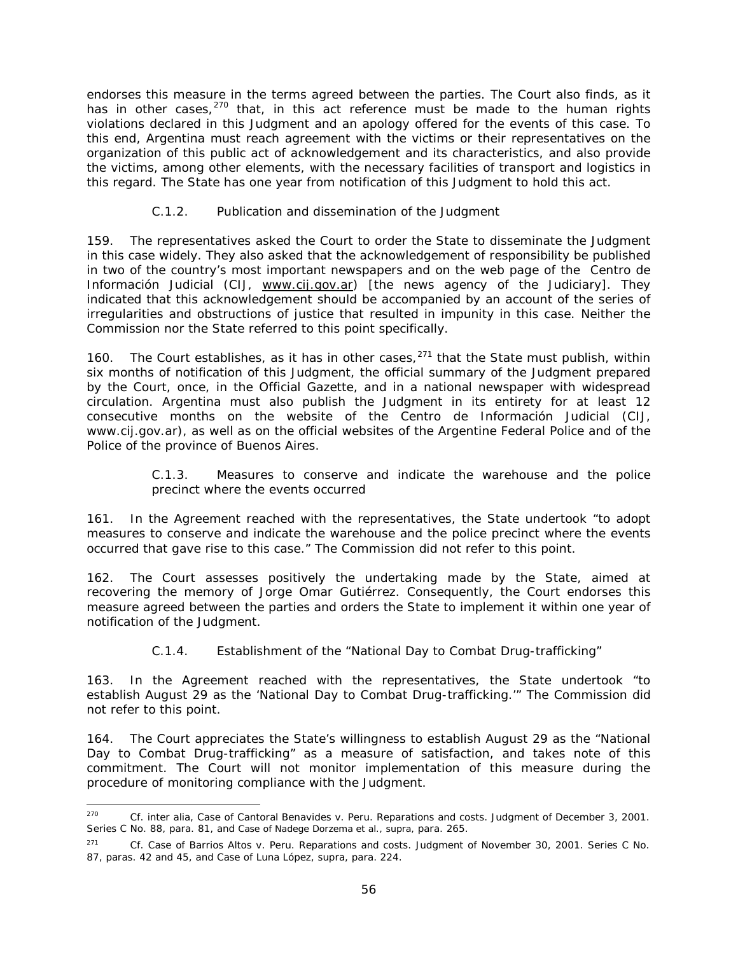endorses this measure in the terms agreed between the parties. The Court also finds, as it has in other cases,  $270$  that, in this act reference must be made to the human rights violations declared in this Judgment and an apology offered for the events of this case. To this end, Argentina must reach agreement with the victims or their representatives on the organization of this public act of acknowledgement and its characteristics, and also provide the victims, among other elements, with the necessary facilities of transport and logistics in this regard. The State has one year from notification of this Judgment to hold this act.

## *C.1.2. Publication and dissemination of the Judgment*

159. The representatives asked the Court to order the State to disseminate the Judgment in this case widely. They also asked that the acknowledgement of responsibility be published in two of the country's most important newspapers and on the web page of the *Centro de Información Judicial* (CIJ, [www.cij.gov.ar\)](http://www.cij.gov.ar/) [the news agency of the Judiciary]. They indicated that this acknowledgement should be accompanied by an account of the series of irregularities and obstructions of justice that resulted in impunity in this case. Neither the Commission nor the State referred to this point specifically.

160. The Court establishes, as it has in other cases,  $271$  that the State must publish, within six months of notification of this Judgment, the official summary of the Judgment prepared by the Court, once, in the Official Gazette, and in a national newspaper with widespread circulation. Argentina must also publish the Judgment in its entirety for at least 12 consecutive months on the website of the *Centro de Información Judicial* (CIJ, www.cij.gov.ar), as well as on the official websites of the Argentine Federal Police and of the Police of the province of Buenos Aires.

#### *C.1.3. Measures to conserve and indicate the warehouse and the police precinct where the events occurred*

<span id="page-55-0"></span>161. In the Agreement reached with the representatives, the State undertook "to adopt measures to conserve and indicate the warehouse and the police precinct where the events occurred that gave rise to this case." The Commission did not refer to this point.

162. The Court assesses positively the undertaking made by the State, aimed at recovering the memory of Jorge Omar Gutiérrez. Consequently, the Court endorses this measure agreed between the parties and orders the State to implement it within one year of notification of the Judgment.

## *C.1.4. Establishment of the "National Day to Combat Drug-trafficking"*

163. In the Agreement reached with the representatives, the State undertook "to establish August 29 as the 'National Day to Combat Drug-trafficking.'" The Commission did not refer to this point.

164. The Court appreciates the State's willingness to establish August 29 as the "National Day to Combat Drug-trafficking" as a measure of satisfaction, and takes note of this commitment. The Court will not monitor implementation of this measure during the procedure of monitoring compliance with the Judgment.

<span id="page-55-1"></span> <sup>270</sup> *Cf. inter alia, Case of Cantoral Benavides v. Peru. Reparations and costs*. Judgment of December 3, 2001. Series C No. 88, para. 81, and *Case of Nadege Dorzema et al., supra,* para. 265.

<span id="page-55-2"></span><sup>271</sup> *Cf. Case of Barrios Altos v. Peru. Reparations and costs.* Judgment of November 30, 2001. Series C No. 87, paras. 42 and 45, and *Case of Luna López, supra,* para. 224.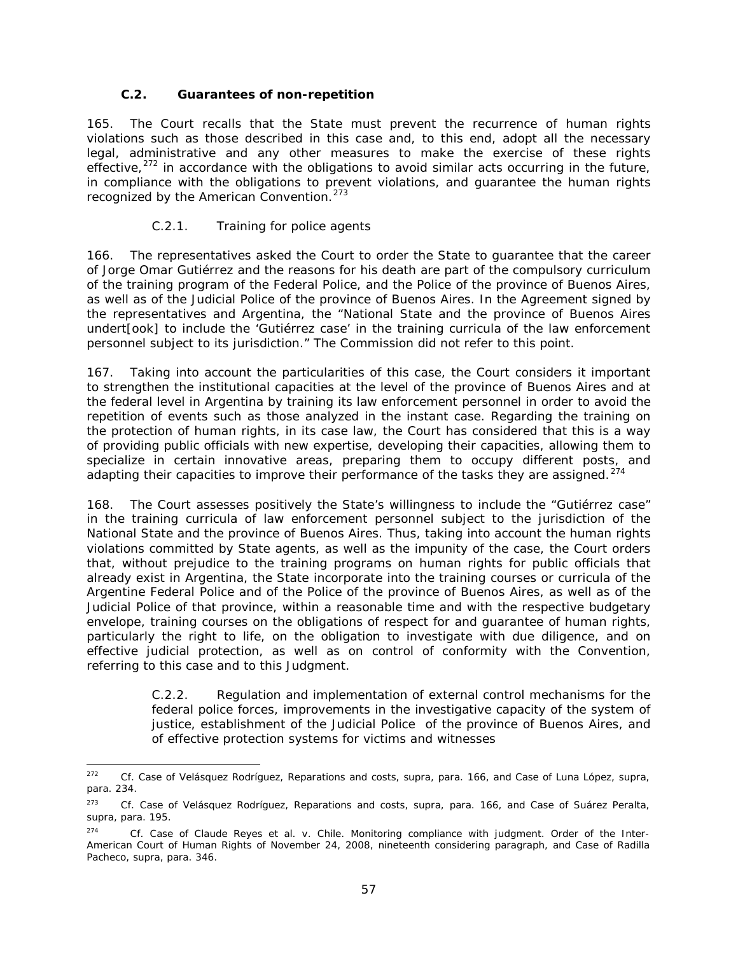#### *C.2. Guarantees of non-repetition*

165. The Court recalls that the State must prevent the recurrence of human rights violations such as those described in this case and, to this end, adopt all the necessary legal, administrative and any other measures to make the exercise of these rights effective, $272$  in accordance with the obligations to avoid similar acts occurring in the future, in compliance with the obligations to prevent violations, and guarantee the human rights recognized by the American Convention.<sup>[273](#page-56-2)</sup>

#### *C.2.1. Training for police agents*

166. The representatives asked the Court to order the State to guarantee that the career of Jorge Omar Gutiérrez and the reasons for his death are part of the compulsory curriculum of the training program of the Federal Police, and the Police of the province of Buenos Aires, as well as of the Judicial Police of the province of Buenos Aires. In the Agreement signed by the representatives and Argentina, the "National State and the province of Buenos Aires undert[ook] to include the 'Gutiérrez case' in the training curricula of the law enforcement personnel subject to its jurisdiction." The Commission did not refer to this point.

167. Taking into account the particularities of this case, the Court considers it important to strengthen the institutional capacities at the level of the province of Buenos Aires and at the federal level in Argentina by training its law enforcement personnel in order to avoid the repetition of events such as those analyzed in the instant case. Regarding the training on the protection of human rights, in its case law, the Court has considered that this is a way of providing public officials with new expertise, developing their capacities, allowing them to specialize in certain innovative areas, preparing them to occupy different posts, and adapting their capacities to improve their performance of the tasks they are assigned.<sup>[274](#page-56-3)</sup>

168. The Court assesses positively the State's willingness to include the "Gutiérrez case" in the training curricula of law enforcement personnel subject to the jurisdiction of the National State and the province of Buenos Aires. Thus, taking into account the human rights violations committed by State agents, as well as the impunity of the case, the Court orders that, without prejudice to the training programs on human rights for public officials that already exist in Argentina, the State incorporate into the training courses or curricula of the Argentine Federal Police and of the Police of the province of Buenos Aires, as well as of the Judicial Police of that province, within a reasonable time and with the respective budgetary envelope, training courses on the obligations of respect for and guarantee of human rights, particularly the right to life, on the obligation to investigate with due diligence, and on effective judicial protection, as well as on control of conformity with the Convention, referring to this case and to this Judgment.

> <span id="page-56-0"></span>*C.2.2. Regulation and implementation of external control mechanisms for the federal police forces, improvements in the investigative capacity of the system of justice, establishment of the Judicial Police of the province of Buenos Aires, and of effective protection systems for victims and witnesses*

<span id="page-56-1"></span> <sup>272</sup> *Cf. Case of Velásquez Rodríguez, Reparations and costs, supra*, para. 166, and *Case of Luna López, supra,* para. 234.

<span id="page-56-2"></span><sup>273</sup> *Cf. Case of Velásquez Rodríguez, Reparations and costs, supra*, para. 166, and *Case of Suárez Peralta, supra*, para. 195.

<span id="page-56-3"></span><sup>274</sup> *Cf. Case of Claude Reyes et al. v. Chile. Monitoring compliance with judgment.* Order of the Inter-American Court of Human Rights of November 24, 2008, nineteenth considering paragraph, and *Case of Radilla Pacheco, supra*, para. 346.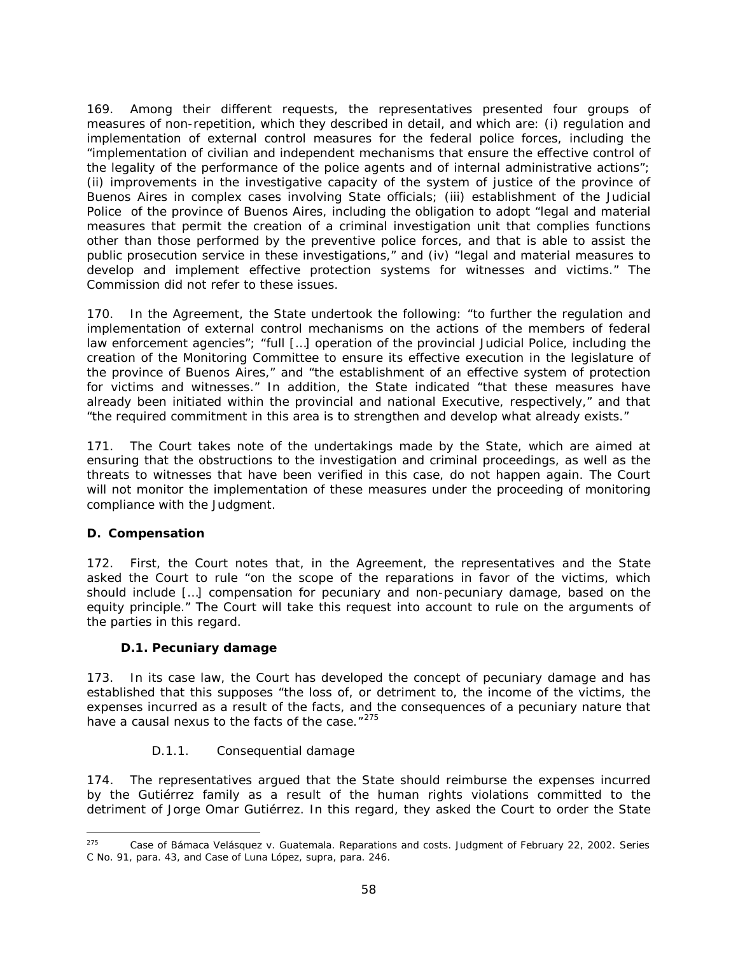169. Among their different requests, the representatives presented four groups of measures of non-repetition, which they described in detail, and which are: (i) regulation and implementation of external control measures for the federal police forces, including the "implementation of civilian and independent mechanisms that ensure the effective control of the legality of the performance of the police agents and of internal administrative actions"; (ii) improvements in the investigative capacity of the system of justice of the province of Buenos Aires in complex cases involving State officials; (iii) establishment of the Judicial Police of the province of Buenos Aires, including the obligation to adopt "legal and material measures that permit the creation of a criminal investigation unit that complies functions other than those performed by the preventive police forces, and that is able to assist the public prosecution service in these investigations," and (iv) "legal and material measures to develop and implement effective protection systems for witnesses and victims." The Commission did not refer to these issues.

170. In the Agreement, the State undertook the following: "to further the regulation and implementation of external control mechanisms on the actions of the members of federal law enforcement agencies"; "full […] operation of the provincial Judicial Police, including the creation of the Monitoring Committee to ensure its effective execution in the legislature of the province of Buenos Aires," and "the establishment of an effective system of protection for victims and witnesses." In addition, the State indicated "that these measures have already been initiated within the provincial and national Executive, respectively," and that "the required commitment in this area is to strengthen and develop what already exists."

171. The Court takes note of the undertakings made by the State, which are aimed at ensuring that the obstructions to the investigation and criminal proceedings, as well as the threats to witnesses that have been verified in this case, do not happen again. The Court will not monitor the implementation of these measures under the proceeding of monitoring compliance with the Judgment.

## *D. Compensation*

172. First, the Court notes that, in the Agreement, the representatives and the State asked the Court to rule "on the scope of the reparations in favor of the victims, which should include […] compensation for pecuniary and non-pecuniary damage, based on the equity principle." The Court will take this request into account to rule on the arguments of the parties in this regard.

## <span id="page-57-0"></span>*D.1. Pecuniary damage*

173. In its case law, the Court has developed the concept of pecuniary damage and has established that this supposes "the loss of, or detriment to, the income of the victims, the expenses incurred as a result of the facts, and the consequences of a pecuniary nature that have a causal nexus to the facts of the case."<sup>[275](#page-57-1)</sup>

## *D.1.1. Consequential damage*

174. The representatives argued that the State should reimburse the expenses incurred by the Gutiérrez family as a result of the human rights violations committed to the detriment of Jorge Omar Gutiérrez. In this regard, they asked the Court to order the State

<span id="page-57-1"></span> <sup>275</sup> *Case of Bámaca Velásquez v. Guatemala. Reparations and costs.* Judgment of February 22, 2002. Series C No. 91, para. 43, and *Case of Luna López, supra,* para. 246.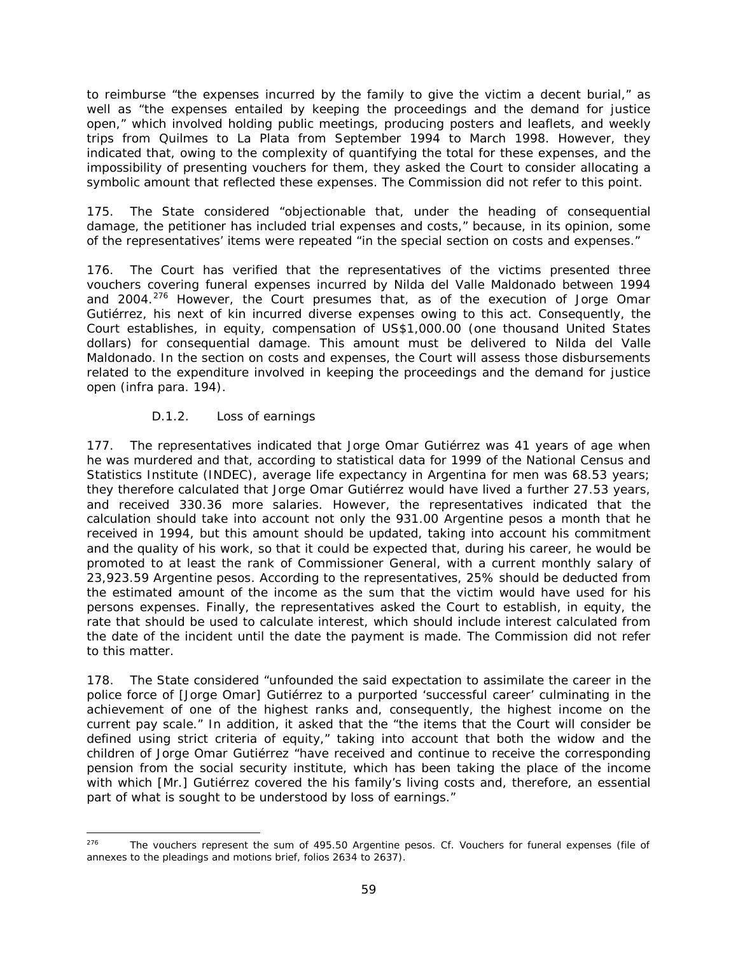to reimburse "the expenses incurred by the family to give the victim a decent burial," as well as "the expenses entailed by keeping the proceedings and the demand for justice open," which involved holding public meetings, producing posters and leaflets, and weekly trips from Quilmes to La Plata from September 1994 to March 1998. However, they indicated that, owing to the complexity of quantifying the total for these expenses, and the impossibility of presenting vouchers for them, they asked the Court to consider allocating a symbolic amount that reflected these expenses. The Commission did not refer to this point.

175. The State considered "objectionable that, under the heading of consequential damage, the petitioner has included trial expenses and costs," because, in its opinion, some of the representatives' items were repeated "in the special section on costs and expenses."

176. The Court has verified that the representatives of the victims presented three vouchers covering funeral expenses incurred by Nilda del Valle Maldonado between 1994 and 2004.<sup>[276](#page-58-0)</sup> However, the Court presumes that, as of the execution of Jorge Omar Gutiérrez, his next of kin incurred diverse expenses owing to this act. Consequently, the Court establishes, in equity, compensation of US\$1,000.00 (one thousand United States dollars) for consequential damage. This amount must be delivered to Nilda del Valle Maldonado. In the section on costs and expenses, the Court will assess those disbursements related to the expenditure involved in keeping the proceedings and the demand for justice open (*infra* para. 194).

## *D.1.2. Loss of earnings*

177. The representatives indicated that Jorge Omar Gutiérrez was 41 years of age when he was murdered and that, according to statistical data for 1999 of the National Census and Statistics Institute (INDEC), average life expectancy in Argentina for men was 68.53 years; they therefore calculated that Jorge Omar Gutiérrez would have lived a further 27.53 years, and received 330.36 more salaries. However, the representatives indicated that the calculation should take into account not only the 931.00 Argentine pesos a month that he received in 1994, but this amount should be updated, taking into account his commitment and the quality of his work, so that it could be expected that, during his career, he would be promoted to at least the rank of Commissioner General, with a current monthly salary of 23,923.59 Argentine pesos. According to the representatives, 25% should be deducted from the estimated amount of the income as the sum that the victim would have used for his persons expenses. Finally, the representatives asked the Court to establish, in equity, the rate that should be used to calculate interest, which should include interest calculated from the date of the incident until the date the payment is made. The Commission did not refer to this matter.

178. The State considered "unfounded the said expectation to assimilate the career in the police force of [Jorge Omar] Gutiérrez to a purported 'successful career' culminating in the achievement of one of the highest ranks and, consequently, the highest income on the current pay scale." In addition, it asked that the "the items that the Court will consider be defined using strict criteria of equity," taking into account that both the widow and the children of Jorge Omar Gutiérrez "have received and continue to receive the corresponding pension from the social security institute, which has been taking the place of the income with which [Mr.] Gutiérrez covered the his family's living costs and, therefore, an essential part of what is sought to be understood by loss of earnings."

<span id="page-58-0"></span> <sup>276</sup> The vouchers represent the sum of 495.50 Argentine pesos. *Cf.* Vouchers for funeral expenses (file of annexes to the pleadings and motions brief, folios 2634 to 2637).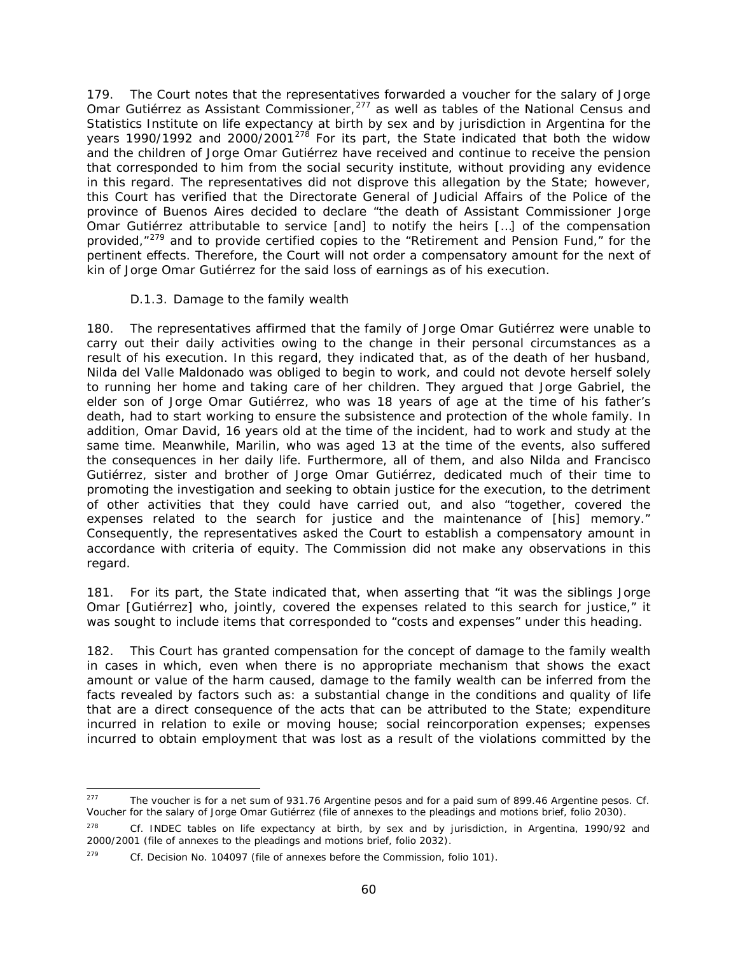179. The Court notes that the representatives forwarded a voucher for the salary of Jorge Omar Gutiérrez as Assistant Commissioner,[277](#page-59-0) as well as tables of the National Census and Statistics Institute on life expectancy at birth by sex and by jurisdiction in Argentina for the years 1990/1992 and 2000/2001<sup>[278](#page-59-1)</sup> For its part, the State indicated that both the widow and the children of Jorge Omar Gutiérrez have received and continue to receive the pension that corresponded to him from the social security institute, without providing any evidence in this regard. The representatives did not disprove this allegation by the State; however, this Court has verified that the Directorate General of Judicial Affairs of the Police of the province of Buenos Aires decided to declare "the death of Assistant Commissioner Jorge Omar Gutiérrez attributable to service [and] to notify the heirs […] of the compensation provided,"<sup>[279](#page-59-2)</sup> and to provide certified copies to the "Retirement and Pension Fund," for the pertinent effects. Therefore, the Court will not order a compensatory amount for the next of kin of Jorge Omar Gutiérrez for the said loss of earnings as of his execution.

### *D.1.3. Damage to the family wealth*

180. The representatives affirmed that the family of Jorge Omar Gutiérrez were unable to carry out their daily activities owing to the change in their personal circumstances as a result of his execution. In this regard, they indicated that, as of the death of her husband, Nilda del Valle Maldonado was obliged to begin to work, and could not devote herself solely to running her home and taking care of her children. They argued that Jorge Gabriel, the elder son of Jorge Omar Gutiérrez, who was 18 years of age at the time of his father's death, had to start working to ensure the subsistence and protection of the whole family. In addition, Omar David, 16 years old at the time of the incident, had to work and study at the same time. Meanwhile, Marilin, who was aged 13 at the time of the events, also suffered the consequences in her daily life. Furthermore, all of them, and also Nilda and Francisco Gutiérrez, sister and brother of Jorge Omar Gutiérrez, dedicated much of their time to promoting the investigation and seeking to obtain justice for the execution, to the detriment of other activities that they could have carried out, and also "together, covered the expenses related to the search for justice and the maintenance of [his] memory." Consequently, the representatives asked the Court to establish a compensatory amount in accordance with criteria of equity. The Commission did not make any observations in this regard.

181. For its part, the State indicated that, when asserting that "it was the siblings Jorge Omar [Gutiérrez] who, jointly, covered the expenses related to this search for justice," it was sought to include items that corresponded to "costs and expenses" under this heading.

182. This Court has granted compensation for the concept of damage to the family wealth in cases in which, even when there is no appropriate mechanism that shows the exact amount or value of the harm caused, damage to the family wealth can be inferred from the facts revealed by factors such as: a substantial change in the conditions and quality of life that are a direct consequence of the acts that can be attributed to the State; expenditure incurred in relation to exile or moving house; social reincorporation expenses; expenses incurred to obtain employment that was lost as a result of the violations committed by the

<span id="page-59-0"></span> <sup>277</sup> The voucher is for a net sum of 931.76 Argentine pesos and for a paid sum of 899.46 Argentine pesos. *Cf.* Voucher for the salary of Jorge Omar Gutiérrez (file of annexes to the pleadings and motions brief, folio 2030).

<span id="page-59-1"></span><sup>278</sup> *Cf.* INDEC tables on life expectancy at birth, by sex and by jurisdiction, in Argentina, 1990/92 and 2000/2001 (file of annexes to the pleadings and motions brief, folio 2032).

<span id="page-59-2"></span><sup>279</sup> *Cf.* Decision No. 104097 (file of annexes before the Commission, folio 101).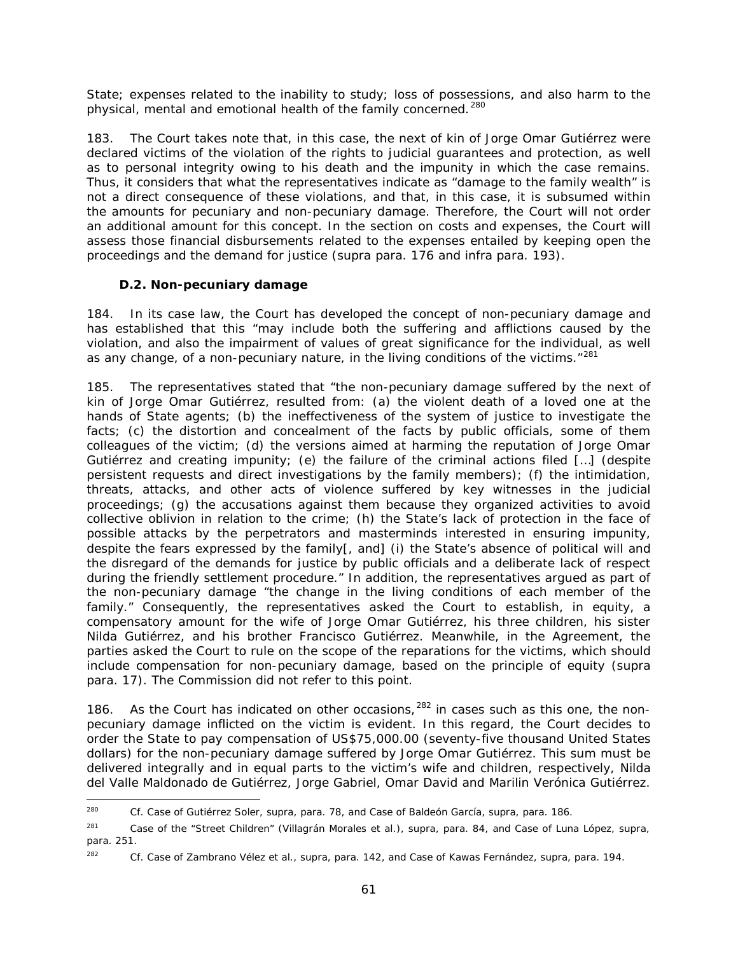State; expenses related to the inability to study; loss of possessions, and also harm to the physical, mental and emotional health of the family concerned.<sup>[280](#page-60-1)</sup>

183. The Court takes note that, in this case, the next of kin of Jorge Omar Gutiérrez were declared victims of the violation of the rights to judicial guarantees and protection, as well as to personal integrity owing to his death and the impunity in which the case remains. Thus, it considers that what the representatives indicate as "damage to the family wealth" is not a direct consequence of these violations, and that, in this case, it is subsumed within the amounts for pecuniary and non-pecuniary damage. Therefore, the Court will not order an additional amount for this concept. In the section on costs and expenses, the Court will assess those financial disbursements related to the expenses entailed by keeping open the proceedings and the demand for justice (*supra* para. 176 and *infra* para. 193).

## *D.2. Non-pecuniary damage*

<span id="page-60-0"></span>184. In its case law, the Court has developed the concept of non-pecuniary damage and has established that this "may include both the suffering and afflictions caused by the violation, and also the impairment of values of great significance for the individual, as well as any change, of a non-pecuniary nature, in the living conditions of the victims."<sup>[281](#page-60-2)</sup>

185. The representatives stated that "the non-pecuniary damage suffered by the next of kin of Jorge Omar Gutiérrez, resulted from: (a) the violent death of a loved one at the hands of State agents; (b) the ineffectiveness of the system of justice to investigate the facts; (c) the distortion and concealment of the facts by public officials, some of them colleagues of the victim; (d) the versions aimed at harming the reputation of Jorge Omar Gutiérrez and creating impunity; (e) the failure of the criminal actions filed […] (despite persistent requests and direct investigations by the family members); (f) the intimidation, threats, attacks, and other acts of violence suffered by key witnesses in the judicial proceedings; (g) the accusations against them because they organized activities to avoid collective oblivion in relation to the crime; (h) the State's lack of protection in the face of possible attacks by the perpetrators and masterminds interested in ensuring impunity, despite the fears expressed by the family[, and] (i) the State's absence of political will and the disregard of the demands for justice by public officials and a deliberate lack of respect during the friendly settlement procedure." In addition, the representatives argued as part of the non-pecuniary damage "the change in the living conditions of each member of the family." Consequently, the representatives asked the Court to establish, in equity, a compensatory amount for the wife of Jorge Omar Gutiérrez, his three children, his sister Nilda Gutiérrez, and his brother Francisco Gutiérrez. Meanwhile, in the Agreement, the parties asked the Court to rule on the scope of the reparations for the victims, which should include compensation for non-pecuniary damage, based on the principle of equity (*supra* para. 17). The Commission did not refer to this point.

186. As the Court has indicated on other occasions,  $282$  in cases such as this one, the nonpecuniary damage inflicted on the victim is evident. In this regard, the Court decides to order the State to pay compensation of US\$75,000.00 (seventy-five thousand United States dollars) for the non-pecuniary damage suffered by Jorge Omar Gutiérrez. This sum must be delivered integrally and in equal parts to the victim's wife and children, respectively, Nilda del Valle Maldonado de Gutiérrez, Jorge Gabriel, Omar David and Marilin Verónica Gutiérrez.

<span id="page-60-1"></span> <sup>280</sup> *Cf. Case of Gutiérrez Soler, supra*, para. 78, and *Case of Baldeón García, supra,* para. 186.

<span id="page-60-2"></span><sup>281</sup> *Case of the "Street Children" (Villagrán Morales et al.)*, *supra*, para. 84, and *Case of Luna López, supra,* para. 251.

<span id="page-60-3"></span><sup>282</sup> *Cf. Case of Zambrano Vélez et al., supra*, para. 142, and *Case of Kawas Fernández, supra*, para. 194.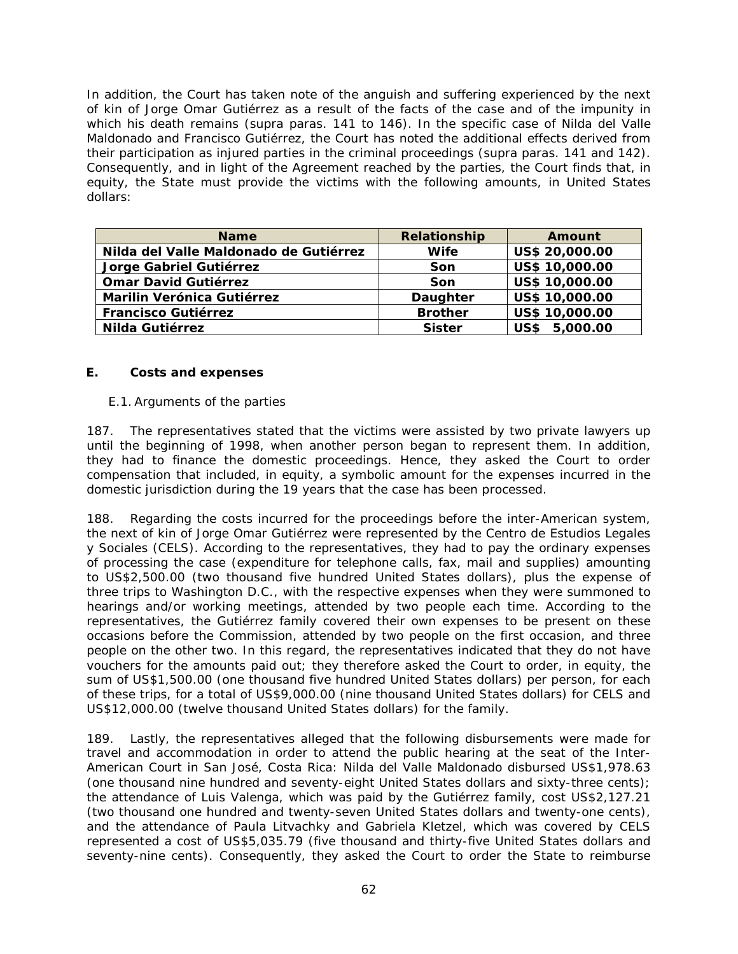In addition, the Court has taken note of the anguish and suffering experienced by the next of kin of Jorge Omar Gutiérrez as a result of the facts of the case and of the impunity in which his death remains (*supra* paras. 141 to 146). In the specific case of Nilda del Valle Maldonado and Francisco Gutiérrez, the Court has noted the additional effects derived from their participation as injured parties in the criminal proceedings (*supra* paras. 141 and 142). Consequently, and in light of the Agreement reached by the parties, the Court finds that, in equity, the State must provide the victims with the following amounts, in United States dollars:

| <b>Name</b>                            | Relationship   | Amount         |
|----------------------------------------|----------------|----------------|
| Nilda del Valle Maldonado de Gutiérrez | <b>Wife</b>    | US\$ 20,000.00 |
| Jorge Gabriel Gutiérrez                | Son            | US\$ 10,000.00 |
| <b>Omar David Gutiérrez</b>            | Son            | US\$ 10,000.00 |
| Marilin Verónica Gutiérrez             | Daughter       | US\$ 10,000.00 |
| <b>Francisco Gutiérrez</b>             | <b>Brother</b> | US\$ 10,000.00 |
| Nilda Gutiérrez                        | <b>Sister</b>  | US\$ 5,000.00  |

#### *E. Costs and expenses*

#### *E.1. Arguments of the parties*

187. The representatives stated that the victims were assisted by two private lawyers up until the beginning of 1998, when another person began to represent them. In addition, they had to finance the domestic proceedings. Hence, they asked the Court to order compensation that included, in equity, a symbolic amount for the expenses incurred in the domestic jurisdiction during the 19 years that the case has been processed.

188. Regarding the costs incurred for the proceedings before the inter-American system, the next of kin of Jorge Omar Gutiérrez were represented by the *Centro de Estudios Legales y Sociales* (CELS). According to the representatives, they had to pay the ordinary expenses of processing the case (expenditure for telephone calls, fax, mail and supplies) amounting to US\$2,500.00 (two thousand five hundred United States dollars), plus the expense of three trips to Washington D.C., with the respective expenses when they were summoned to hearings and/or working meetings, attended by two people each time. According to the representatives, the Gutiérrez family covered their own expenses to be present on these occasions before the Commission, attended by two people on the first occasion, and three people on the other two. In this regard, the representatives indicated that they do not have vouchers for the amounts paid out; they therefore asked the Court to order, in equity, the sum of US\$1,500.00 (one thousand five hundred United States dollars) per person, for each of these trips, for a total of US\$9,000.00 (nine thousand United States dollars) for CELS and US\$12,000.00 (twelve thousand United States dollars) for the family.

189. Lastly, the representatives alleged that the following disbursements were made for travel and accommodation in order to attend the public hearing at the seat of the Inter-American Court in San José, Costa Rica: Nilda del Valle Maldonado disbursed US\$1,978.63 (one thousand nine hundred and seventy-eight United States dollars and sixty-three cents); the attendance of Luis Valenga, which was paid by the Gutiérrez family, cost US\$2,127.21 (two thousand one hundred and twenty-seven United States dollars and twenty-one cents), and the attendance of Paula Litvachky and Gabriela Kletzel, which was covered by CELS represented a cost of US\$5,035.79 (five thousand and thirty-five United States dollars and seventy-nine cents). Consequently, they asked the Court to order the State to reimburse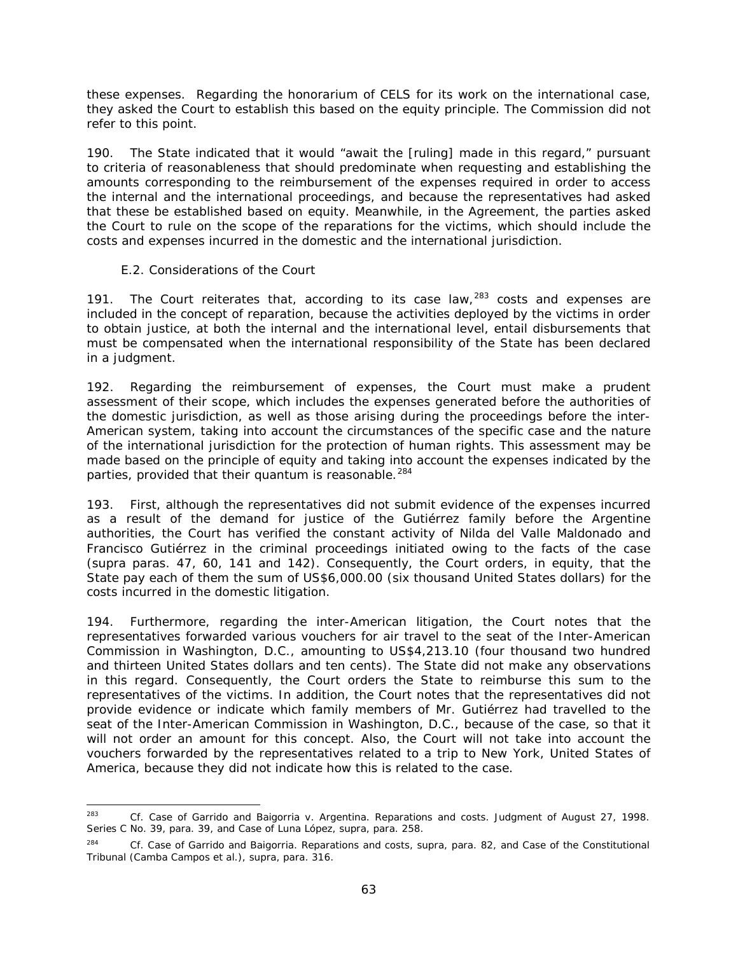these expenses. Regarding the honorarium of CELS for its work on the international case, they asked the Court to establish this based on the equity principle. The Commission did not refer to this point.

190. The State indicated that it would "await the [ruling] made in this regard," pursuant to criteria of reasonableness that should predominate when requesting and establishing the amounts corresponding to the reimbursement of the expenses required in order to access the internal and the international proceedings, and because the representatives had asked that these be established based on equity. Meanwhile, in the Agreement, the parties asked the Court to rule on the scope of the reparations for the victims, which should include the costs and expenses incurred in the domestic and the international jurisdiction.

### *E.2. Considerations of the Court*

<span id="page-62-0"></span>191. The Court reiterates that, according to its case law,  $283$  costs and expenses are included in the concept of reparation, because the activities deployed by the victims in order to obtain justice, at both the internal and the international level, entail disbursements that must be compensated when the international responsibility of the State has been declared in a judgment.

192. Regarding the reimbursement of expenses, the Court must make a prudent assessment of their scope, which includes the expenses generated before the authorities of the domestic jurisdiction, as well as those arising during the proceedings before the inter-American system, taking into account the circumstances of the specific case and the nature of the international jurisdiction for the protection of human rights. This assessment may be made based on the principle of equity and taking into account the expenses indicated by the parties, provided that their *quantum* is reasonable.<sup>[284](#page-62-2)</sup>

193. First, although the representatives did not submit evidence of the expenses incurred as a result of the demand for justice of the Gutiérrez family before the Argentine authorities, the Court has verified the constant activity of Nilda del Valle Maldonado and Francisco Gutiérrez in the criminal proceedings initiated owing to the facts of the case (*supra* paras. 47, 60, 141 and 142). Consequently, the Court orders, in equity, that the State pay each of them the sum of US\$6,000.00 (six thousand United States dollars) for the costs incurred in the domestic litigation.

194. Furthermore, regarding the inter-American litigation, the Court notes that the representatives forwarded various vouchers for air travel to the seat of the Inter-American Commission in Washington, D.C., amounting to US\$4,213.10 (four thousand two hundred and thirteen United States dollars and ten cents). The State did not make any observations in this regard. Consequently, the Court orders the State to reimburse this sum to the representatives of the victims. In addition, the Court notes that the representatives did not provide evidence or indicate which family members of Mr. Gutiérrez had travelled to the seat of the Inter-American Commission in Washington, D.C., because of the case, so that it will not order an amount for this concept. Also, the Court will not take into account the vouchers forwarded by the representatives related to a trip to New York, United States of America, because they did not indicate how this is related to the case.

<span id="page-62-1"></span> <sup>283</sup> *Cf. Case of Garrido and Baigorria v. Argentina. Reparations and costs.* Judgment of August 27, 1998. Series C No. 39, para. 39, and *Case of Luna López, supra,* para. 258.

<span id="page-62-2"></span><sup>284</sup> *Cf. Case of Garrido and Baigorria. Reparations and costs, supra,* para. 82, and *Case of the Constitutional Tribunal (Camba Campos et al.), supra*, para. 316.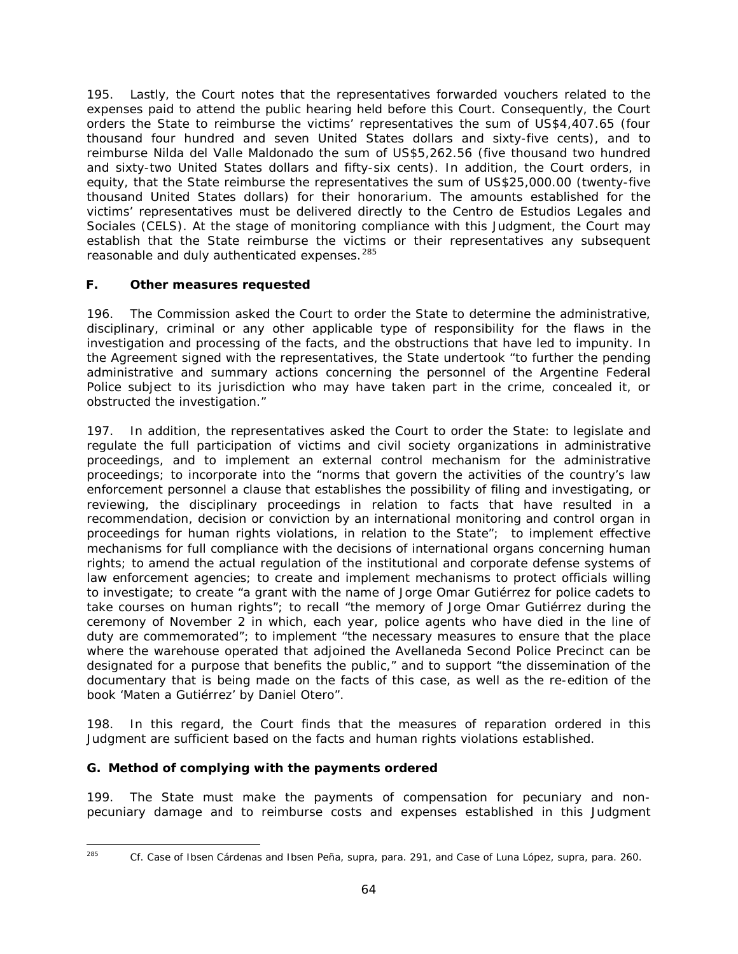195. Lastly, the Court notes that the representatives forwarded vouchers related to the expenses paid to attend the public hearing held before this Court. Consequently, the Court orders the State to reimburse the victims' representatives the sum of US\$4,407.65 (four thousand four hundred and seven United States dollars and sixty-five cents), and to reimburse Nilda del Valle Maldonado the sum of US\$5,262.56 (five thousand two hundred and sixty-two United States dollars and fifty-six cents). In addition, the Court orders, in equity, that the State reimburse the representatives the sum of US\$25,000.00 (twenty-five thousand United States dollars) for their honorarium. The amounts established for the victims' representatives must be delivered directly to the *Centro de Estudios Legales and Sociales* (CELS). At the stage of monitoring compliance with this Judgment, the Court may establish that the State reimburse the victims or their representatives any subsequent reasonable and duly authenticated expenses.<sup>[285](#page-63-0)</sup>

## *F. Other measures requested*

196. The Commission asked the Court to order the State to determine the administrative, disciplinary, criminal or any other applicable type of responsibility for the flaws in the investigation and processing of the facts, and the obstructions that have led to impunity. In the Agreement signed with the representatives, the State undertook "to further the pending administrative and summary actions concerning the personnel of the Argentine Federal Police subject to its jurisdiction who may have taken part in the crime, concealed it, or obstructed the investigation."

197. In addition, the representatives asked the Court to order the State: to legislate and regulate the full participation of victims and civil society organizations in administrative proceedings, and to implement an external control mechanism for the administrative proceedings; to incorporate into the "norms that govern the activities of the country's law enforcement personnel a clause that establishes the possibility of filing and investigating, or reviewing, the disciplinary proceedings in relation to facts that have resulted in a recommendation, decision or conviction by an international monitoring and control organ in proceedings for human rights violations, in relation to the State"; to implement effective mechanisms for full compliance with the decisions of international organs concerning human rights; to amend the actual regulation of the institutional and corporate defense systems of law enforcement agencies; to create and implement mechanisms to protect officials willing to investigate; to create "a grant with the name of Jorge Omar Gutiérrez for police cadets to take courses on human rights"; to recall "the memory of Jorge Omar Gutiérrez during the ceremony of November 2 in which, each year, police agents who have died in the line of duty are commemorated"; to implement "the necessary measures to ensure that the place where the warehouse operated that adjoined the Avellaneda Second Police Precinct can be designated for a purpose that benefits the public," and to support "the dissemination of the documentary that is being made on the facts of this case, as well as the re-edition of the book '*Maten a Gutiérrez'* by Daniel Otero".

198. In this regard, the Court finds that the measures of reparation ordered in this Judgment are sufficient based on the facts and human rights violations established.

## *G. Method of complying with the payments ordered*

199. The State must make the payments of compensation for pecuniary and nonpecuniary damage and to reimburse costs and expenses established in this Judgment

<span id="page-63-0"></span> <sup>285</sup> *Cf. Case of Ibsen Cárdenas and Ibsen Peña, supra*, para. 291, and *Case of Luna López, supra,* para. 260.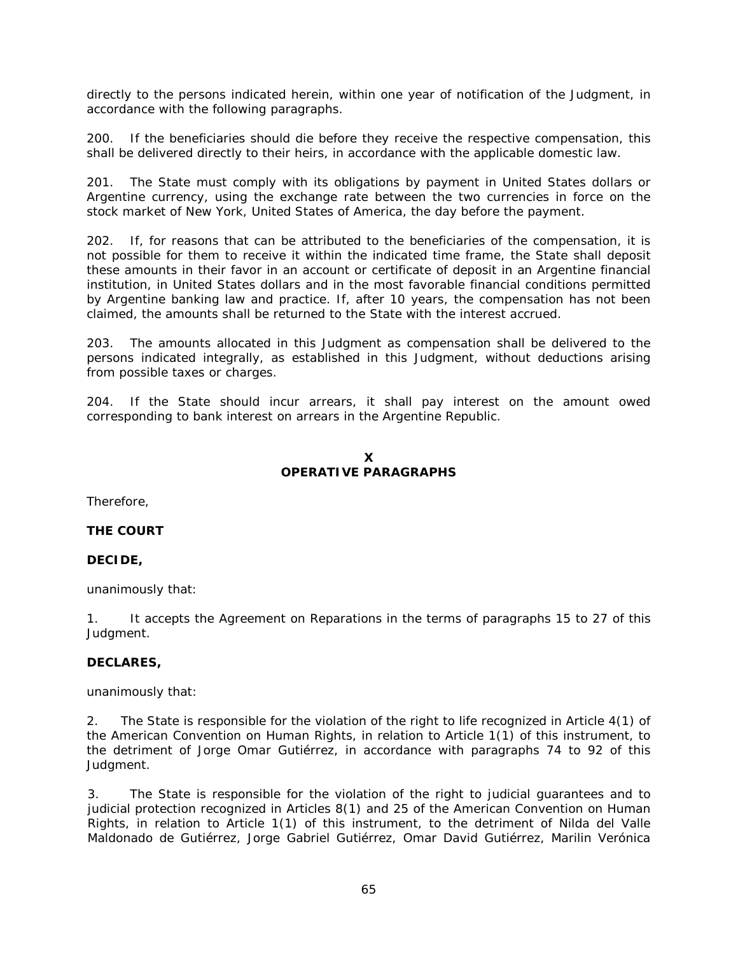directly to the persons indicated herein, within one year of notification of the Judgment, in accordance with the following paragraphs.

200. If the beneficiaries should die before they receive the respective compensation, this shall be delivered directly to their heirs, in accordance with the applicable domestic law.

201. The State must comply with its obligations by payment in United States dollars or Argentine currency, using the exchange rate between the two currencies in force on the stock market of New York, United States of America, the day before the payment.

202. If, for reasons that can be attributed to the beneficiaries of the compensation, it is not possible for them to receive it within the indicated time frame, the State shall deposit these amounts in their favor in an account or certificate of deposit in an Argentine financial institution, in United States dollars and in the most favorable financial conditions permitted by Argentine banking law and practice. If, after 10 years, the compensation has not been claimed, the amounts shall be returned to the State with the interest accrued.

203. The amounts allocated in this Judgment as compensation shall be delivered to the persons indicated integrally, as established in this Judgment, without deductions arising from possible taxes or charges.

204. If the State should incur arrears, it shall pay interest on the amount owed corresponding to bank interest on arrears in the Argentine Republic.

### **X OPERATIVE PARAGRAPHS**

<span id="page-64-0"></span>Therefore,

## **THE COURT**

## **DECIDE,**

unanimously that:

1. It accepts the Agreement on Reparations in the terms of paragraphs 15 to 27 of this Judgment.

#### **DECLARES,**

unanimously that:

2. The State is responsible for the violation of the right to life recognized in Article 4(1) of the American Convention on Human Rights, in relation to Article 1(1) of this instrument, to the detriment of Jorge Omar Gutiérrez, in accordance with paragraphs 74 to 92 of this Judgment.

3. The State is responsible for the violation of the right to judicial guarantees and to judicial protection recognized in Articles 8(1) and 25 of the American Convention on Human Rights, in relation to Article 1(1) of this instrument, to the detriment of Nilda del Valle Maldonado de Gutiérrez, Jorge Gabriel Gutiérrez, Omar David Gutiérrez, Marilin Verónica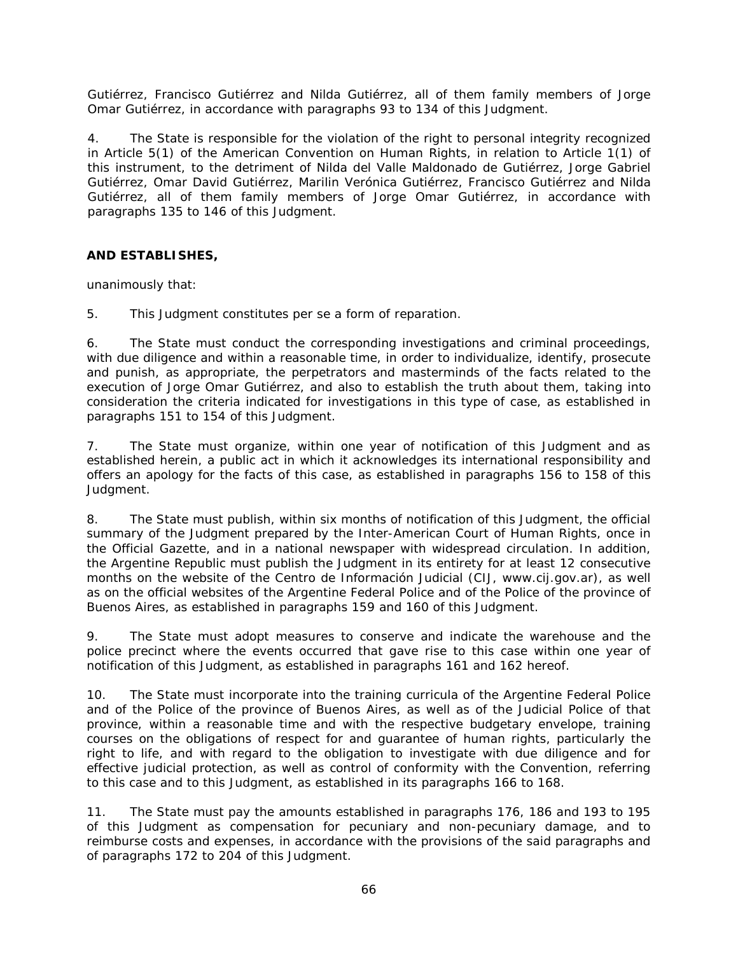Gutiérrez, Francisco Gutiérrez and Nilda Gutiérrez, all of them family members of Jorge Omar Gutiérrez, in accordance with paragraphs 93 to 134 of this Judgment.

4. The State is responsible for the violation of the right to personal integrity recognized in Article 5(1) of the American Convention on Human Rights, in relation to Article 1(1) of this instrument, to the detriment of Nilda del Valle Maldonado de Gutiérrez, Jorge Gabriel Gutiérrez, Omar David Gutiérrez, Marilin Verónica Gutiérrez, Francisco Gutiérrez and Nilda Gutiérrez, all of them family members of Jorge Omar Gutiérrez, in accordance with paragraphs 135 to 146 of this Judgment.

### **AND ESTABLISHES,**

unanimously that:

5. This Judgment constitutes *per se* a form of reparation.

6. The State must conduct the corresponding investigations and criminal proceedings, with due diligence and within a reasonable time, in order to individualize, identify, prosecute and punish, as appropriate, the perpetrators and masterminds of the facts related to the execution of Jorge Omar Gutiérrez, and also to establish the truth about them, taking into consideration the criteria indicated for investigations in this type of case, as established in paragraphs 151 to 154 of this Judgment.

7. The State must organize, within one year of notification of this Judgment and as established herein, a public act in which it acknowledges its international responsibility and offers an apology for the facts of this case, as established in paragraphs 156 to 158 of this Judgment.

8. The State must publish, within six months of notification of this Judgment, the official summary of the Judgment prepared by the Inter-American Court of Human Rights, once in the Official Gazette, and in a national newspaper with widespread circulation. In addition, the Argentine Republic must publish the Judgment in its entirety for at least 12 consecutive months on the website of the *Centro de Información Judicial* (CIJ, www.cij.gov.ar), as well as on the official websites of the Argentine Federal Police and of the Police of the province of Buenos Aires, as established in paragraphs 159 and 160 of this Judgment.

9. The State must adopt measures to conserve and indicate the warehouse and the police precinct where the events occurred that gave rise to this case within one year of notification of this Judgment, as established in paragraphs 161 and 162 hereof.

10. The State must incorporate into the training curricula of the Argentine Federal Police and of the Police of the province of Buenos Aires, as well as of the Judicial Police of that province, within a reasonable time and with the respective budgetary envelope, training courses on the obligations of respect for and guarantee of human rights, particularly the right to life, and with regard to the obligation to investigate with due diligence and for effective judicial protection, as well as control of conformity with the Convention, referring to this case and to this Judgment, as established in its paragraphs 166 to 168.

11. The State must pay the amounts established in paragraphs 176, 186 and 193 to 195 of this Judgment as compensation for pecuniary and non-pecuniary damage, and to reimburse costs and expenses, in accordance with the provisions of the said paragraphs and of paragraphs 172 to 204 of this Judgment.